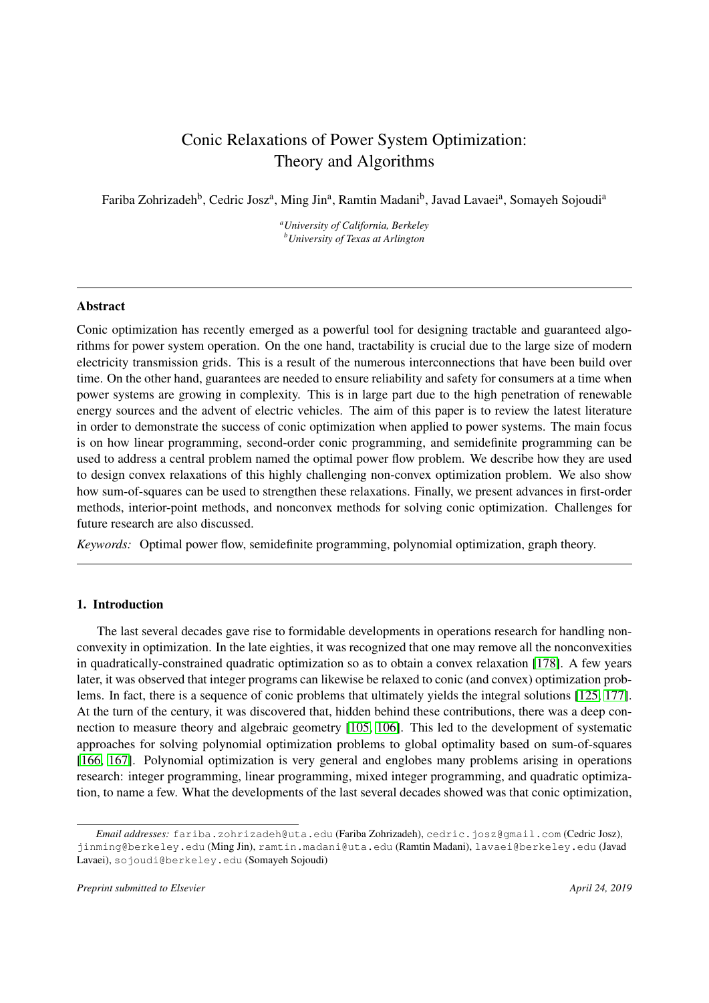# Conic Relaxations of Power System Optimization: Theory and Algorithms

<span id="page-0-0"></span>Fariba Zohrizadeh<sup>b</sup>, Cedric Josz<sup>a</sup>, Ming Jin<sup>a</sup>, Ramtin Madani<sup>b</sup>, Javad Lavaei<sup>a</sup>, Somayeh Sojoudi<sup>a</sup>

*<sup>a</sup>University of California, Berkeley <sup>b</sup>University of Texas at Arlington*

# Abstract

Conic optimization has recently emerged as a powerful tool for designing tractable and guaranteed algorithms for power system operation. On the one hand, tractability is crucial due to the large size of modern electricity transmission grids. This is a result of the numerous interconnections that have been build over time. On the other hand, guarantees are needed to ensure reliability and safety for consumers at a time when power systems are growing in complexity. This is in large part due to the high penetration of renewable energy sources and the advent of electric vehicles. The aim of this paper is to review the latest literature in order to demonstrate the success of conic optimization when applied to power systems. The main focus is on how linear programming, second-order conic programming, and semidefinite programming can be used to address a central problem named the optimal power flow problem. We describe how they are used to design convex relaxations of this highly challenging non-convex optimization problem. We also show how sum-of-squares can be used to strengthen these relaxations. Finally, we present advances in first-order methods, interior-point methods, and nonconvex methods for solving conic optimization. Challenges for future research are also discussed.

*Keywords:* Optimal power flow, semidefinite programming, polynomial optimization, graph theory.

# 1. Introduction

The last several decades gave rise to formidable developments in operations research for handling nonconvexity in optimization. In the late eighties, it was recognized that one may remove all the nonconvexities in quadratically-constrained quadratic optimization so as to obtain a convex relaxation [\[178\]](#page-30-0). A few years later, it was observed that integer programs can likewise be relaxed to conic (and convex) optimization problems. In fact, there is a sequence of conic problems that ultimately yields the integral solutions [\[125,](#page-28-0) [177\]](#page-30-1). At the turn of the century, it was discovered that, hidden behind these contributions, there was a deep connection to measure theory and algebraic geometry [\[105,](#page-27-0) [106\]](#page-27-1). This led to the development of systematic approaches for solving polynomial optimization problems to global optimality based on sum-of-squares [\[166,](#page-29-0) [167\]](#page-29-1). Polynomial optimization is very general and englobes many problems arising in operations research: integer programming, linear programming, mixed integer programming, and quadratic optimization, to name a few. What the developments of the last several decades showed was that conic optimization,

*Email addresses:* fariba.zohrizadeh@uta.edu (Fariba Zohrizadeh), cedric.josz@gmail.com (Cedric Josz), jinming@berkeley.edu (Ming Jin), ramtin.madani@uta.edu (Ramtin Madani), lavaei@berkeley.edu (Javad Lavaei), sojoudi@berkeley.edu (Somayeh Sojoudi)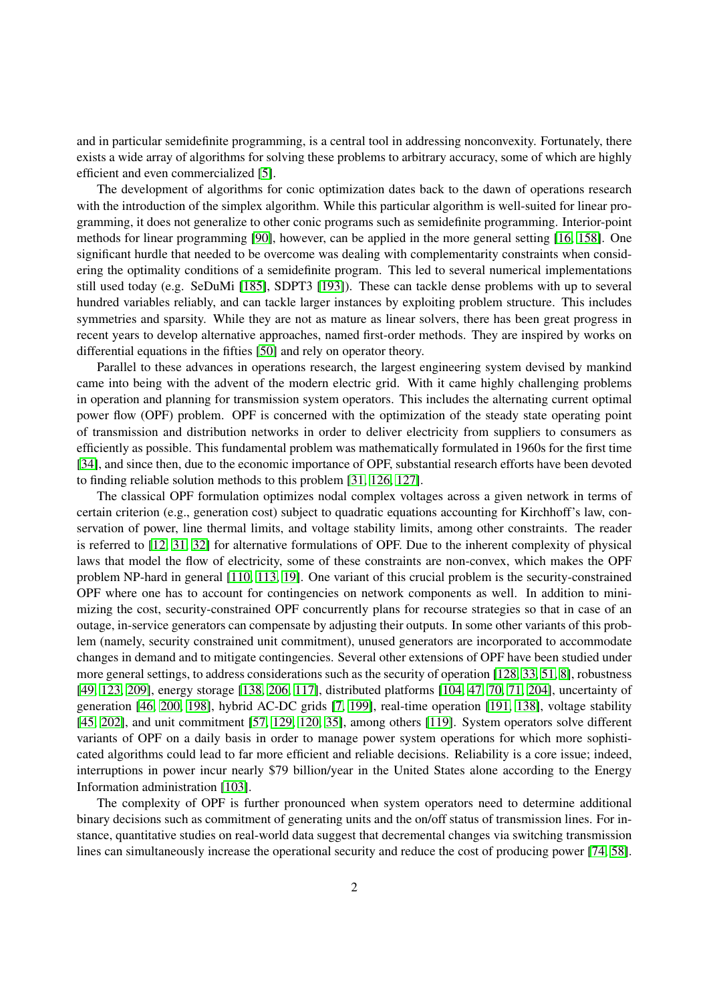and in particular semidefinite programming, is a central tool in addressing nonconvexity. Fortunately, there exists a wide array of algorithms for solving these problems to arbitrary accuracy, some of which are highly efficient and even commercialized [\[5\]](#page-24-0).

The development of algorithms for conic optimization dates back to the dawn of operations research with the introduction of the simplex algorithm. While this particular algorithm is well-suited for linear programming, it does not generalize to other conic programs such as semidefinite programming. Interior-point methods for linear programming [\[90\]](#page-27-2), however, can be applied in the more general setting [\[16,](#page-24-1) [158\]](#page-29-2). One significant hurdle that needed to be overcome was dealing with complementarity constraints when considering the optimality conditions of a semidefinite program. This led to several numerical implementations still used today (e.g. SeDuMi [\[185\]](#page-30-2), SDPT3 [\[193\]](#page-30-3)). These can tackle dense problems with up to several hundred variables reliably, and can tackle larger instances by exploiting problem structure. This includes symmetries and sparsity. While they are not as mature as linear solvers, there has been great progress in recent years to develop alternative approaches, named first-order methods. They are inspired by works on differential equations in the fifties [\[50\]](#page-25-0) and rely on operator theory.

Parallel to these advances in operations research, the largest engineering system devised by mankind came into being with the advent of the modern electric grid. With it came highly challenging problems in operation and planning for transmission system operators. This includes the alternating current optimal power flow (OPF) problem. OPF is concerned with the optimization of the steady state operating point of transmission and distribution networks in order to deliver electricity from suppliers to consumers as efficiently as possible. This fundamental problem was mathematically formulated in 1960s for the first time [\[34\]](#page-25-1), and since then, due to the economic importance of OPF, substantial research efforts have been devoted to finding reliable solution methods to this problem [\[31,](#page-25-2) [126,](#page-28-1) [127\]](#page-28-2).

The classical OPF formulation optimizes nodal complex voltages across a given network in terms of certain criterion (e.g., generation cost) subject to quadratic equations accounting for Kirchhoff's law, conservation of power, line thermal limits, and voltage stability limits, among other constraints. The reader is referred to [\[12,](#page-24-2) [31,](#page-25-2) [32\]](#page-25-3) for alternative formulations of OPF. Due to the inherent complexity of physical laws that model the flow of electricity, some of these constraints are non-convex, which makes the OPF problem NP-hard in general [\[110,](#page-27-3) [113,](#page-27-4) [19\]](#page-24-3). One variant of this crucial problem is the security-constrained OPF where one has to account for contingencies on network components as well. In addition to minimizing the cost, security-constrained OPF concurrently plans for recourse strategies so that in case of an outage, in-service generators can compensate by adjusting their outputs. In some other variants of this problem (namely, security constrained unit commitment), unused generators are incorporated to accommodate changes in demand and to mitigate contingencies. Several other extensions of OPF have been studied under more general settings, to address considerations such as the security of operation [\[128,](#page-28-3) [33,](#page-25-4) [51,](#page-25-5) [8\]](#page-24-4), robustness [\[49,](#page-25-6) [123,](#page-28-4) [209\]](#page-31-0), energy storage [\[138,](#page-28-5) [206,](#page-31-1) [117\]](#page-28-6), distributed platforms [\[104,](#page-27-5) [47,](#page-25-7) [70,](#page-26-0) [71,](#page-26-1) [204\]](#page-31-2), uncertainty of generation [\[46,](#page-25-8) [200,](#page-30-4) [198\]](#page-30-5), hybrid AC-DC grids [\[7,](#page-24-5) [199\]](#page-30-6), real-time operation [\[191,](#page-30-7) [138\]](#page-28-5), voltage stability [\[45,](#page-25-9) [202\]](#page-31-3), and unit commitment [\[57,](#page-26-2) [129,](#page-28-7) [120,](#page-28-8) [35\]](#page-25-10), among others [\[119\]](#page-28-9). System operators solve different variants of OPF on a daily basis in order to manage power system operations for which more sophisticated algorithms could lead to far more efficient and reliable decisions. Reliability is a core issue; indeed, interruptions in power incur nearly \$79 billion/year in the United States alone according to the Energy Information administration [\[103\]](#page-27-6).

The complexity of OPF is further pronounced when system operators need to determine additional binary decisions such as commitment of generating units and the on/off status of transmission lines. For instance, quantitative studies on real-world data suggest that decremental changes via switching transmission lines can simultaneously increase the operational security and reduce the cost of producing power [\[74,](#page-26-3) [58\]](#page-26-4).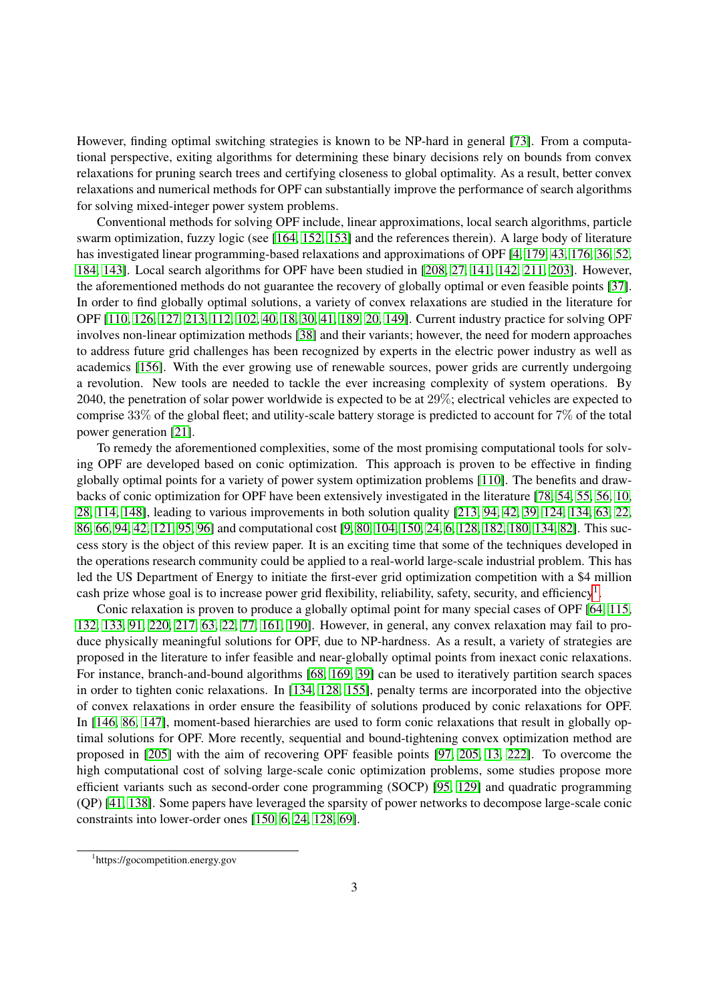However, finding optimal switching strategies is known to be NP-hard in general [\[73\]](#page-26-5). From a computational perspective, exiting algorithms for determining these binary decisions rely on bounds from convex relaxations for pruning search trees and certifying closeness to global optimality. As a result, better convex relaxations and numerical methods for OPF can substantially improve the performance of search algorithms for solving mixed-integer power system problems.

Conventional methods for solving OPF include, linear approximations, local search algorithms, particle swarm optimization, fuzzy logic (see [\[164,](#page-29-3) [152,](#page-29-4) [153\]](#page-29-5) and the references therein). A large body of literature has investigated linear programming-based relaxations and approximations of OPF [\[4,](#page-24-6) [179,](#page-30-8) [43,](#page-25-11) [176,](#page-30-9) [36,](#page-25-12) [52,](#page-25-13) [184,](#page-30-10) [143\]](#page-29-6). Local search algorithms for OPF have been studied in [\[208,](#page-31-4) [27,](#page-24-7) [141,](#page-28-10) [142,](#page-28-11) [211,](#page-31-5) [203\]](#page-31-6). However, the aforementioned methods do not guarantee the recovery of globally optimal or even feasible points [\[37\]](#page-25-14). In order to find globally optimal solutions, a variety of convex relaxations are studied in the literature for OPF [\[110,](#page-27-3) [126,](#page-28-1) [127,](#page-28-2) [213,](#page-31-7) [112,](#page-27-7) [102,](#page-27-8) [40,](#page-25-15) [18,](#page-24-8) [30,](#page-25-16) [41,](#page-25-17) [189,](#page-30-11) [20,](#page-24-9) [149\]](#page-29-7). Current industry practice for solving OPF involves non-linear optimization methods [\[38\]](#page-25-18) and their variants; however, the need for modern approaches to address future grid challenges has been recognized by experts in the electric power industry as well as academics [\[156\]](#page-29-8). With the ever growing use of renewable sources, power grids are currently undergoing a revolution. New tools are needed to tackle the ever increasing complexity of system operations. By 2040, the penetration of solar power worldwide is expected to be at 29%; electrical vehicles are expected to comprise 33% of the global fleet; and utility-scale battery storage is predicted to account for 7% of the total power generation [\[21\]](#page-24-10).

To remedy the aforementioned complexities, some of the most promising computational tools for solving OPF are developed based on conic optimization. This approach is proven to be effective in finding globally optimal points for a variety of power system optimization problems [\[110\]](#page-27-3). The benefits and drawbacks of conic optimization for OPF have been extensively investigated in the literature [\[78,](#page-26-6) [54,](#page-25-19) [55,](#page-25-20) [56,](#page-25-21) [10,](#page-24-11) [28,](#page-24-12) [114,](#page-28-12) [148\]](#page-29-9), leading to various improvements in both solution quality [\[213,](#page-31-7) [94,](#page-27-9) [42,](#page-25-22) [39,](#page-25-23) [124,](#page-28-13) [134,](#page-28-14) [63,](#page-26-7) [22,](#page-24-13) [86,](#page-27-10) [66,](#page-26-8) [94,](#page-27-9) [42,](#page-25-22) [121,](#page-28-15) [95,](#page-27-11) [96\]](#page-27-12) and computational cost [\[9,](#page-24-14) [80,](#page-26-9) [104,](#page-27-5) [150,](#page-29-10) [24,](#page-24-15) [6,](#page-24-16) [128,](#page-28-3) [182,](#page-30-12) [180,](#page-30-13) [134,](#page-28-14) [82\]](#page-26-10). This success story is the object of this review paper. It is an exciting time that some of the techniques developed in the operations research community could be applied to a real-world large-scale industrial problem. This has led the US Department of Energy to initiate the first-ever grid optimization competition with a \$4 million cash prize whose goal is to increase power grid flexibility, reliability, safety, security, and efficiency<sup>[1](#page-0-0)</sup>.

Conic relaxation is proven to produce a globally optimal point for many special cases of OPF [\[64,](#page-26-11) [115,](#page-28-16) [132,](#page-28-17) [133,](#page-28-18) [91,](#page-27-13) [220,](#page-31-8) [217,](#page-31-9) [63,](#page-26-7) [22,](#page-24-13) [77,](#page-26-12) [161,](#page-29-11) [190\]](#page-30-14). However, in general, any convex relaxation may fail to produce physically meaningful solutions for OPF, due to NP-hardness. As a result, a variety of strategies are proposed in the literature to infer feasible and near-globally optimal points from inexact conic relaxations. For instance, branch-and-bound algorithms [\[68,](#page-26-13) [169,](#page-29-12) [39\]](#page-25-23) can be used to iteratively partition search spaces in order to tighten conic relaxations. In [\[134,](#page-28-14) [128,](#page-28-3) [155\]](#page-29-13), penalty terms are incorporated into the objective of convex relaxations in order ensure the feasibility of solutions produced by conic relaxations for OPF. In [\[146,](#page-29-14) [86,](#page-27-10) [147\]](#page-29-15), moment-based hierarchies are used to form conic relaxations that result in globally optimal solutions for OPF. More recently, sequential and bound-tightening convex optimization method are proposed in [\[205\]](#page-31-10) with the aim of recovering OPF feasible points [\[97,](#page-27-14) [205,](#page-31-10) [13,](#page-24-17) [222\]](#page-31-11). To overcome the high computational cost of solving large-scale conic optimization problems, some studies propose more efficient variants such as second-order cone programming (SOCP) [\[95,](#page-27-11) [129\]](#page-28-7) and quadratic programming (QP) [\[41,](#page-25-17) [138\]](#page-28-5). Some papers have leveraged the sparsity of power networks to decompose large-scale conic constraints into lower-order ones [\[150,](#page-29-10) [6,](#page-24-16) [24,](#page-24-15) [128,](#page-28-3) [69\]](#page-26-14).

<sup>1</sup> https://gocompetition.energy.gov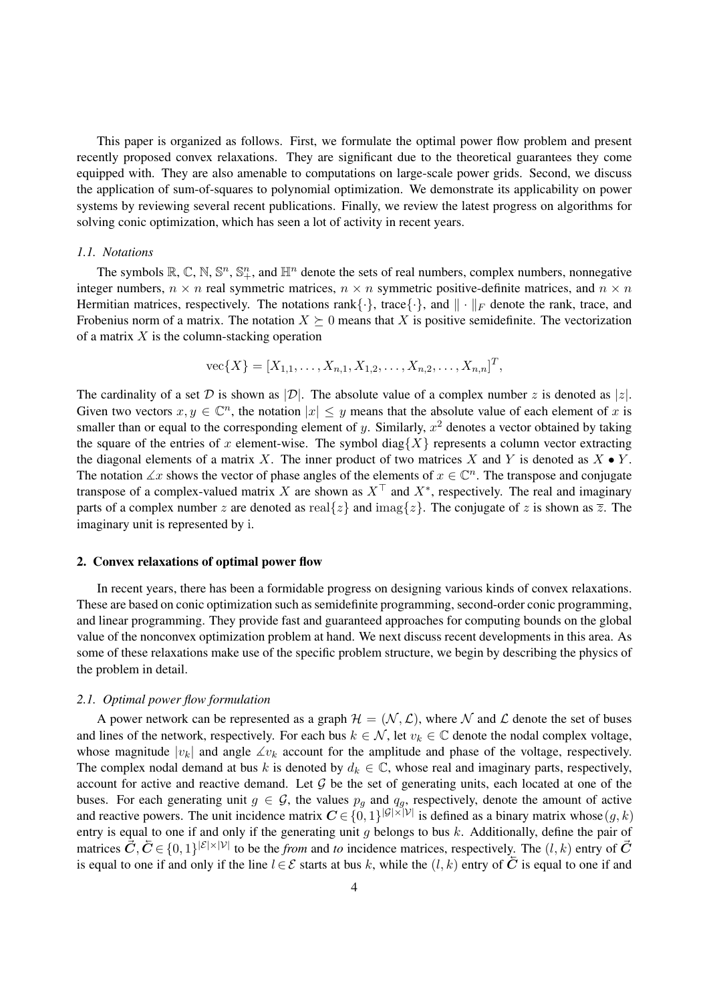This paper is organized as follows. First, we formulate the optimal power flow problem and present recently proposed convex relaxations. They are significant due to the theoretical guarantees they come equipped with. They are also amenable to computations on large-scale power grids. Second, we discuss the application of sum-of-squares to polynomial optimization. We demonstrate its applicability on power systems by reviewing several recent publications. Finally, we review the latest progress on algorithms for solving conic optimization, which has seen a lot of activity in recent years.

# *1.1. Notations*

The symbols  $\mathbb{R}$ ,  $\mathbb{C}$ ,  $\mathbb{N}$ ,  $\mathbb{S}^n$ ,  $\mathbb{S}^n_+$ , and  $\mathbb{H}^n$  denote the sets of real numbers, complex numbers, nonnegative integer numbers,  $n \times n$  real symmetric matrices,  $n \times n$  symmetric positive-definite matrices, and  $n \times n$ Hermitian matrices, respectively. The notations rank  $\{\cdot\}$ , trace  $\{\cdot\}$ , and  $\|\cdot\|_F$  denote the rank, trace, and Frobenius norm of a matrix. The notation  $X \succeq 0$  means that X is positive semidefinite. The vectorization of a matrix  $X$  is the column-stacking operation

$$
\text{vec}\{X\} = [X_{1,1}, \dots, X_{n,1}, X_{1,2}, \dots, X_{n,2}, \dots, X_{n,n}]^T,
$$

The cardinality of a set D is shown as  $|\mathcal{D}|$ . The absolute value of a complex number z is denoted as  $|z|$ . Given two vectors  $x, y \in \mathbb{C}^n$ , the notation  $|x| \leq y$  means that the absolute value of each element of x is smaller than or equal to the corresponding element of y. Similarly,  $x^2$  denotes a vector obtained by taking the square of the entries of x element-wise. The symbol diag{X} represents a column vector extracting the diagonal elements of a matrix X. The inner product of two matrices X and Y is denoted as  $X \bullet Y$ . The notation  $\angle x$  shows the vector of phase angles of the elements of  $x \in \mathbb{C}^n$ . The transpose and conjugate transpose of a complex-valued matrix X are shown as  $X^{\top}$  and  $X^*$ , respectively. The real and imaginary parts of a complex number z are denoted as real $\{z\}$  and imag $\{z\}$ . The conjugate of z is shown as  $\overline{z}$ . The imaginary unit is represented by i.

# 2. Convex relaxations of optimal power flow

In recent years, there has been a formidable progress on designing various kinds of convex relaxations. These are based on conic optimization such as semidefinite programming, second-order conic programming, and linear programming. They provide fast and guaranteed approaches for computing bounds on the global value of the nonconvex optimization problem at hand. We next discuss recent developments in this area. As some of these relaxations make use of the specific problem structure, we begin by describing the physics of the problem in detail.

# *2.1. Optimal power flow formulation*

A power network can be represented as a graph  $\mathcal{H} = (\mathcal{N}, \mathcal{L})$ , where N and L denote the set of buses and lines of the network, respectively. For each bus  $k \in \mathcal{N}$ , let  $v_k \in \mathbb{C}$  denote the nodal complex voltage, whose magnitude  $|v_k|$  and angle  $\measuredangle v_k$  account for the amplitude and phase of the voltage, respectively. The complex nodal demand at bus k is denoted by  $d_k \in \mathbb{C}$ , whose real and imaginary parts, respectively, account for active and reactive demand. Let  $G$  be the set of generating units, each located at one of the buses. For each generating unit  $g \in \mathcal{G}$ , the values  $p_g$  and  $q_g$ , respectively, denote the amount of active and reactive powers. The unit incidence matrix  $C \in \{0,1\}^{|G|\times |\mathcal{V}|}$  is defined as a binary matrix whose  $(g, k)$ entry is equal to one if and only if the generating unit g belongs to bus  $k$ . Additionally, define the pair of matrices  $\vec{C}, \vec{C} \in \{0,1\}^{|\mathcal{E}| \times |\mathcal{V}|}$  to be the *from* and *to* incidence matrices, respectively. The  $(l, k)$  entry of  $\vec{C}$ is equal to one if and only if the line  $l \in \mathcal{E}$  starts at bus k, while the  $(l, k)$  entry of  $\overline{C}$  is equal to one if and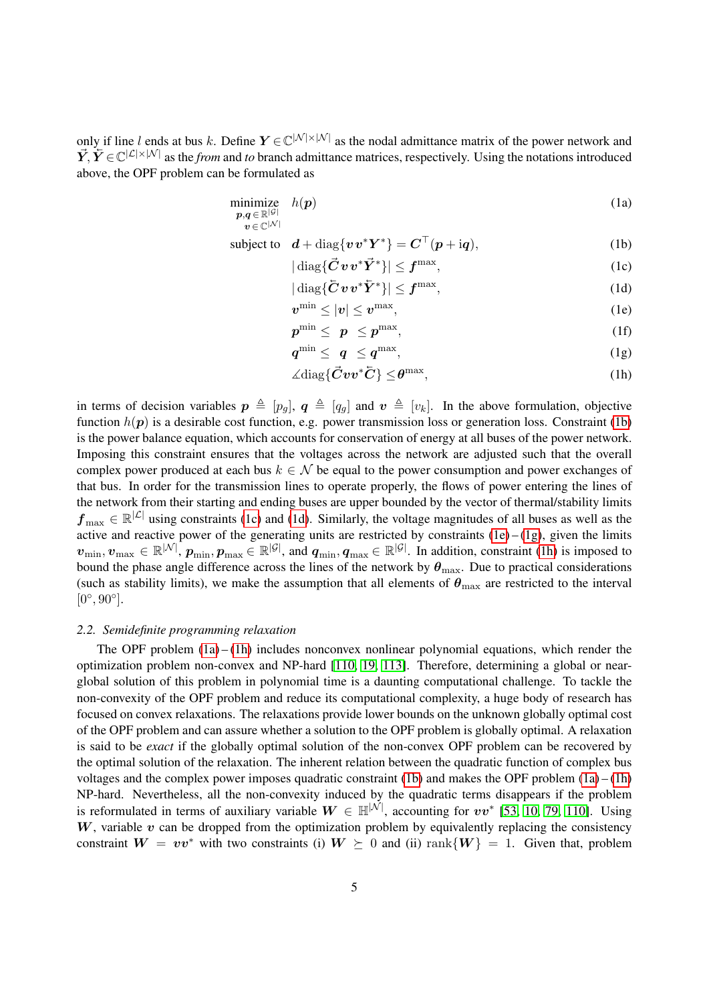only if line l ends at bus k. Define  $Y \in \mathbb{C}^{|\mathcal{N}| \times |\mathcal{N}|}$  as the nodal admittance matrix of the power network and  $\vec{Y}, \vec{Y} \in \mathbb{C}^{|\mathcal{L}| \times |\mathcal{N}|}$  as the *from* and *to* branch admittance matrices, respectively. Using the notations introduced above, the OPF problem can be formulated as

 $\boldsymbol{v}\!\in\!\mathbb{C}^{|\mathcal{N}|}$ 

$$
\underset{\boldsymbol{p},\boldsymbol{q}\in\mathbb{R}^{|G|}}{\text{minimize}} \quad h(\boldsymbol{p})\tag{1a}
$$

subject to 
$$
\mathbf{d} + \text{diag}\{\mathbf{v}\mathbf{v}^*\mathbf{Y}^*\} = \mathbf{C}^\top(\mathbf{p} + \text{i}\mathbf{q}),
$$
 (1b)

<span id="page-4-6"></span><span id="page-4-1"></span><span id="page-4-0"></span> $|\operatorname{diag}\{\vec{C}\,\bm{v}\,\bm{v}^*\vec{Y}^*\}| \leq \bm{f}^{\max}$  $,$  (1c)

<span id="page-4-2"></span>
$$
|\operatorname{diag}\{\bar{\boldsymbol{C}}\boldsymbol{v}\boldsymbol{v}^*\bar{\boldsymbol{Y}}^*\}|\leq \boldsymbol{f}^{\max},\tag{1d}
$$

<span id="page-4-3"></span>
$$
v^{\min} \le |v| \le v^{\max}, \tag{1e}
$$

$$
p^{\min} \leq p \leq p^{\max}, \tag{1f}
$$

$$
q^{\min} \leq q \leq q^{\max}, \tag{1g}
$$

<span id="page-4-5"></span><span id="page-4-4"></span>
$$
\angle \text{diag}\{\vec{C}vv^*\vec{C}\}\leq \theta^{\max},\tag{1h}
$$

in terms of decision variables  $p \triangleq [p_q]$ ,  $q \triangleq [q_q]$  and  $v \triangleq [v_k]$ . In the above formulation, objective function  $h(p)$  is a desirable cost function, e.g. power transmission loss or generation loss. Constraint [\(1b\)](#page-4-0) is the power balance equation, which accounts for conservation of energy at all buses of the power network. Imposing this constraint ensures that the voltages across the network are adjusted such that the overall complex power produced at each bus  $k \in \mathcal{N}$  be equal to the power consumption and power exchanges of that bus. In order for the transmission lines to operate properly, the flows of power entering the lines of the network from their starting and ending buses are upper bounded by the vector of thermal/stability limits  $f_{\text{max}} \in \mathbb{R}^{|\mathcal{L}|}$  using constraints [\(1c\)](#page-4-1) and [\(1d\)](#page-4-2). Similarly, the voltage magnitudes of all buses as well as the active and reactive power of the generating units are restricted by constraints  $(1e) - (1g)$  $(1e) - (1g)$  $(1e) - (1g)$ , given the limits  $v_{\min}, v_{\max} \in \mathbb{R}^{|\mathcal{N}|}, p_{\min}, p_{\max} \in \mathbb{R}^{|\mathcal{G}|}$ , and  $q_{\min}, q_{\max} \in \mathbb{R}^{|\mathcal{G}|}$ . In addition, constraint [\(1h\)](#page-4-5) is imposed to bound the phase angle difference across the lines of the network by  $\theta_{\text{max}}$ . Due to practical considerations (such as stability limits), we make the assumption that all elements of  $\theta_{\text{max}}$  are restricted to the interval  $[0^\circ, 90^\circ]$ .

#### *2.2. Semidefinite programming relaxation*

The OPF problem  $(1a) - (1h)$  $(1a) - (1h)$  $(1a) - (1h)$  includes nonconvex nonlinear polynomial equations, which render the optimization problem non-convex and NP-hard [\[110,](#page-27-3) [19,](#page-24-3) [113\]](#page-27-4). Therefore, determining a global or nearglobal solution of this problem in polynomial time is a daunting computational challenge. To tackle the non-convexity of the OPF problem and reduce its computational complexity, a huge body of research has focused on convex relaxations. The relaxations provide lower bounds on the unknown globally optimal cost of the OPF problem and can assure whether a solution to the OPF problem is globally optimal. A relaxation is said to be *exact* if the globally optimal solution of the non-convex OPF problem can be recovered by the optimal solution of the relaxation. The inherent relation between the quadratic function of complex bus voltages and the complex power imposes quadratic constraint [\(1b\)](#page-4-0) and makes the OPF problem  $(1a) - (1h)$  $(1a) - (1h)$  $(1a) - (1h)$ NP-hard. Nevertheless, all the non-convexity induced by the quadratic terms disappears if the problem is reformulated in terms of auxiliary variable  $W \in \mathbb{H}^{|\mathcal{N}|}$ , accounting for  $vv^*$  [\[53,](#page-25-24) [10,](#page-24-11) [79,](#page-26-15) [110\]](#page-27-3). Using  $W$ , variable  $v$  can be dropped from the optimization problem by equivalently replacing the consistency constraint  $W = v v^*$  with two constraints (i)  $W \succeq 0$  and (ii) rank $\{W\} = 1$ . Given that, problem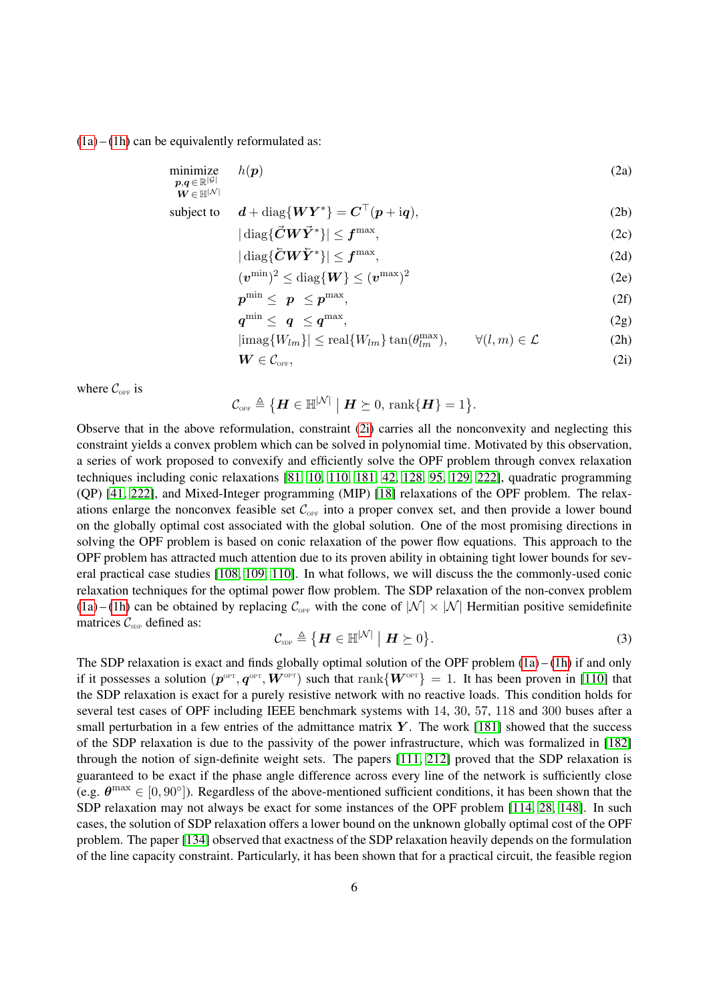$(1a) - (1h)$  $(1a) - (1h)$  $(1a) - (1h)$  can be equivalently reformulated as:

$$
\begin{array}{ll}\n\text{minimize} & h(\mathbf{p}) \\
\mathbf{p}, \mathbf{q} \in \mathbb{R}^{|\mathcal{G}|} \\
\mathbf{W} \in \mathbb{H}^{|\mathcal{N}|}\n\end{array} \tag{2a}
$$

subject to 
$$
\mathbf{d} + \text{diag}\{\mathbf{W}\mathbf{Y}^*\} = \mathbf{C}^\top(\mathbf{p} + \text{i}\mathbf{q}),
$$
 (2b)

<span id="page-5-2"></span>
$$
|\operatorname{diag}\{\vec{C}W\vec{Y}^*\}| \le f^{\max},\tag{2c}
$$

$$
|\operatorname{diag}\{\bar{C}W\bar{Y}^*\}|\leq f^{\max},\tag{2d}
$$

$$
(\boldsymbol{v}^{\min})^2 \le \text{diag}\{\boldsymbol{W}\} \le (\boldsymbol{v}^{\max})^2 \tag{2e}
$$

$$
p^{\min} \leq p \leq p^{\max}, \tag{2f}
$$

$$
q^{\min} \leq q \leq q^{\max}, \tag{2g}
$$

$$
|\text{imag}\{W_{lm}\}| \le \text{real}\{W_{lm}\}\tan(\theta_{lm}^{\text{max}}), \qquad \forall (l,m) \in \mathcal{L}
$$
 (2h)

<span id="page-5-1"></span><span id="page-5-0"></span>
$$
\boldsymbol{W} \in \mathcal{C}_{\text{OFF}},\tag{2i}
$$

where  $\mathcal{C}_{\text{OPT}}$  is

<span id="page-5-3"></span>
$$
\mathcal{C}_{\text{\tiny{OPT}}}\triangleq \big\{\boldsymbol{H}\in\mathbb{H}^{|\mathcal{N}|} \;\big|\; \boldsymbol{H}\succeq 0, \, \text{rank}\{\boldsymbol{H}\}=1\big\}.
$$

Observe that in the above reformulation, constraint [\(2i\)](#page-5-0) carries all the nonconvexity and neglecting this constraint yields a convex problem which can be solved in polynomial time. Motivated by this observation, a series of work proposed to convexify and efficiently solve the OPF problem through convex relaxation techniques including conic relaxations [\[81,](#page-26-16) [10,](#page-24-11) [110,](#page-27-3) [181,](#page-30-15) [42,](#page-25-22) [128,](#page-28-3) [95,](#page-27-11) [129,](#page-28-7) [222\]](#page-31-11), quadratic programming (QP) [\[41,](#page-25-17) [222\]](#page-31-11), and Mixed-Integer programming (MIP) [\[18\]](#page-24-8) relaxations of the OPF problem. The relaxations enlarge the nonconvex feasible set  $\mathcal{C}_{\text{OFF}}$  into a proper convex set, and then provide a lower bound on the globally optimal cost associated with the global solution. One of the most promising directions in solving the OPF problem is based on conic relaxation of the power flow equations. This approach to the OPF problem has attracted much attention due to its proven ability in obtaining tight lower bounds for several practical case studies [\[108,](#page-27-15) [109,](#page-27-16) [110\]](#page-27-3). In what follows, we will discuss the the commonly-used conic relaxation techniques for the optimal power flow problem. The SDP relaxation of the non-convex problem [\(1a\)](#page-4-6) – [\(1h\)](#page-4-5) can be obtained by replacing  $\mathcal{C}_{\text{OPT}}$  with the cone of  $|\mathcal{N}| \times |\mathcal{N}|$  Hermitian positive semidefinite matrices  $C_{\text{SDP}}$  defined as:

$$
\mathcal{C}_{\text{SDP}} \triangleq \{ \boldsymbol{H} \in \mathbb{H}^{|\mathcal{N}|} \mid \boldsymbol{H} \succeq 0 \}.
$$
 (3)

The SDP relaxation is exact and finds globally optimal solution of the OPF problem  $(1a) - (1h)$  $(1a) - (1h)$  $(1a) - (1h)$  if and only if it possesses a solution  $(p^{opt}, q^{opt}, W^{opt})$  such that  $rank\{W^{opt}\}=1$ . It has been proven in [\[110\]](#page-27-3) that the SDP relaxation is exact for a purely resistive network with no reactive loads. This condition holds for several test cases of OPF including IEEE benchmark systems with 14, 30, 57, 118 and 300 buses after a small perturbation in a few entries of the admittance matrix  $\boldsymbol{Y}$ . The work [\[181\]](#page-30-15) showed that the success of the SDP relaxation is due to the passivity of the power infrastructure, which was formalized in [\[182\]](#page-30-12) through the notion of sign-definite weight sets. The papers [\[111,](#page-27-17) [212\]](#page-31-12) proved that the SDP relaxation is guaranteed to be exact if the phase angle difference across every line of the network is sufficiently close (e.g.  $\theta^{\text{max}} \in [0, 90^{\circ}]$ ). Regardless of the above-mentioned sufficient conditions, it has been shown that the SDP relaxation may not always be exact for some instances of the OPF problem [\[114,](#page-28-12) [28,](#page-24-12) [148\]](#page-29-9). In such cases, the solution of SDP relaxation offers a lower bound on the unknown globally optimal cost of the OPF problem. The paper [\[134\]](#page-28-14) observed that exactness of the SDP relaxation heavily depends on the formulation of the line capacity constraint. Particularly, it has been shown that for a practical circuit, the feasible region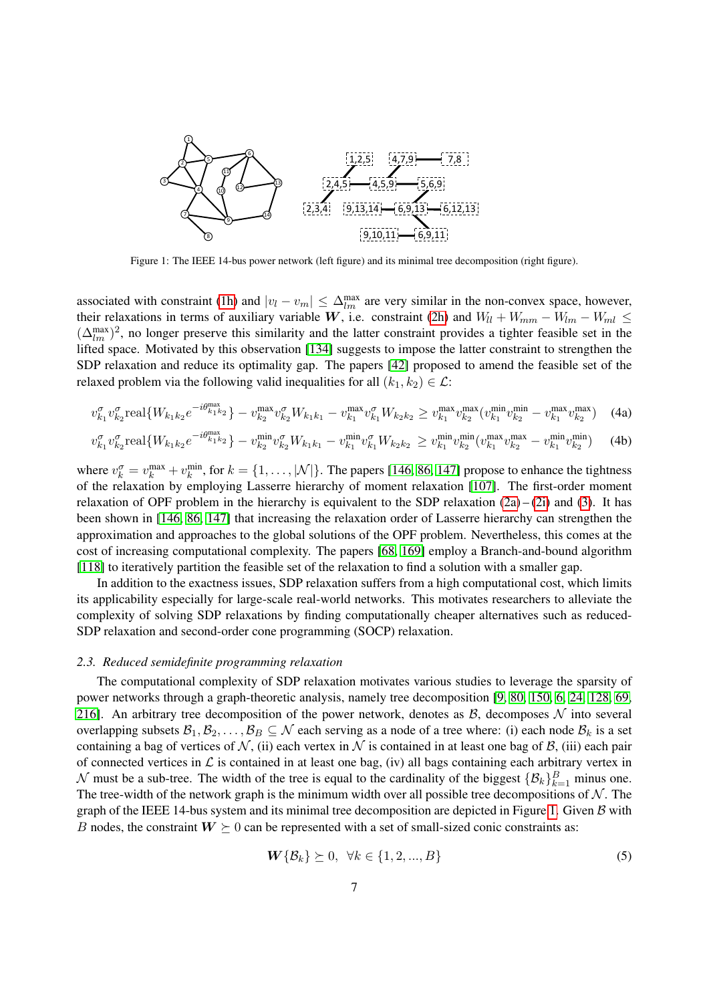<span id="page-6-0"></span>

Figure 1: The IEEE 14-bus power network (left figure) and its minimal tree decomposition (right figure).

associated with constraint [\(1h\)](#page-4-5) and  $|v_l - v_m| \leq \Delta_{lm}^{\text{max}}$  are very similar in the non-convex space, however, their relaxations in terms of auxiliary variable W, i.e. constraint [\(2h\)](#page-5-1) and  $W_{ll} + W_{mm} - W_{lm} - W_{ml} \leq$  $(\Delta_{lm}^{\text{max}})^2$ , no longer preserve this similarity and the latter constraint provides a tighter feasible set in the lifted space. Motivated by this observation [\[134\]](#page-28-14) suggests to impose the latter constraint to strengthen the SDP relaxation and reduce its optimality gap. The papers [\[42\]](#page-25-22) proposed to amend the feasible set of the relaxed problem via the following valid inequalities for all  $(k_1, k_2) \in \mathcal{L}$ :

$$
v_{k_1}^{\sigma} v_{k_2}^{\sigma} \text{real}\{W_{k_1 k_2} e^{-i\theta_{k_1 k_2}^{\text{max}}} \} - v_{k_2}^{\text{max}} v_{k_2}^{\sigma} W_{k_1 k_1} - v_{k_1}^{\text{max}} v_{k_1}^{\sigma} W_{k_2 k_2} \geq v_{k_1}^{\text{max}} v_{k_2}^{\text{max}} (v_{k_1}^{\text{min}} v_{k_2}^{\text{min}} - v_{k_1}^{\text{max}} v_{k_2}^{\text{max}}) \tag{4a}
$$

$$
v_{k_1}^{\sigma} v_{k_2}^{\sigma} \text{real}\{W_{k_1 k_2} e^{-i\theta_{k_1 k_2}^{\text{max}}} \} - v_{k_2}^{\text{min}} v_{k_2}^{\sigma} W_{k_1 k_1} - v_{k_1}^{\text{min}} v_{k_1}^{\sigma} W_{k_2 k_2} \geq v_{k_1}^{\text{min}} v_{k_2}^{\text{min}} (v_{k_1}^{\text{max}} v_{k_2}^{\text{max}} - v_{k_1}^{\text{min}} v_{k_2}^{\text{min}}) \tag{4b}
$$

where  $v_k^{\sigma} = v_k^{\max} + v_k^{\min}$ , for  $k = \{1, ..., |\mathcal{N}|\}$ . The papers [\[146,](#page-29-14) [86,](#page-27-10) [147\]](#page-29-15) propose to enhance the tightness of the relaxation by employing Lasserre hierarchy of moment relaxation [\[107\]](#page-27-18). The first-order moment relaxation of OPF problem in the hierarchy is equivalent to the SDP relaxation  $(2a) - (2i)$  $(2a) - (2i)$  $(2a) - (2i)$  and [\(3\)](#page-5-3). It has been shown in [\[146,](#page-29-14) [86,](#page-27-10) [147\]](#page-29-15) that increasing the relaxation order of Lasserre hierarchy can strengthen the approximation and approaches to the global solutions of the OPF problem. Nevertheless, this comes at the cost of increasing computational complexity. The papers [\[68,](#page-26-13) [169\]](#page-29-12) employ a Branch-and-bound algorithm [\[118\]](#page-28-19) to iteratively partition the feasible set of the relaxation to find a solution with a smaller gap.

In addition to the exactness issues, SDP relaxation suffers from a high computational cost, which limits its applicability especially for large-scale real-world networks. This motivates researchers to alleviate the complexity of solving SDP relaxations by finding computationally cheaper alternatives such as reduced-SDP relaxation and second-order cone programming (SOCP) relaxation.

# *2.3. Reduced semidefinite programming relaxation*

The computational complexity of SDP relaxation motivates various studies to leverage the sparsity of power networks through a graph-theoretic analysis, namely tree decomposition [\[9,](#page-24-14) [80,](#page-26-9) [150,](#page-29-10) [6,](#page-24-16) [24,](#page-24-15) [128,](#page-28-3) [69,](#page-26-14) [216\]](#page-31-13). An arbitrary tree decomposition of the power network, denotes as  $\beta$ , decomposes  $\mathcal N$  into several overlapping subsets  $\mathcal{B}_1, \mathcal{B}_2, \ldots, \mathcal{B}_B \subseteq \mathcal{N}$  each serving as a node of a tree where: (i) each node  $\mathcal{B}_k$  is a set containing a bag of vertices of N, (ii) each vertex in N is contained in at least one bag of B, (iii) each pair of connected vertices in  $\mathcal L$  is contained in at least one bag, (iv) all bags containing each arbitrary vertex in N must be a sub-tree. The width of the tree is equal to the cardinality of the biggest  $\{\mathcal{B}_k\}_{k=1}^B$  minus one. The tree-width of the network graph is the minimum width over all possible tree decompositions of  $\mathcal N$ . The graph of the IEEE 14-bus system and its minimal tree decomposition are depicted in Figure [1.](#page-6-0) Given  $\beta$  with B nodes, the constraint  $W \succeq 0$  can be represented with a set of small-sized conic constraints as:

$$
\mathbf{W}\{\mathcal{B}_k\} \succeq 0, \ \forall k \in \{1, 2, ..., B\} \tag{5}
$$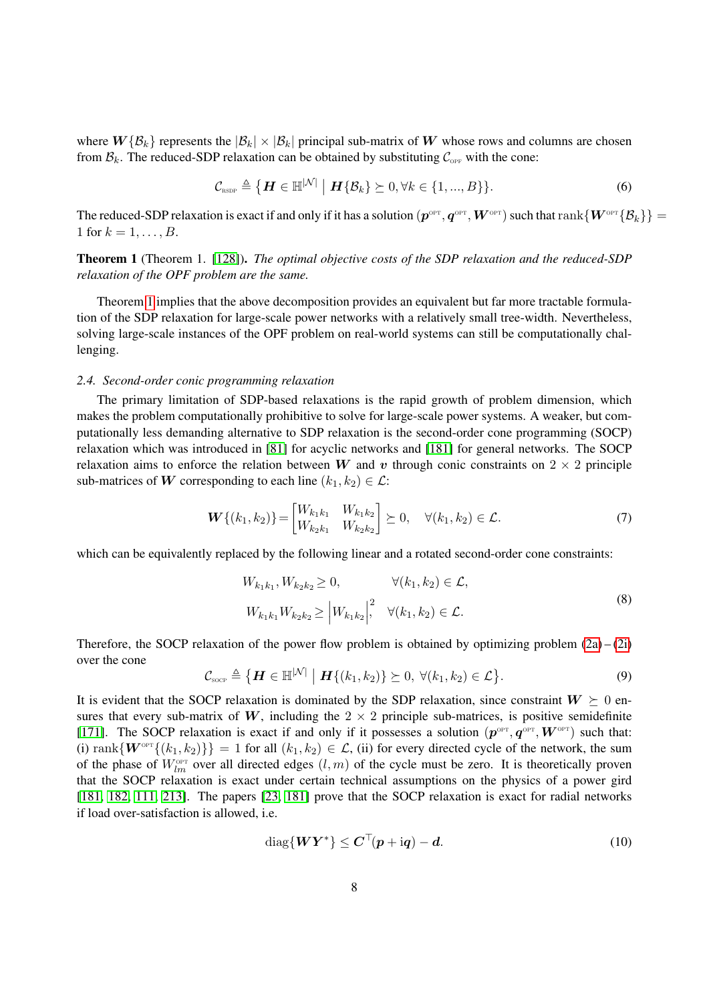where  $W\{\mathcal{B}_k\}$  represents the  $|\mathcal{B}_k| \times |\mathcal{B}_k|$  principal sub-matrix of W whose rows and columns are chosen from  $\mathcal{B}_k$ . The reduced-SDP relaxation can be obtained by substituting  $\mathcal{C}_{\text{OPT}}$  with the cone:

$$
\mathcal{C}_{\text{rsop}} \triangleq \left\{ \boldsymbol{H} \in \mathbb{H}^{|\mathcal{N}|} \mid \boldsymbol{H} \{ \mathcal{B}_k \} \geq 0, \forall k \in \{1, ..., B \} \right\}.
$$
 (6)

The reduced-SDP relaxation is exact if and only if it has a solution  $(\bm p^{\rm opr},\bm q^{\rm opr},\bm W^{\rm opr})$  such that  ${\rm rank}\{\bm W^{\rm opr}\{\mathcal{B}_k\}\}=$ 1 for  $k = 1, ..., B$ .

<span id="page-7-0"></span>Theorem 1 (Theorem 1. [\[128\]](#page-28-3)). *The optimal objective costs of the SDP relaxation and the reduced-SDP relaxation of the OPF problem are the same.*

Theorem [1](#page-7-0) implies that the above decomposition provides an equivalent but far more tractable formulation of the SDP relaxation for large-scale power networks with a relatively small tree-width. Nevertheless, solving large-scale instances of the OPF problem on real-world systems can still be computationally challenging.

#### *2.4. Second-order conic programming relaxation*

The primary limitation of SDP-based relaxations is the rapid growth of problem dimension, which makes the problem computationally prohibitive to solve for large-scale power systems. A weaker, but computationally less demanding alternative to SDP relaxation is the second-order cone programming (SOCP) relaxation which was introduced in [\[81\]](#page-26-16) for acyclic networks and [\[181\]](#page-30-15) for general networks. The SOCP relaxation aims to enforce the relation between W and v through conic constraints on  $2 \times 2$  principle sub-matrices of W corresponding to each line  $(k_1, k_2) \in \mathcal{L}$ :

<span id="page-7-1"></span>
$$
\boldsymbol{W}\{(k_1, k_2)\} = \begin{bmatrix} W_{k_1 k_1} & W_{k_1 k_2} \\ W_{k_2 k_1} & W_{k_2 k_2} \end{bmatrix} \succeq 0, \quad \forall (k_1, k_2) \in \mathcal{L}.
$$
 (7)

which can be equivalently replaced by the following linear and a rotated second-order cone constraints:

<span id="page-7-2"></span>
$$
W_{k_1k_1}, W_{k_2k_2} \ge 0, \qquad \forall (k_1, k_2) \in \mathcal{L},
$$
  
\n
$$
W_{k_1k_1} W_{k_2k_2} \ge |W_{k_1k_2}|^2, \quad \forall (k_1, k_2) \in \mathcal{L}.
$$
\n(8)

Therefore, the SOCP relaxation of the power flow problem is obtained by optimizing problem  $(2a) - (2i)$  $(2a) - (2i)$  $(2a) - (2i)$ over the cone

$$
\mathcal{C}_{\text{score}} \triangleq \left\{ \boldsymbol{H} \in \mathbb{H}^{|\mathcal{N}|} \mid \boldsymbol{H} \{ (k_1, k_2) \} \succeq 0, \ \forall (k_1, k_2) \in \mathcal{L} \right\}.
$$

It is evident that the SOCP relaxation is dominated by the SDP relaxation, since constraint  $W \succeq 0$  ensures that every sub-matrix of W, including the  $2 \times 2$  principle sub-matrices, is positive semidefinite [\[171\]](#page-30-16). The SOCP relaxation is exact if and only if it possesses a solution  $(p^{OPT}, q^{OPT}, W^{OPT})$  such that: (i) rank $\{W^{\text{OPT}}\{(k_1, k_2)\}\}=1$  for all  $(k_1, k_2) \in \mathcal{L}$ , (ii) for every directed cycle of the network, the sum of the phase of  $W_{lm}^{\text{opt}}$  over all directed edges  $(l, m)$  of the cycle must be zero. It is theoretically proven that the SOCP relaxation is exact under certain technical assumptions on the physics of a power gird [\[181,](#page-30-15) [182,](#page-30-12) [111,](#page-27-17) [213\]](#page-31-7). The papers [\[23,](#page-24-18) [181\]](#page-30-15) prove that the SOCP relaxation is exact for radial networks if load over-satisfaction is allowed, i.e.

$$
\text{diag}\{WY^*\} \leq C^\top (p + \mathrm{i}q) - d. \tag{10}
$$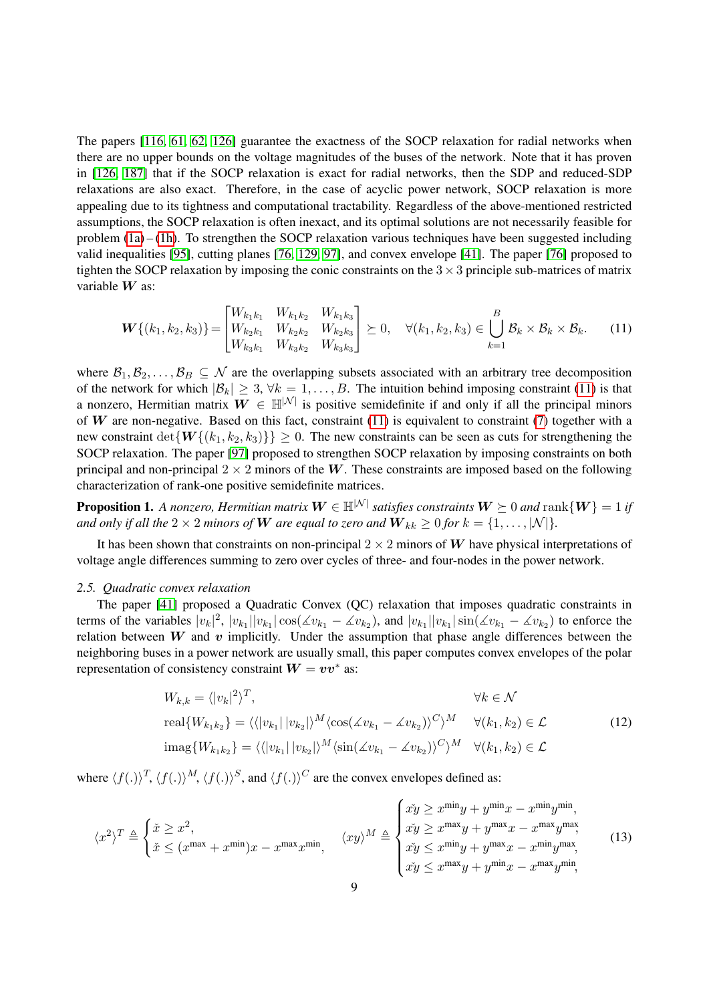The papers [\[116,](#page-28-20) [61,](#page-26-17) [62,](#page-26-18) [126\]](#page-28-1) guarantee the exactness of the SOCP relaxation for radial networks when there are no upper bounds on the voltage magnitudes of the buses of the network. Note that it has proven in [\[126,](#page-28-1) [187\]](#page-30-17) that if the SOCP relaxation is exact for radial networks, then the SDP and reduced-SDP relaxations are also exact. Therefore, in the case of acyclic power network, SOCP relaxation is more appealing due to its tightness and computational tractability. Regardless of the above-mentioned restricted assumptions, the SOCP relaxation is often inexact, and its optimal solutions are not necessarily feasible for problem  $(1a) - (1h)$  $(1a) - (1h)$  $(1a) - (1h)$ . To strengthen the SOCP relaxation various techniques have been suggested including valid inequalities [\[95\]](#page-27-11), cutting planes [\[76,](#page-26-19) [129,](#page-28-7) [97\]](#page-27-14), and convex envelope [\[41\]](#page-25-17). The paper [\[76\]](#page-26-19) proposed to tighten the SOCP relaxation by imposing the conic constraints on the  $3 \times 3$  principle sub-matrices of matrix variable  $W$  as:

<span id="page-8-0"></span>
$$
\boldsymbol{W}\{(k_1, k_2, k_3)\} = \begin{bmatrix} W_{k_1 k_1} & W_{k_1 k_2} & W_{k_1 k_3} \\ W_{k_2 k_1} & W_{k_2 k_2} & W_{k_2 k_3} \\ W_{k_3 k_1} & W_{k_3 k_2} & W_{k_3 k_3} \end{bmatrix} \succeq 0, \quad \forall (k_1, k_2, k_3) \in \bigcup_{k=1}^B \mathcal{B}_k \times \mathcal{B}_k \times \mathcal{B}_k. \tag{11}
$$

where  $\mathcal{B}_1, \mathcal{B}_2, \ldots, \mathcal{B}_B \subseteq \mathcal{N}$  are the overlapping subsets associated with an arbitrary tree decomposition of the network for which  $|\mathcal{B}_k| \geq 3$ ,  $\forall k = 1, \ldots, B$ . The intuition behind imposing constraint [\(11\)](#page-8-0) is that a nonzero, Hermitian matrix  $W \in \mathbb{H}^{|\mathcal{N}|}$  is positive semidefinite if and only if all the principal minors of W are non-negative. Based on this fact, constraint  $(11)$  is equivalent to constraint  $(7)$  together with a new constraint  $\det\{W\{(k_1, k_2, k_3)\}\} > 0$ . The new constraints can be seen as cuts for strengthening the SOCP relaxation. The paper [\[97\]](#page-27-14) proposed to strengthen SOCP relaxation by imposing constraints on both principal and non-principal  $2 \times 2$  minors of the W. These constraints are imposed based on the following characterization of rank-one positive semidefinite matrices.

**Proposition 1.** A nonzero, Hermitian matrix  $W \in \mathbb{H}^{|\mathcal{N}|}$  satisfies constraints  $W \geq 0$  and  $\text{rank}\{W\} = 1$  if *and only if all the*  $2 \times 2$  *minors of* W *are equal to zero and*  $W_{kk} \ge 0$  *for*  $k = \{1, \ldots, |\mathcal{N}|\}.$ 

It has been shown that constraints on non-principal  $2 \times 2$  minors of W have physical interpretations of voltage angle differences summing to zero over cycles of three- and four-nodes in the power network.

#### *2.5. Quadratic convex relaxation*

The paper [\[41\]](#page-25-17) proposed a Quadratic Convex (QC) relaxation that imposes quadratic constraints in terms of the variables  $|v_k|^2$ ,  $|v_{k_1}||v_{k_1}| \cos(\angle v_{k_1} - \angle v_{k_2})$ , and  $|v_{k_1}||v_{k_1}| \sin(\angle v_{k_1} - \angle v_{k_2})$  to enforce the relation between  $W$  and  $v$  implicitly. Under the assumption that phase angle differences between the neighboring buses in a power network are usually small, this paper computes convex envelopes of the polar representation of consistency constraint  $W = v v^*$  as:

$$
W_{k,k} = \langle |v_k|^2 \rangle^T,
$$
  
\n
$$
\forall k \in \mathcal{N}
$$
  
\n
$$
\text{real}\{W_{k_1k_2}\} = \langle \langle |v_{k_1}| |v_{k_2}| \rangle^M \langle \cos(\measuredangle v_{k_1} - \measuredangle v_{k_2}) \rangle^C \rangle^M \quad \forall (k_1, k_2) \in \mathcal{L}
$$
  
\n
$$
\text{imag}\{W_{k_1k_2}\} = \langle \langle |v_{k_1}| |v_{k_2}| \rangle^M \langle \sin(\measuredangle v_{k_1} - \measuredangle v_{k_2}) \rangle^C \rangle^M \quad \forall (k_1, k_2) \in \mathcal{L}
$$
\n(12)

where  $\langle f(.)\rangle^T$ ,  $\langle f(.)\rangle^M$ ,  $\langle f(.)\rangle^S$ , and  $\langle f(.)\rangle^C$  are the convex envelopes defined as:

$$
\langle x^2 \rangle^T \triangleq \begin{cases} \check{x} \ge x^2, \\ \check{x} \le (x^{\max} + x^{\min})x - x^{\max}x^{\min}, \end{cases} \quad \langle xy \rangle^M \triangleq \begin{cases} \check{x} \check{y} \ge x^{\min}y + y^{\min}x - x^{\min}y^{\min}, \\ \check{x} \check{y} \ge x^{\max}y + y^{\max}x - x^{\max}y^{\max}, \\ \check{x} \check{y} \le x^{\min}y + y^{\max}x - x^{\min}y^{\max}, \\ \check{x} \check{y} \le x^{\max}y + y^{\min}x - x^{\max}y^{\min}, \end{cases} \tag{13}
$$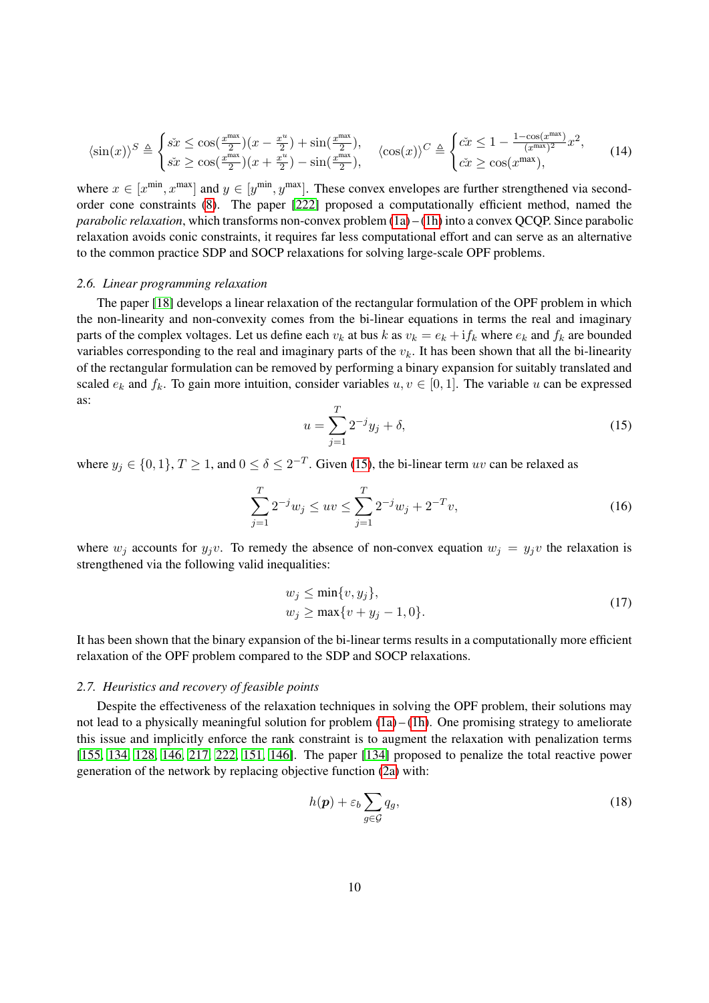$$
\langle \sin(x) \rangle^{S} \triangleq \begin{cases} \tilde{s}\tilde{x} \leq \cos(\frac{x^{\max}}{2})(x - \frac{x^{u}}{2}) + \sin(\frac{x^{\max}}{2}), \\ \tilde{s}\tilde{x} \geq \cos(\frac{x^{\max}}{2})(x + \frac{x^{u}}{2}) - \sin(\frac{x^{\max}}{2}), \end{cases} \quad \langle \cos(x) \rangle^{C} \triangleq \begin{cases} \tilde{cx} \leq 1 - \frac{1 - \cos(x^{\max})}{(x^{\max})^{2}}x^{2}, \\ \tilde{cx} \geq \cos(x^{\max}), \end{cases} \tag{14}
$$

where  $x \in [x^{\min}, x^{\max}]$  and  $y \in [y^{\min}, y^{\max}]$ . These convex envelopes are further strengthened via secondorder cone constraints [\(8\)](#page-7-2). The paper [\[222\]](#page-31-11) proposed a computationally efficient method, named the *parabolic relaxation*, which transforms non-convex problem [\(1a\)](#page-4-6) – [\(1h\)](#page-4-5) into a convex QCQP. Since parabolic relaxation avoids conic constraints, it requires far less computational effort and can serve as an alternative to the common practice SDP and SOCP relaxations for solving large-scale OPF problems.

#### *2.6. Linear programming relaxation*

The paper [\[18\]](#page-24-8) develops a linear relaxation of the rectangular formulation of the OPF problem in which the non-linearity and non-convexity comes from the bi-linear equations in terms the real and imaginary parts of the complex voltages. Let us define each  $v_k$  at bus k as  $v_k = e_k + i f_k$  where  $e_k$  and  $f_k$  are bounded variables corresponding to the real and imaginary parts of the  $v_k$ . It has been shown that all the bi-linearity of the rectangular formulation can be removed by performing a binary expansion for suitably translated and scaled  $e_k$  and  $f_k$ . To gain more intuition, consider variables  $u, v \in [0, 1]$ . The variable u can be expressed as:

<span id="page-9-0"></span>
$$
u = \sum_{j=1}^{T} 2^{-j} y_j + \delta,
$$
\n(15)

where  $y_j \in \{0, 1\}, T \ge 1$ , and  $0 \le \delta \le 2^{-T}$ . Given [\(15\)](#page-9-0), the bi-linear term uv can be relaxed as

$$
\sum_{j=1}^{T} 2^{-j} w_j \le uv \le \sum_{j=1}^{T} 2^{-j} w_j + 2^{-T} v,\tag{16}
$$

where  $w_j$  accounts for  $y_jv$ . To remedy the absence of non-convex equation  $w_j = y_jv$  the relaxation is strengthened via the following valid inequalities:

$$
w_j \le \min\{v, y_j\},
$$
  
\n
$$
w_j \ge \max\{v + y_j - 1, 0\}.
$$
\n(17)

It has been shown that the binary expansion of the bi-linear terms results in a computationally more efficient relaxation of the OPF problem compared to the SDP and SOCP relaxations.

## *2.7. Heuristics and recovery of feasible points*

Despite the effectiveness of the relaxation techniques in solving the OPF problem, their solutions may not lead to a physically meaningful solution for problem  $(1a) - (1h)$  $(1a) - (1h)$  $(1a) - (1h)$ . One promising strategy to ameliorate this issue and implicitly enforce the rank constraint is to augment the relaxation with penalization terms [\[155,](#page-29-13) [134,](#page-28-14) [128,](#page-28-3) [146,](#page-29-14) [217,](#page-31-9) [222,](#page-31-11) [151,](#page-29-16) [146\]](#page-29-14). The paper [\[134\]](#page-28-14) proposed to penalize the total reactive power generation of the network by replacing objective function [\(2a\)](#page-5-2) with:

$$
h(\mathbf{p}) + \varepsilon_b \sum_{g \in \mathcal{G}} q_g,\tag{18}
$$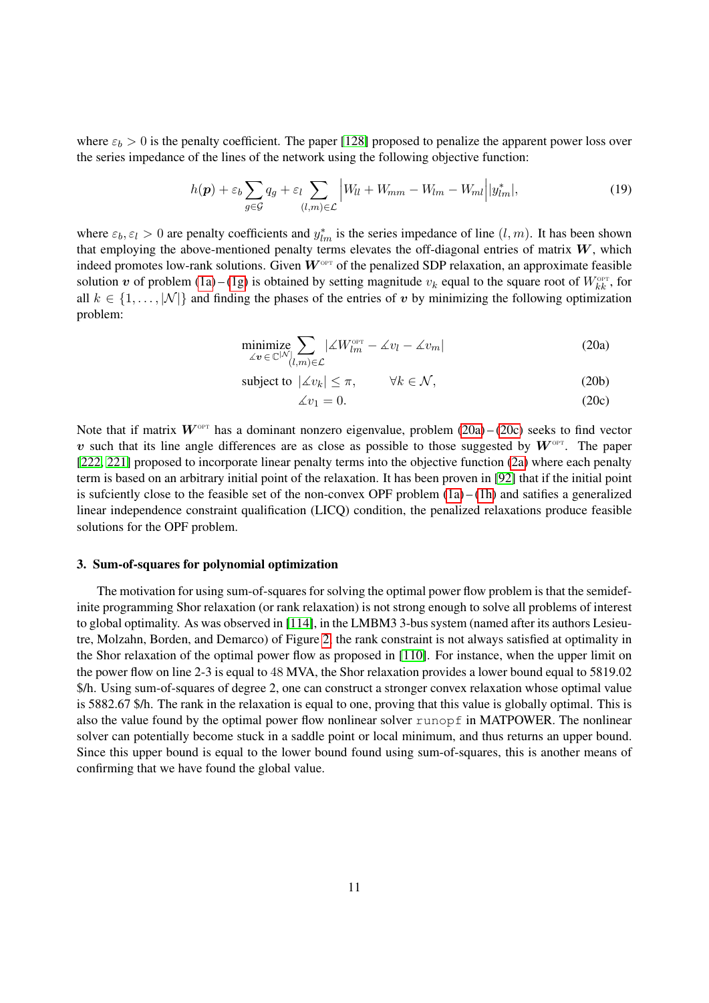where  $\varepsilon_b > 0$  is the penalty coefficient. The paper [\[128\]](#page-28-3) proposed to penalize the apparent power loss over the series impedance of the lines of the network using the following objective function:

$$
h(\mathbf{p}) + \varepsilon_b \sum_{g \in \mathcal{G}} q_g + \varepsilon_l \sum_{(l,m) \in \mathcal{L}} \left| W_{ll} + W_{mm} - W_{lm} - W_{ml} \right| |y^*_{lm}|,\tag{19}
$$

where  $\varepsilon_b$ ,  $\varepsilon_l > 0$  are penalty coefficients and  $y_{lm}^*$  is the series impedance of line  $(l, m)$ . It has been shown that employing the above-mentioned penalty terms elevates the off-diagonal entries of matrix  $W$ , which indeed promotes low-rank solutions. Given  $W^{\text{OPT}}$  of the penalized SDP relaxation, an approximate feasible solution v of problem  $(1a) - (1g)$  $(1a) - (1g)$  $(1a) - (1g)$  is obtained by setting magnitude  $v_k$  equal to the square root of  $W_{kk}^{\text{opt}}$ , for all  $k \in \{1, \ldots, |\mathcal{N}|\}$  and finding the phases of the entries of v by minimizing the following optimization problem:

$$
\underset{\measuredangle v \in \mathbb{C}^{|\mathcal{N}|}}{\text{minimize}} \sum_{(l,m)\in \mathcal{L}} |\measuredangle W_{lm}^{\text{opt}} - \measuredangle v_l - \measuredangle v_m| \tag{20a}
$$

$$
subject to \ |\angle v_k| \le \pi, \qquad \forall k \in \mathcal{N}, \tag{20b}
$$

<span id="page-10-1"></span><span id="page-10-0"></span>
$$
\measuredangle v_1 = 0. \tag{20c}
$$

Note that if matrix  $W^{\text{OPT}}$  has a dominant nonzero eigenvalue, problem  $(20a) - (20c)$  $(20a) - (20c)$  $(20a) - (20c)$  seeks to find vector v such that its line angle differences are as close as possible to those suggested by  $W^{\text{OPT}}$ . The paper [\[222,](#page-31-11) [221\]](#page-31-14) proposed to incorporate linear penalty terms into the objective function [\(2a\)](#page-5-2) where each penalty term is based on an arbitrary initial point of the relaxation. It has been proven in [\[92\]](#page-27-19) that if the initial point is sufciently close to the feasible set of the non-convex OPF problem  $(1a) - (1h)$  $(1a) - (1h)$  $(1a) - (1h)$  and satifies a generalized linear independence constraint qualification (LICQ) condition, the penalized relaxations produce feasible solutions for the OPF problem.

#### 3. Sum-of-squares for polynomial optimization

The motivation for using sum-of-squares for solving the optimal power flow problem is that the semidefinite programming Shor relaxation (or rank relaxation) is not strong enough to solve all problems of interest to global optimality. As was observed in [\[114\]](#page-28-12), in the LMBM3 3-bus system (named after its authors Lesieutre, Molzahn, Borden, and Demarco) of Figure [2,](#page-11-0) the rank constraint is not always satisfied at optimality in the Shor relaxation of the optimal power flow as proposed in [\[110\]](#page-27-3). For instance, when the upper limit on the power flow on line 2-3 is equal to 48 MVA, the Shor relaxation provides a lower bound equal to 5819.02 \$/h. Using sum-of-squares of degree 2, one can construct a stronger convex relaxation whose optimal value is 5882.67 \$/h. The rank in the relaxation is equal to one, proving that this value is globally optimal. This is also the value found by the optimal power flow nonlinear solver runopf in MATPOWER. The nonlinear solver can potentially become stuck in a saddle point or local minimum, and thus returns an upper bound. Since this upper bound is equal to the lower bound found using sum-of-squares, this is another means of confirming that we have found the global value.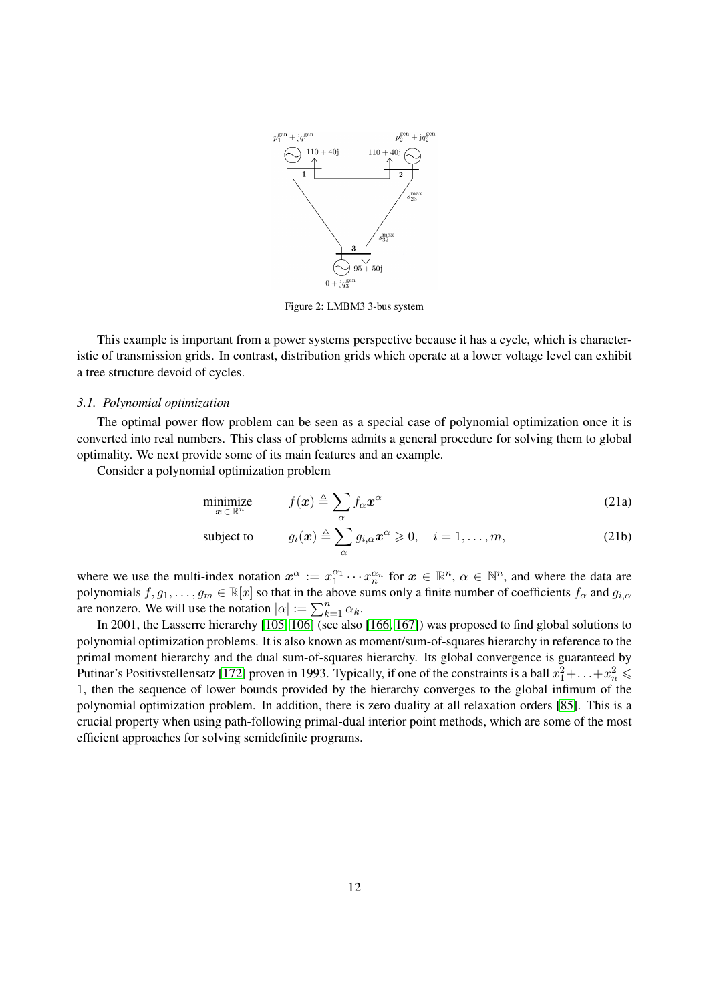<span id="page-11-0"></span>

Figure 2: LMBM3 3-bus system

This example is important from a power systems perspective because it has a cycle, which is characteristic of transmission grids. In contrast, distribution grids which operate at a lower voltage level can exhibit a tree structure devoid of cycles.

#### *3.1. Polynomial optimization*

The optimal power flow problem can be seen as a special case of polynomial optimization once it is converted into real numbers. This class of problems admits a general procedure for solving them to global optimality. We next provide some of its main features and an example.

Consider a polynomial optimization problem

$$
\underset{\boldsymbol{x} \in \mathbb{R}^n}{\text{minimize}} \qquad f(\boldsymbol{x}) \triangleq \sum_{\alpha} f_{\alpha} \boldsymbol{x}^{\alpha} \tag{21a}
$$

subject to 
$$
g_i(\boldsymbol{x}) \triangleq \sum_{\alpha} g_{i,\alpha} \boldsymbol{x}^{\alpha} \geq 0, \quad i = 1, ..., m,
$$
 (21b)

where we use the multi-index notation  $x^{\alpha} := x_1^{\alpha_1} \cdots x_n^{\alpha_n}$  for  $x \in \mathbb{R}^n$ ,  $\alpha \in \mathbb{N}^n$ , and where the data are polynomials  $f, g_1, \ldots, g_m \in \mathbb{R}[x]$  so that in the above sums only a finite number of coefficients  $f_\alpha$  and  $g_{i,\alpha}$ are nonzero. We will use the notation  $|\alpha| := \sum_{k=1}^n \alpha_k$ .

In 2001, the Lasserre hierarchy [\[105,](#page-27-0) [106\]](#page-27-1) (see also [\[166,](#page-29-0) [167\]](#page-29-1)) was proposed to find global solutions to polynomial optimization problems. It is also known as moment/sum-of-squares hierarchy in reference to the primal moment hierarchy and the dual sum-of-squares hierarchy. Its global convergence is guaranteed by Putinar's Positivstellensatz [\[172\]](#page-30-18) proven in 1993. Typically, if one of the constraints is a ball  $x_1^2 + \ldots + x_n^2 \leq$ 1, then the sequence of lower bounds provided by the hierarchy converges to the global infimum of the polynomial optimization problem. In addition, there is zero duality at all relaxation orders [\[85\]](#page-27-20). This is a crucial property when using path-following primal-dual interior point methods, which are some of the most efficient approaches for solving semidefinite programs.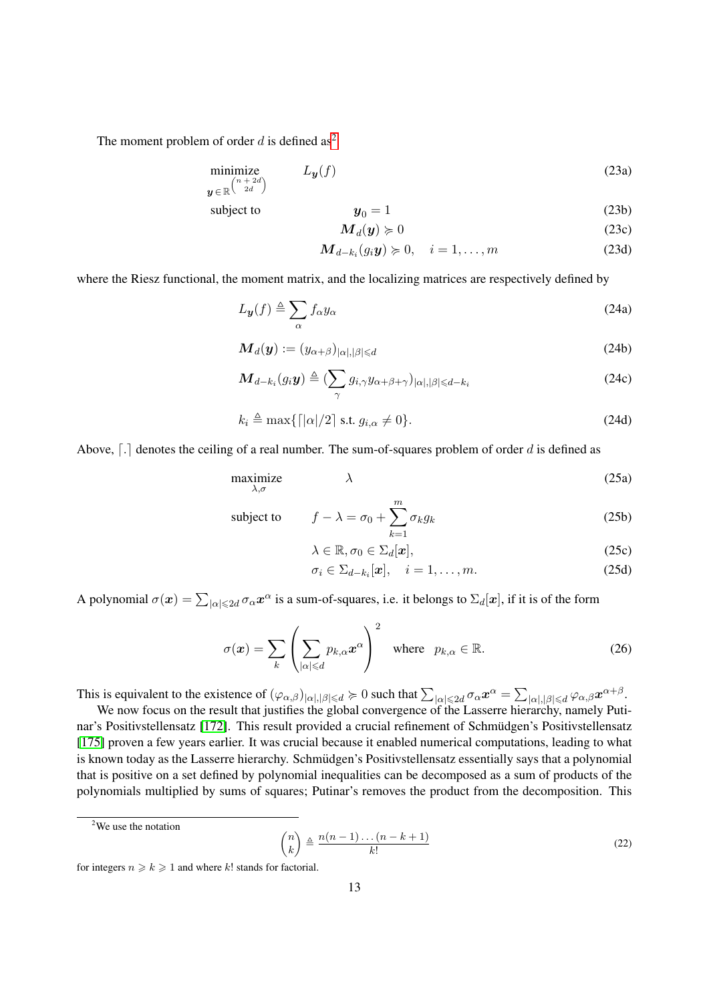The moment problem of order  $d$  is defined as<sup>[2](#page-0-0)</sup>

$$
\begin{array}{ll}\text{minimize} \\ \mathbf{y} \in \mathbb{R}^{\binom{n+2d}{2d}} \end{array} \tag{23a}
$$

subject to 
$$
y_0 = 1
$$
 (23b)

$$
\mathbf{M}_d(\mathbf{y}) \succcurlyeq 0 \tag{23c}
$$

$$
\mathbf{M}_{d-k_i}(g_i\mathbf{y}) \succcurlyeq 0, \quad i = 1,\ldots,m \tag{23d}
$$

where the Riesz functional, the moment matrix, and the localizing matrices are respectively defined by

$$
L_{\mathbf{y}}(f) \triangleq \sum_{\alpha} f_{\alpha} y_{\alpha} \tag{24a}
$$

$$
\mathbf{M}_d(\mathbf{y}) := (y_{\alpha+\beta})_{|\alpha|,|\beta| \le d} \tag{24b}
$$

$$
\boldsymbol{M}_{d-k_i}(g_i\boldsymbol{y}) \triangleq (\sum_{\gamma} g_{i,\gamma} y_{\alpha+\beta+\gamma})_{|\alpha|,|\beta| \leq d-k_i} \tag{24c}
$$

$$
k_i \triangleq \max\{ \lceil |\alpha|/2 \rceil \text{ s.t. } g_{i,\alpha} \neq 0 \}. \tag{24d}
$$

Above,  $\lceil . \rceil$  denotes the ceiling of a real number. The sum-of-squares problem of order d is defined as

$$
\begin{array}{ll}\n\text{maximize} & \lambda \\
\lambda, \sigma\n\end{array} \tag{25a}
$$

subject to 
$$
f - \lambda = \sigma_0 + \sum_{k=1}^{m} \sigma_k g_k
$$
 (25b)

$$
\lambda \in \mathbb{R}, \sigma_0 \in \Sigma_d[\boldsymbol{x}], \tag{25c}
$$

$$
\sigma_i \in \Sigma_{d-k_i}[\boldsymbol{x}], \quad i = 1, \dots, m. \tag{25d}
$$

A polynomial  $\sigma(x) = \sum_{|\alpha| \le 2d} \sigma_\alpha x^\alpha$  is a sum-of-squares, i.e. it belongs to  $\Sigma_d[x]$ , if it is of the form

$$
\sigma(\boldsymbol{x}) = \sum_{k} \left( \sum_{|\alpha| \le d} p_{k,\alpha} \boldsymbol{x}^{\alpha} \right)^2 \quad \text{where} \quad p_{k,\alpha} \in \mathbb{R}.
$$
 (26)

This is equivalent to the existence of  $(\varphi_{\alpha,\beta})_{|\alpha|,|\beta|\leq d} \succcurlyeq 0$  such that  $\sum_{|\alpha| \leq 2d} \sigma_\alpha x^\alpha = \sum_{|\alpha|,|\beta| \leq d} \varphi_{\alpha,\beta} x^{\alpha+\beta}$ .

We now focus on the result that justifies the global convergence of the Lasserre hierarchy, namely Puti-nar's Positivstellensatz [\[172\]](#page-30-18). This result provided a crucial refinement of Schmüdgen's Positivstellensatz [\[175\]](#page-30-19) proven a few years earlier. It was crucial because it enabled numerical computations, leading to what is known today as the Lasserre hierarchy. Schmüdgen's Positivstellensatz essentially says that a polynomial that is positive on a set defined by polynomial inequalities can be decomposed as a sum of products of the polynomials multiplied by sums of squares; Putinar's removes the product from the decomposition. This

$$
\binom{n}{k} \triangleq \frac{n(n-1)\dots(n-k+1)}{k!} \tag{22}
$$

<sup>&</sup>lt;sup>2</sup>We use the notation

for integers  $n \ge k \ge 1$  and where k! stands for factorial.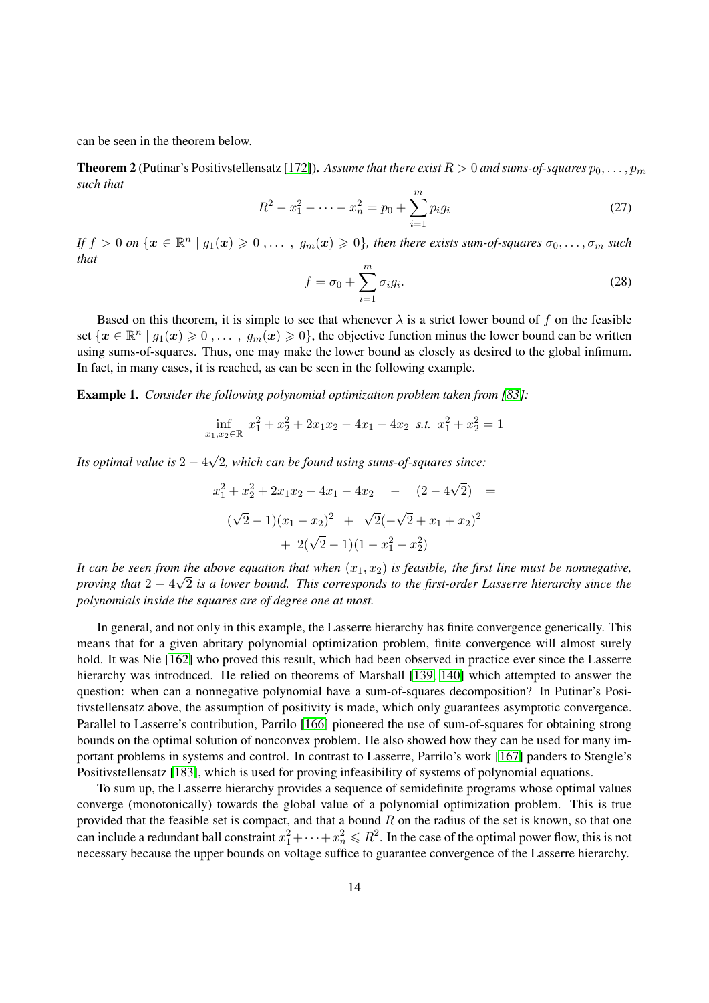can be seen in the theorem below.

**Theorem 2** (Putinar's Positivstellensatz [\[172\]](#page-30-18)). Assume that there exist  $R > 0$  and sums-of-squares  $p_0, \ldots, p_m$ *such that*

$$
R^2 - x_1^2 - \dots - x_n^2 = p_0 + \sum_{i=1}^m p_i g_i \tag{27}
$$

If  $f > 0$  on  $\{x \in \mathbb{R}^n \mid g_1(x) \geqslant 0, \ldots, g_m(x) \geqslant 0\}$ , then there exists sum-of-squares  $\sigma_0, \ldots, \sigma_m$  such *that*

$$
f = \sigma_0 + \sum_{i=1}^{m} \sigma_i g_i.
$$
 (28)

Based on this theorem, it is simple to see that whenever  $\lambda$  is a strict lower bound of f on the feasible set  $\{x \in \mathbb{R}^n \mid g_1(x) \geq 0, \ldots, g_m(x) \geq 0\}$ , the objective function minus the lower bound can be written using sums-of-squares. Thus, one may make the lower bound as closely as desired to the global infimum. In fact, in many cases, it is reached, as can be seen in the following example.

Example 1. *Consider the following polynomial optimization problem taken from [\[83\]](#page-26-20):* 

$$
\inf_{x_1, x_2 \in \mathbb{R}} x_1^2 + x_2^2 + 2x_1x_2 - 4x_1 - 4x_2 \text{ s.t. } x_1^2 + x_2^2 = 1
$$

*Its optimal value is* 2 − 4 √ 2*, which can be found using sums-of-squares since:*

$$
x_1^2 + x_2^2 + 2x_1x_2 - 4x_1 - 4x_2 - (2 - 4\sqrt{2}) =
$$
  

$$
(\sqrt{2} - 1)(x_1 - x_2)^2 + \sqrt{2}(-\sqrt{2} + x_1 + x_2)^2
$$
  

$$
+ 2(\sqrt{2} - 1)(1 - x_1^2 - x_2^2)
$$

It can be seen from the above equation that when  $(x_1, x_2)$  is feasible, the first line must be nonnegative, *proving that* 2 − 4 2 *is a lower bound. This corresponds to the first-order Lasserre hierarchy since the polynomials inside the squares are of degree one at most.*

In general, and not only in this example, the Lasserre hierarchy has finite convergence generically. This means that for a given abritary polynomial optimization problem, finite convergence will almost surely hold. It was Nie [\[162\]](#page-29-17) who proved this result, which had been observed in practice ever since the Lasserre hierarchy was introduced. He relied on theorems of Marshall [\[139,](#page-28-21) [140\]](#page-28-22) which attempted to answer the question: when can a nonnegative polynomial have a sum-of-squares decomposition? In Putinar's Positivstellensatz above, the assumption of positivity is made, which only guarantees asymptotic convergence. Parallel to Lasserre's contribution, Parrilo [\[166\]](#page-29-0) pioneered the use of sum-of-squares for obtaining strong bounds on the optimal solution of nonconvex problem. He also showed how they can be used for many important problems in systems and control. In contrast to Lasserre, Parrilo's work [\[167\]](#page-29-1) panders to Stengle's Positivstellensatz [\[183\]](#page-30-20), which is used for proving infeasibility of systems of polynomial equations.

To sum up, the Lasserre hierarchy provides a sequence of semidefinite programs whose optimal values converge (monotonically) towards the global value of a polynomial optimization problem. This is true provided that the feasible set is compact, and that a bound  $R$  on the radius of the set is known, so that one can include a redundant ball constraint  $x_1^2 + \cdots + x_n^2 \le R^2$ . In the case of the optimal power flow, this is not necessary because the upper bounds on voltage suffice to guarantee convergence of the Lasserre hierarchy.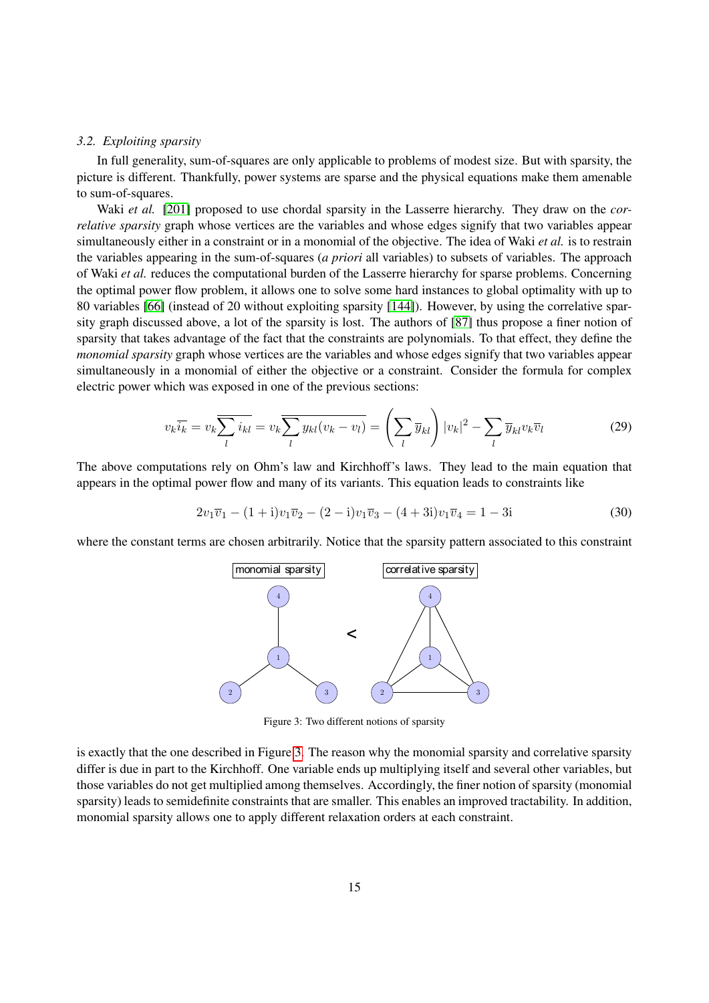# *3.2. Exploiting sparsity*

In full generality, sum-of-squares are only applicable to problems of modest size. But with sparsity, the picture is different. Thankfully, power systems are sparse and the physical equations make them amenable to sum-of-squares.

Waki *et al.* [\[201\]](#page-31-15) proposed to use chordal sparsity in the Lasserre hierarchy. They draw on the *correlative sparsity* graph whose vertices are the variables and whose edges signify that two variables appear simultaneously either in a constraint or in a monomial of the objective. The idea of Waki *et al.* is to restrain the variables appearing in the sum-of-squares (*a priori* all variables) to subsets of variables. The approach of Waki *et al.* reduces the computational burden of the Lasserre hierarchy for sparse problems. Concerning the optimal power flow problem, it allows one to solve some hard instances to global optimality with up to 80 variables [\[66\]](#page-26-8) (instead of 20 without exploiting sparsity [\[144\]](#page-29-18)). However, by using the correlative sparsity graph discussed above, a lot of the sparsity is lost. The authors of [\[87\]](#page-27-21) thus propose a finer notion of sparsity that takes advantage of the fact that the constraints are polynomials. To that effect, they define the *monomial sparsity* graph whose vertices are the variables and whose edges signify that two variables appear simultaneously in a monomial of either the objective or a constraint. Consider the formula for complex electric power which was exposed in one of the previous sections:

$$
v_k \overline{i_k} = v_k \overline{\sum_l i_{kl}} = v_k \overline{\sum_l y_{kl} (v_k - v_l)} = \left(\sum_l \overline{y}_{kl}\right) |v_k|^2 - \sum_l \overline{y}_{kl} v_k \overline{v}_l \tag{29}
$$

The above computations rely on Ohm's law and Kirchhoff's laws. They lead to the main equation that appears in the optimal power flow and many of its variants. This equation leads to constraints like

$$
2v_1\overline{v}_1 - (1+i)v_1\overline{v}_2 - (2-i)v_1\overline{v}_3 - (4+3i)v_1\overline{v}_4 = 1-3i
$$
\n(30)

<span id="page-14-0"></span>where the constant terms are chosen arbitrarily. Notice that the sparsity pattern associated to this constraint



Figure 3: Two different notions of sparsity

is exactly that the one described in Figure [3.](#page-14-0) The reason why the monomial sparsity and correlative sparsity differ is due in part to the Kirchhoff. One variable ends up multiplying itself and several other variables, but those variables do not get multiplied among themselves. Accordingly, the finer notion of sparsity (monomial sparsity) leads to semidefinite constraints that are smaller. This enables an improved tractability. In addition, monomial sparsity allows one to apply different relaxation orders at each constraint.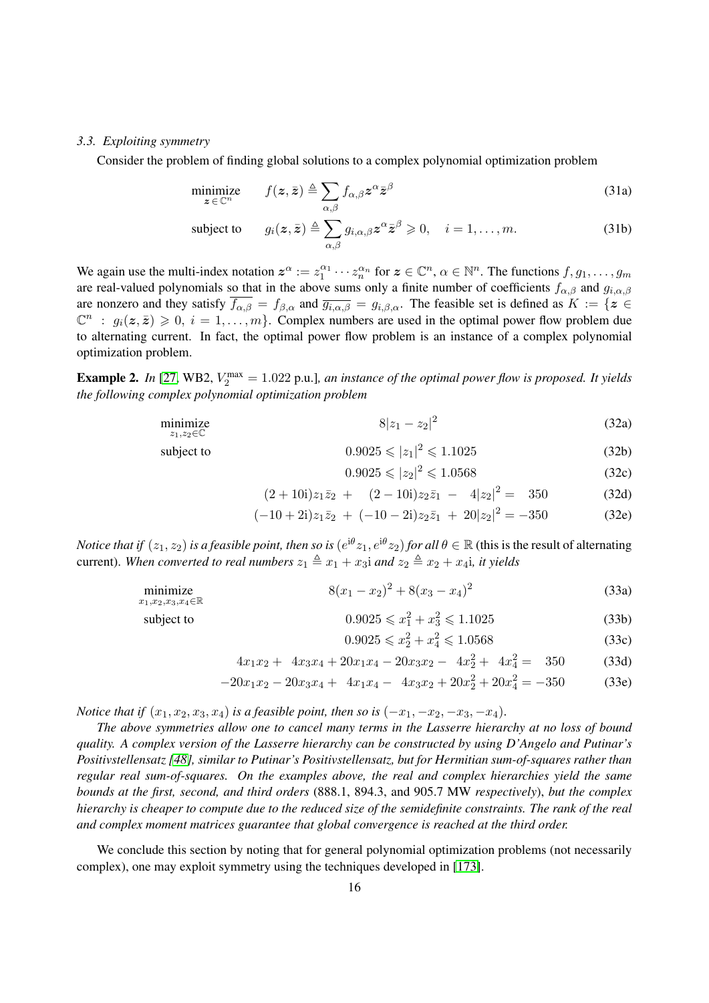# *3.3. Exploiting symmetry*

Consider the problem of finding global solutions to a complex polynomial optimization problem

$$
\underset{\mathbf{z}\in\mathbb{C}^n}{\text{minimize}} \qquad f(\mathbf{z},\bar{\mathbf{z}}) \triangleq \sum_{\alpha,\beta} f_{\alpha,\beta} \mathbf{z}^{\alpha} \bar{\mathbf{z}}^{\beta} \tag{31a}
$$

subject to 
$$
g_i(z, \bar{z}) \triangleq \sum_{\alpha, \beta} g_{i, \alpha, \beta} z^{\alpha} \bar{z}^{\beta} \geq 0, \quad i = 1, ..., m.
$$
 (31b)

We again use the multi-index notation  $z^{\alpha} := z_1^{\alpha_1} \cdots z_n^{\alpha_n}$  for  $z \in \mathbb{C}^n$ ,  $\alpha \in \mathbb{N}^n$ . The functions  $f, g_1, \ldots, g_m$ are real-valued polynomials so that in the above sums only a finite number of coefficients  $f_{\alpha,\beta}$  and  $g_{i,\alpha,\beta}$ are nonzero and they satisfy  $\overline{f_{\alpha,\beta}} = f_{\beta,\alpha}$  and  $\overline{g_{i,\alpha,\beta}} = g_{i,\beta,\alpha}$ . The feasible set is defined as  $K := \{z \in$  $\mathbb{C}^n$  :  $g_i(z, \bar{z}) \geq 0$ ,  $i = 1, \ldots, m$ . Complex numbers are used in the optimal power flow problem due to alternating current. In fact, the optimal power flow problem is an instance of a complex polynomial optimization problem.

**Example 2.** In [\[27,](#page-24-7) WB2,  $V_2^{\text{max}} = 1.022$  p.u.], an instance of the optimal power flow is proposed. It yields *the following complex polynomial optimization problem*

$$
\underset{z_1, z_2 \in \mathbb{C}}{\text{minimize}} \quad 8|z_1 - z_2|^2 \tag{32a}
$$

subject to 
$$
0.9025 \leqslant |z_1|^2 \leqslant 1.1025 \tag{32b}
$$

$$
0.9025 \le |z_2|^2 \le 1.0568\tag{32c}
$$

$$
(2+10i)z_1\bar{z}_2 + (2-10i)z_2\bar{z}_1 - 4|z_2|^2 = 350
$$
 (32d)

$$
(-10+2i)z_1\overline{z}_2 + (-10-2i)z_2\overline{z}_1 + 20|z_2|^2 = -350
$$
 (32e)

*Notice that if*  $(z_1, z_2)$  *is a feasible point, then so is*  $(e^{i\theta}z_1, e^{i\theta}z_2)$  *for all*  $\theta \in \mathbb{R}$  (this is the result of alternating current). When converted to real numbers  $z_1 \triangleq x_1 + x_3$  *and*  $z_2 \triangleq x_2 + x_4$ *i, it yields* 

$$
\underset{x_1, x_2, x_3, x_4 \in \mathbb{R}}{\text{minimize}} \quad 8(x_1 - x_2)^2 + 8(x_3 - x_4)^2 \tag{33a}
$$

subject to 
$$
0.9025 \le x_1^2 + x_3^2 \le 1.1025
$$
 (33b)

$$
0.9025 \leqslant x_2^2 + x_4^2 \leqslant 1.0568\tag{33c}
$$

$$
4x_1x_2 + 4x_3x_4 + 20x_1x_4 - 20x_3x_2 - 4x_2^2 + 4x_4^2 = 350
$$
 (33d)

$$
-20x_1x_2 - 20x_3x_4 + 4x_1x_4 - 4x_3x_2 + 20x_2^2 + 20x_4^2 = -350
$$
 (33e)

*Notice that if*  $(x_1, x_2, x_3, x_4)$  *is a feasible point, then so is*  $(-x_1, -x_2, -x_3, -x_4)$ *.* 

*The above symmetries allow one to cancel many terms in the Lasserre hierarchy at no loss of bound quality. A complex version of the Lasserre hierarchy can be constructed by using D'Angelo and Putinar's Positivstellensatz [\[48\]](#page-25-25), similar to Putinar's Positivstellensatz, but for Hermitian sum-of-squares rather than regular real sum-of-squares. On the examples above, the real and complex hierarchies yield the same bounds at the first, second, and third orders* (888.1, 894.3, and 905.7 MW *respectively*), *but the complex hierarchy is cheaper to compute due to the reduced size of the semidefinite constraints. The rank of the real and complex moment matrices guarantee that global convergence is reached at the third order.*

We conclude this section by noting that for general polynomial optimization problems (not necessarily complex), one may exploit symmetry using the techniques developed in [\[173\]](#page-30-21).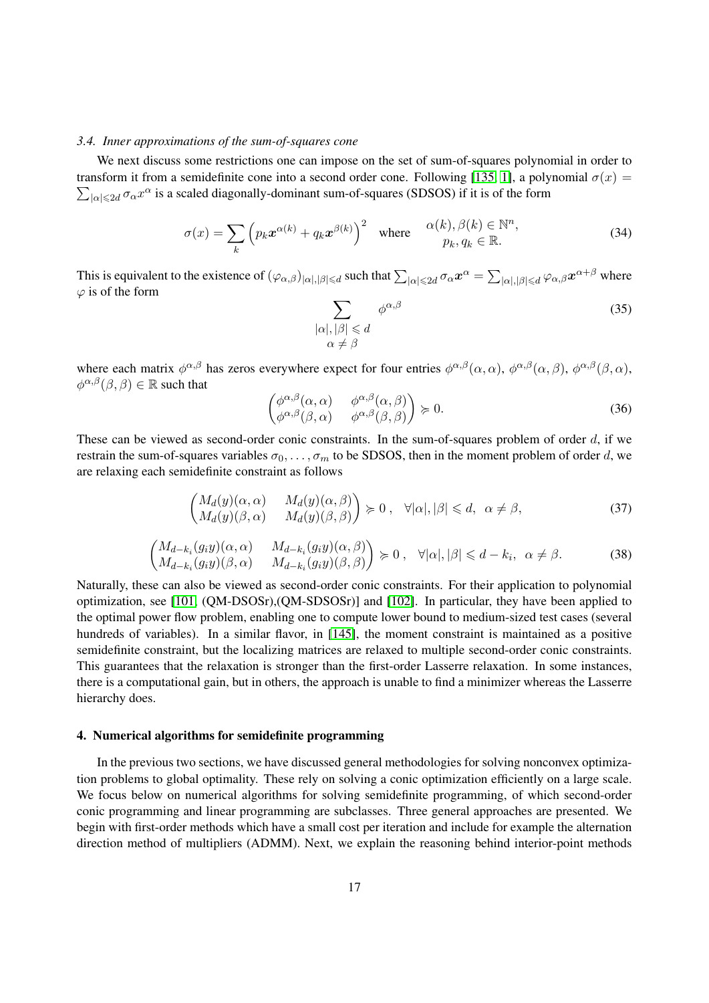# *3.4. Inner approximations of the sum-of-squares cone*

We next discuss some restrictions one can impose on the set of sum-of-squares polynomial in order to  $\sum_{|\alpha| \leq 2d} \sigma_\alpha x^\alpha$  is a scaled diagonally-dominant sum-of-squares (SDSOS) if it is of the form transform it from a semidefinite cone into a second order cone. Following [\[135,](#page-28-23) [1\]](#page-24-19), a polynomial  $\sigma(x)$  =

$$
\sigma(x) = \sum_{k} \left( p_k \boldsymbol{x}^{\alpha(k)} + q_k \boldsymbol{x}^{\beta(k)} \right)^2 \quad \text{where} \quad \begin{array}{c} \alpha(k), \beta(k) \in \mathbb{N}^n, \\ p_k, q_k \in \mathbb{R}. \end{array} \tag{34}
$$

This is equivalent to the existence of  $(\varphi_{\alpha,\beta})_{|\alpha|,|\beta|\leqslant d}$  such that  $\sum_{|\alpha|\leqslant 2d}\sigma_\alpha\bm{x}^\alpha=\sum_{|\alpha|,|\beta|\leqslant d}\varphi_{\alpha,\beta}\bm{x}^{\alpha+\beta}$  where  $\varphi$  is of the form

$$
\sum_{\substack{|\alpha|, |\beta| \le d \\ \alpha \neq \beta}} \phi^{\alpha,\beta} \tag{35}
$$

where each matrix  $\phi^{\alpha,\beta}$  has zeros everywhere expect for four entries  $\phi^{\alpha,\beta}(\alpha,\alpha)$ ,  $\phi^{\alpha,\beta}(\alpha,\beta)$ ,  $\phi^{\alpha,\beta}(\beta,\alpha)$ ,  $\phi^{\alpha,\beta}(\beta,\beta) \in \mathbb{R}$  such that

$$
\begin{pmatrix}\n\phi^{\alpha,\beta}(\alpha,\alpha) & \phi^{\alpha,\beta}(\alpha,\beta) \\
\phi^{\alpha,\beta}(\beta,\alpha) & \phi^{\alpha,\beta}(\beta,\beta)\n\end{pmatrix} \succcurlyeq 0.
$$
\n(36)

These can be viewed as second-order conic constraints. In the sum-of-squares problem of order  $d$ , if we restrain the sum-of-squares variables  $\sigma_0, \ldots, \sigma_m$  to be SDSOS, then in the moment problem of order d, we are relaxing each semidefinite constraint as follows

$$
\begin{pmatrix} M_d(y)(\alpha,\alpha) & M_d(y)(\alpha,\beta) \\ M_d(y)(\beta,\alpha) & M_d(y)(\beta,\beta) \end{pmatrix} \succcurlyeq 0, \quad \forall |\alpha|, |\beta| \leq d, \quad \alpha \neq \beta,
$$
\n(37)

$$
\begin{pmatrix}\nM_{d-k_i}(g_iy)(\alpha,\alpha) & M_{d-k_i}(g_iy)(\alpha,\beta) \\
M_{d-k_i}(g_iy)(\beta,\alpha) & M_{d-k_i}(g_iy)(\beta,\beta)\n\end{pmatrix} \succcurlyeq 0, \quad \forall |\alpha|, |\beta| \leq d-k_i, \quad \alpha \neq \beta.
$$
\n(38)

Naturally, these can also be viewed as second-order conic constraints. For their application to polynomial optimization, see [\[101,](#page-27-22) (QM-DSOSr),(QM-SDSOSr)] and [\[102\]](#page-27-8). In particular, they have been applied to the optimal power flow problem, enabling one to compute lower bound to medium-sized test cases (several hundreds of variables). In a similar flavor, in [\[145\]](#page-29-19), the moment constraint is maintained as a positive semidefinite constraint, but the localizing matrices are relaxed to multiple second-order conic constraints. This guarantees that the relaxation is stronger than the first-order Lasserre relaxation. In some instances, there is a computational gain, but in others, the approach is unable to find a minimizer whereas the Lasserre hierarchy does.

# 4. Numerical algorithms for semidefinite programming

In the previous two sections, we have discussed general methodologies for solving nonconvex optimization problems to global optimality. These rely on solving a conic optimization efficiently on a large scale. We focus below on numerical algorithms for solving semidefinite programming, of which second-order conic programming and linear programming are subclasses. Three general approaches are presented. We begin with first-order methods which have a small cost per iteration and include for example the alternation direction method of multipliers (ADMM). Next, we explain the reasoning behind interior-point methods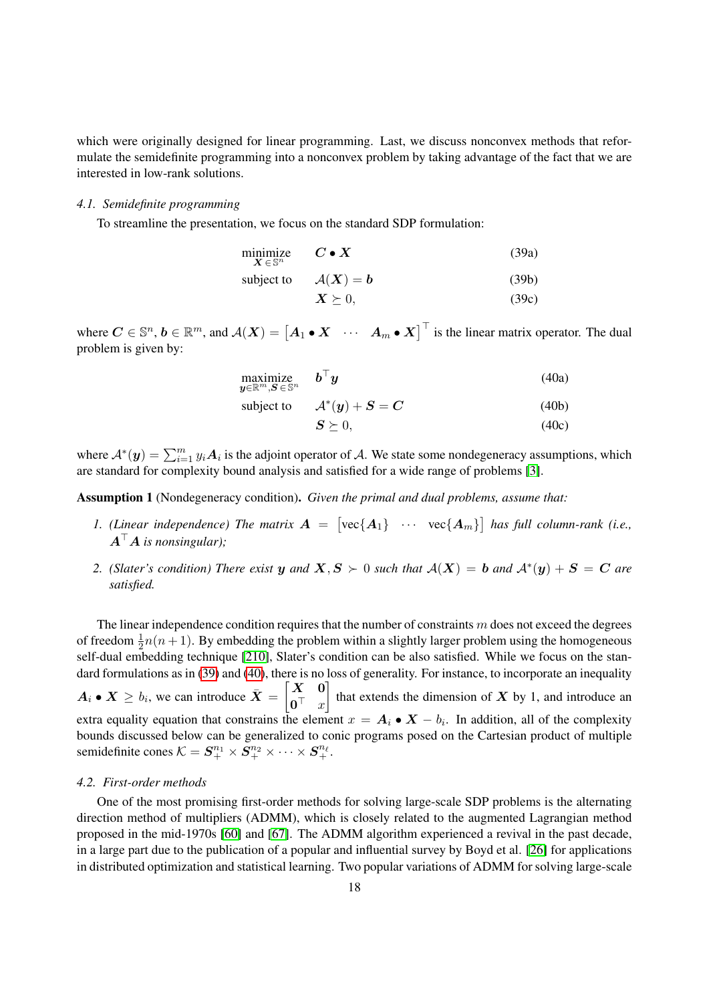which were originally designed for linear programming. Last, we discuss nonconvex methods that reformulate the semidefinite programming into a nonconvex problem by taking advantage of the fact that we are interested in low-rank solutions.

# *4.1. Semidefinite programming*

To streamline the presentation, we focus on the standard SDP formulation:

<span id="page-17-0"></span>

| minimize<br>$\boldsymbol{X}\in\mathbb{S}^n$ | $C \bullet X$ | (39a) |
|---------------------------------------------|---------------|-------|
|                                             |               |       |

| subject to | $\mathcal{A}(\bm{X})=\bm{b}$ | (39b) |
|------------|------------------------------|-------|
|            | $\boldsymbol{X} \succeq 0,$  | (39c) |

where  $C \in \mathbb{S}^n$ ,  $b \in \mathbb{R}^m$ , and  $\mathcal{A}(X) = \begin{bmatrix} A_1 \cdot X & \cdots & A_m \cdot X \end{bmatrix}^\top$  is the linear matrix operator. The dual problem is given by:

<span id="page-17-1"></span>
$$
\begin{array}{ll}\text{maximize} & \mathbf{b}^\top \mathbf{y} \\ \mathbf{y} \in \mathbb{R}^m, \mathbf{S} \in \mathbb{S}^n \end{array} \tag{40a}
$$

subject to 
$$
A^*(y) + S = C \tag{40b}
$$

$$
S \succeq 0,\tag{40c}
$$

where  $\mathcal{A}^*(y) = \sum_{i=1}^m y_i \mathcal{A}_i$  is the adjoint operator of  $\mathcal{A}$ . We state some nondegeneracy assumptions, which are standard for complexity bound analysis and satisfied for a wide range of problems [\[3\]](#page-24-20).

Assumption 1 (Nondegeneracy condition). *Given the primal and dual problems, assume that:*

- 1. (Linear independence) The matrix  $A = [\text{vec}\{A_1\} \cdots \text{vec}\{A_m\}]$  has full column-rank (i.e.,  $A^{\top}A$  is nonsingular);
- <span id="page-17-2"></span>*2. (Slater's condition) There exist* y and  $X, S \succ 0$  such that  $A(X) = b$  and  $A^*(y) + S = C$  are *satisfied.*

The linear independence condition requires that the number of constraints  $m$  does not exceed the degrees of freedom  $\frac{1}{2}n(n+1)$ . By embedding the problem within a slightly larger problem using the homogeneous self-dual embedding technique [\[210\]](#page-31-16), Slater's condition can be also satisfied. While we focus on the stan-dard formulations as in [\(39\)](#page-17-0) and [\(40\)](#page-17-1), there is no loss of generality. For instance, to incorporate an inequality  $A_i \bullet X \geq b_i$ , we can introduce  $\bar{X} = \begin{bmatrix} X & 0 \\ 0 & \end{bmatrix}$  $\mathbf{0}^\top$  x that extends the dimension of  $X$  by 1, and introduce an extra equality equation that constrains the element  $x = A_i \bullet X - b_i$ . In addition, all of the complexity bounds discussed below can be generalized to conic programs posed on the Cartesian product of multiple semidefinite cones  $\mathcal{K} = \mathcal{\bm{S}}_{+}^{n_1}\times\mathcal{\bm{S}}_{+}^{n_2}\times\cdots\times\mathcal{\bm{S}}_{+}^{n_\ell}.$ 

## *4.2. First-order methods*

One of the most promising first-order methods for solving large-scale SDP problems is the alternating direction method of multipliers (ADMM), which is closely related to the augmented Lagrangian method proposed in the mid-1970s [\[60\]](#page-26-21) and [\[67\]](#page-26-22). The ADMM algorithm experienced a revival in the past decade, in a large part due to the publication of a popular and influential survey by Boyd et al. [\[26\]](#page-24-21) for applications in distributed optimization and statistical learning. Two popular variations of ADMM for solving large-scale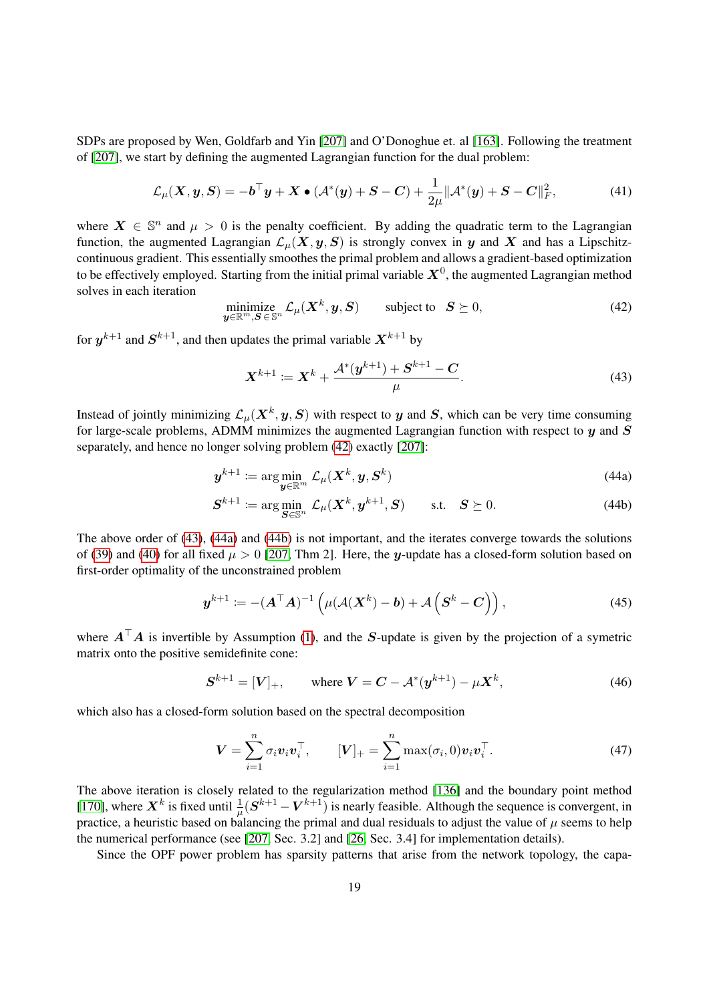SDPs are proposed by Wen, Goldfarb and Yin [\[207\]](#page-31-17) and O'Donoghue et. al [\[163\]](#page-29-20). Following the treatment of [\[207\]](#page-31-17), we start by defining the augmented Lagrangian function for the dual problem:

$$
\mathcal{L}_{\mu}(\boldsymbol{X}, \boldsymbol{y}, \boldsymbol{S}) = -\boldsymbol{b}^{\top}\boldsymbol{y} + \boldsymbol{X} \bullet (\mathcal{A}^*(\boldsymbol{y}) + \boldsymbol{S} - \boldsymbol{C}) + \frac{1}{2\mu} ||\mathcal{A}^*(\boldsymbol{y}) + \boldsymbol{S} - \boldsymbol{C}||_F^2,
$$
(41)

where  $X \in \mathbb{S}^n$  and  $\mu > 0$  is the penalty coefficient. By adding the quadratic term to the Lagrangian function, the augmented Lagrangian  $\mathcal{L}_u(X, y, S)$  is strongly convex in y and X and has a Lipschitzcontinuous gradient. This essentially smoothes the primal problem and allows a gradient-based optimization to be effectively employed. Starting from the initial primal variable  $X^0$ , the augmented Lagrangian method solves in each iteration

<span id="page-18-0"></span>
$$
\underset{\mathbf{y}\in\mathbb{R}^m,\mathbf{S}\in\mathbb{S}^n}{\text{minimize}}\,\mathcal{L}_{\mu}(\mathbf{X}^k,\mathbf{y},\mathbf{S})\qquad\text{subject to}\quad\mathbf{S}\succeq 0,\tag{42}
$$

for  $y^{k+1}$  and  $S^{k+1}$ , and then updates the primal variable  $X^{k+1}$  by

<span id="page-18-3"></span><span id="page-18-2"></span><span id="page-18-1"></span>
$$
\mathbf{X}^{k+1} \coloneqq \mathbf{X}^k + \frac{\mathcal{A}^*(\mathbf{y}^{k+1}) + \mathbf{S}^{k+1} - \mathbf{C}}{\mu}.\tag{43}
$$

Instead of jointly minimizing  $\mathcal{L}_{\mu}(\bm{X}^k,\bm{y},\bm{S})$  with respect to  $\bm{y}$  and  $\bm{S}$ , which can be very time consuming for large-scale problems, ADMM minimizes the augmented Lagrangian function with respect to  $y$  and  $S$ separately, and hence no longer solving problem [\(42\)](#page-18-0) exactly [\[207\]](#page-31-17):

$$
\boldsymbol{y}^{k+1} \coloneqq \arg\min_{\boldsymbol{y} \in \mathbb{R}^m} \mathcal{L}_{\mu}(\boldsymbol{X}^k, \boldsymbol{y}, \boldsymbol{S}^k)
$$
(44a)

$$
\mathbf{S}^{k+1} \coloneqq \arg\min_{\mathbf{S} \in \mathbb{S}^n} \mathcal{L}_{\mu}(\mathbf{X}^k, \mathbf{y}^{k+1}, \mathbf{S}) \quad \text{s.t.} \quad \mathbf{S} \succeq 0. \tag{44b}
$$

The above order of [\(43\)](#page-18-1), [\(44a\)](#page-18-2) and [\(44b\)](#page-18-3) is not important, and the iterates converge towards the solutions of [\(39\)](#page-17-0) and [\(40\)](#page-17-1) for all fixed  $\mu > 0$  [\[207,](#page-31-17) Thm 2]. Here, the y-update has a closed-form solution based on first-order optimality of the unconstrained problem

$$
\boldsymbol{y}^{k+1} := -(\boldsymbol{A}^{\top}\boldsymbol{A})^{-1} \left( \mu(\boldsymbol{\mathcal{A}}(\boldsymbol{X}^{k}) - \boldsymbol{b}) + \boldsymbol{\mathcal{A}}\left(\boldsymbol{S}^{k} - \boldsymbol{C}\right) \right), \tag{45}
$$

where  $A^{\top}A$  is invertible by Assumption [\(1\)](#page-17-2), and the S-update is given by the projection of a symetric matrix onto the positive semidefinite cone:

$$
S^{k+1} = [V]_+, \qquad \text{where } V = C - \mathcal{A}^*(y^{k+1}) - \mu X^k, \tag{46}
$$

which also has a closed-form solution based on the spectral decomposition

$$
\boldsymbol{V} = \sum_{i=1}^{n} \sigma_i \boldsymbol{v}_i \boldsymbol{v}_i^{\top}, \qquad [\boldsymbol{V}]_{+} = \sum_{i=1}^{n} \max(\sigma_i, 0) \boldsymbol{v}_i \boldsymbol{v}_i^{\top}. \tag{47}
$$

The above iteration is closely related to the regularization method [\[136\]](#page-28-24) and the boundary point method [\[170\]](#page-29-21), where  $X^k$  is fixed until  $\frac{1}{\mu}(S^{k+1} - V^{k+1})$  is nearly feasible. Although the sequence is convergent, in practice, a heuristic based on balancing the primal and dual residuals to adjust the value of  $\mu$  seems to help the numerical performance (see [\[207,](#page-31-17) Sec. 3.2] and [\[26,](#page-24-21) Sec. 3.4] for implementation details).

Since the OPF power problem has sparsity patterns that arise from the network topology, the capa-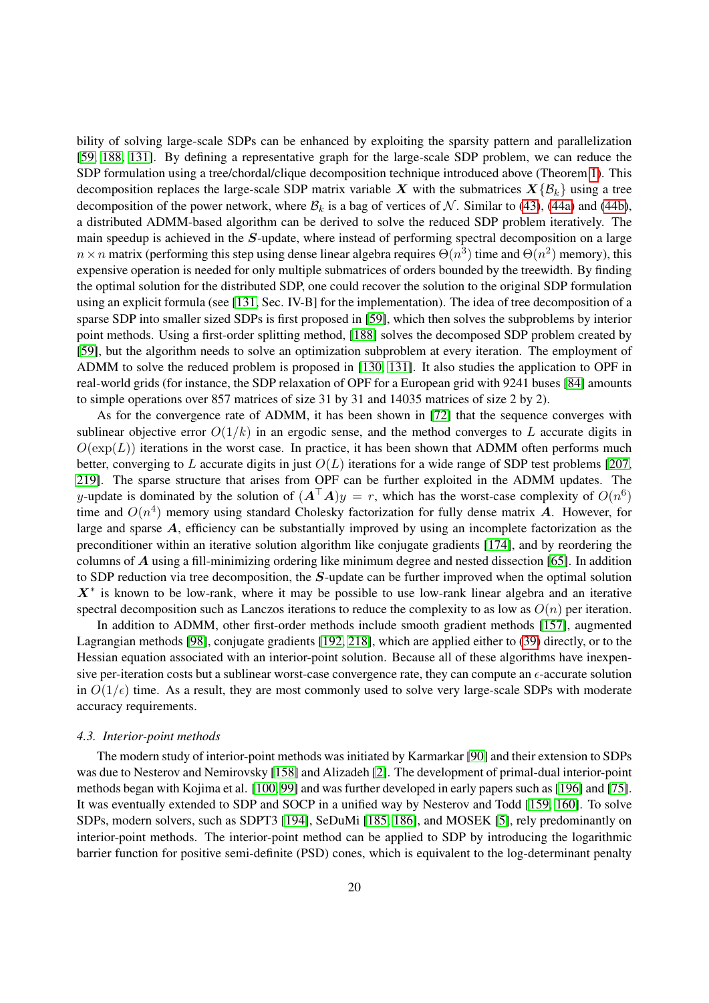bility of solving large-scale SDPs can be enhanced by exploiting the sparsity pattern and parallelization [\[59,](#page-26-23) [188,](#page-30-22) [131\]](#page-28-25). By defining a representative graph for the large-scale SDP problem, we can reduce the SDP formulation using a tree/chordal/clique decomposition technique introduced above (Theorem [1\)](#page-7-0). This decomposition replaces the large-scale SDP matrix variable X with the submatrices  $X\{\mathcal{B}_k\}$  using a tree decomposition of the power network, where  $\mathcal{B}_k$  is a bag of vertices of N. Similar to [\(43\)](#page-18-1), [\(44a\)](#page-18-2) and [\(44b\)](#page-18-3), a distributed ADMM-based algorithm can be derived to solve the reduced SDP problem iteratively. The main speedup is achieved in the S-update, where instead of performing spectral decomposition on a large  $n \times n$  matrix (performing this step using dense linear algebra requires  $\Theta(n^3)$  time and  $\Theta(n^2)$  memory), this expensive operation is needed for only multiple submatrices of orders bounded by the treewidth. By finding the optimal solution for the distributed SDP, one could recover the solution to the original SDP formulation using an explicit formula (see [\[131,](#page-28-25) Sec. IV-B] for the implementation). The idea of tree decomposition of a sparse SDP into smaller sized SDPs is first proposed in [\[59\]](#page-26-23), which then solves the subproblems by interior point methods. Using a first-order splitting method, [\[188\]](#page-30-22) solves the decomposed SDP problem created by [\[59\]](#page-26-23), but the algorithm needs to solve an optimization subproblem at every iteration. The employment of ADMM to solve the reduced problem is proposed in [\[130,](#page-28-26) [131\]](#page-28-25). It also studies the application to OPF in real-world grids (for instance, the SDP relaxation of OPF for a European grid with 9241 buses [\[84\]](#page-26-24) amounts to simple operations over 857 matrices of size 31 by 31 and 14035 matrices of size 2 by 2).

As for the convergence rate of ADMM, it has been shown in [\[72\]](#page-26-25) that the sequence converges with sublinear objective error  $O(1/k)$  in an ergodic sense, and the method converges to L accurate digits in  $O(\exp(L))$  iterations in the worst case. In practice, it has been shown that ADMM often performs much better, converging to L accurate digits in just  $O(L)$  iterations for a wide range of SDP test problems [\[207,](#page-31-17) [219\]](#page-31-18). The sparse structure that arises from OPF can be further exploited in the ADMM updates. The y-update is dominated by the solution of  $(A^{\top}A)y = r$ , which has the worst-case complexity of  $O(n^6)$ time and  $O(n^4)$  memory using standard Cholesky factorization for fully dense matrix A. However, for large and sparse  $A$ , efficiency can be substantially improved by using an incomplete factorization as the preconditioner within an iterative solution algorithm like conjugate gradients [\[174\]](#page-30-23), and by reordering the columns of A using a fill-minimizing ordering like minimum degree and nested dissection [\[65\]](#page-26-26). In addition to SDP reduction via tree decomposition, the S-update can be further improved when the optimal solution  $X^*$  is known to be low-rank, where it may be possible to use low-rank linear algebra and an iterative spectral decomposition such as Lanczos iterations to reduce the complexity to as low as  $O(n)$  per iteration.

In addition to ADMM, other first-order methods include smooth gradient methods [\[157\]](#page-29-22), augmented Lagrangian methods [\[98\]](#page-27-23), conjugate gradients [\[192,](#page-30-24) [218\]](#page-31-19), which are applied either to [\(39\)](#page-17-0) directly, or to the Hessian equation associated with an interior-point solution. Because all of these algorithms have inexpensive per-iteration costs but a sublinear worst-case convergence rate, they can compute an  $\epsilon$ -accurate solution in  $O(1/\epsilon)$  time. As a result, they are most commonly used to solve very large-scale SDPs with moderate accuracy requirements.

# *4.3. Interior-point methods*

The modern study of interior-point methods was initiated by Karmarkar [\[90\]](#page-27-2) and their extension to SDPs was due to Nesterov and Nemirovsky [\[158\]](#page-29-2) and Alizadeh [\[2\]](#page-24-22). The development of primal-dual interior-point methods began with Kojima et al. [\[100,](#page-27-24) [99\]](#page-27-25) and was further developed in early papers such as [\[196\]](#page-30-25) and [\[75\]](#page-26-27). It was eventually extended to SDP and SOCP in a unified way by Nesterov and Todd [\[159,](#page-29-23) [160\]](#page-29-24). To solve SDPs, modern solvers, such as SDPT3 [\[194\]](#page-30-26), SeDuMi [\[185,](#page-30-2) [186\]](#page-30-27), and MOSEK [\[5\]](#page-24-0), rely predominantly on interior-point methods. The interior-point method can be applied to SDP by introducing the logarithmic barrier function for positive semi-definite (PSD) cones, which is equivalent to the log-determinant penalty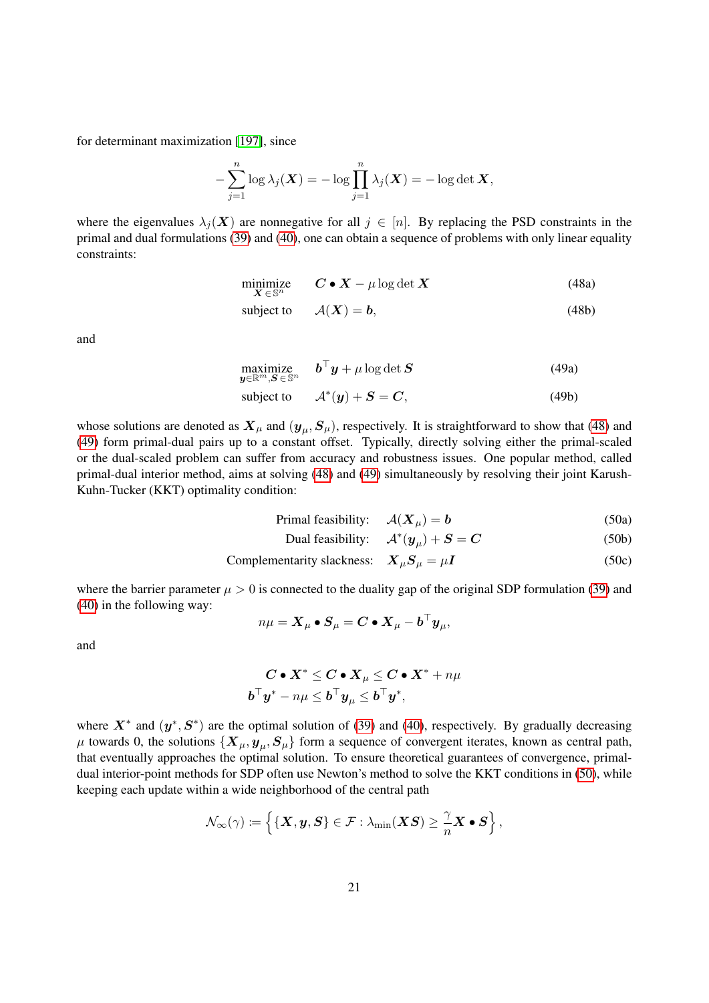for determinant maximization [\[197\]](#page-30-28), since

$$
-\sum_{j=1}^n \log \lambda_j(\boldsymbol{X}) = -\log \prod_{j=1}^n \lambda_j(\boldsymbol{X}) = -\log \det \boldsymbol{X},
$$

<span id="page-20-0"></span>where the eigenvalues  $\lambda_j(X)$  are nonnegative for all  $j \in [n]$ . By replacing the PSD constraints in the primal and dual formulations [\(39\)](#page-17-0) and [\(40\)](#page-17-1), one can obtain a sequence of problems with only linear equality constraints:

$$
\underset{\mathbf{X}\in\mathbb{S}^n}{\text{minimize}} \qquad \mathbf{C}\bullet\mathbf{X} - \mu\log\det\mathbf{X} \tag{48a}
$$

subject to 
$$
A(X) = b,
$$
 (48b)

<span id="page-20-1"></span>and

$$
\underset{\boldsymbol{y}\in\mathbb{R}^m,\boldsymbol{S}\in\mathbb{S}^n}{\text{maximize}} \quad \boldsymbol{b}^\top\boldsymbol{y} + \mu\log\det\boldsymbol{S}
$$
\n
$$
(49a)
$$

subject to 
$$
A^*(y) + S = C,
$$
 (49b)

whose solutions are denoted as  $X_\mu$  and  $(y_\mu, S_\mu)$ , respectively. It is straightforward to show that [\(48\)](#page-20-0) and [\(49\)](#page-20-1) form primal-dual pairs up to a constant offset. Typically, directly solving either the primal-scaled or the dual-scaled problem can suffer from accuracy and robustness issues. One popular method, called primal-dual interior method, aims at solving [\(48\)](#page-20-0) and [\(49\)](#page-20-1) simultaneously by resolving their joint Karush-Kuhn-Tucker (KKT) optimality condition:

<span id="page-20-2"></span>
$$
Primal feasibility: \quad \mathcal{A}(\mathbf{X}_{\mu}) = \mathbf{b} \tag{50a}
$$

$$
Dual feasibility: \quad \mathcal{A}^*(y_\mu) + \mathbf{S} = \mathbf{C}
$$
\n(50b)

Complementarity slackness: 
$$
X_{\mu}S_{\mu} = \mu I
$$
 (50c)

where the barrier parameter  $\mu > 0$  is connected to the duality gap of the original SDP formulation [\(39\)](#page-17-0) and [\(40\)](#page-17-1) in the following way:

$$
n\mu = \boldsymbol{X}_\mu \bullet \boldsymbol{S}_\mu = \boldsymbol{C} \bullet \boldsymbol{X}_\mu - \boldsymbol{b}^\top \boldsymbol{y}_\mu,
$$

and

$$
\begin{aligned} \boldsymbol{C}\bullet \boldsymbol{X}^* \leq \boldsymbol{C}\bullet \boldsymbol{X}_{\mu} \leq \boldsymbol{C}\bullet \boldsymbol{X}^* + n\mu \\ \boldsymbol{b}^\top \boldsymbol{y}^* - n\mu \leq \boldsymbol{b}^\top \boldsymbol{y}_{\mu} \leq \boldsymbol{b}^\top \boldsymbol{y}^*, \end{aligned}
$$

where  $X^*$  and  $(y^*, S^*)$  are the optimal solution of [\(39\)](#page-17-0) and [\(40\)](#page-17-1), respectively. By gradually decreasing  $\mu$  towards 0, the solutions  $\{X_\mu, y_\mu, S_\mu\}$  form a sequence of convergent iterates, known as central path, that eventually approaches the optimal solution. To ensure theoretical guarantees of convergence, primaldual interior-point methods for SDP often use Newton's method to solve the KKT conditions in [\(50\)](#page-20-2), while keeping each update within a wide neighborhood of the central path

$$
\mathcal{N}_\infty(\gamma) \coloneqq \left\{\{\boldsymbol{X}, \boldsymbol{y}, \boldsymbol{S}\} \in \mathcal{F}: \lambda_{\min}(\boldsymbol{X}\boldsymbol{S}) \geq \frac{\gamma}{n}\boldsymbol{X}\bullet\boldsymbol{S}\right\},\
$$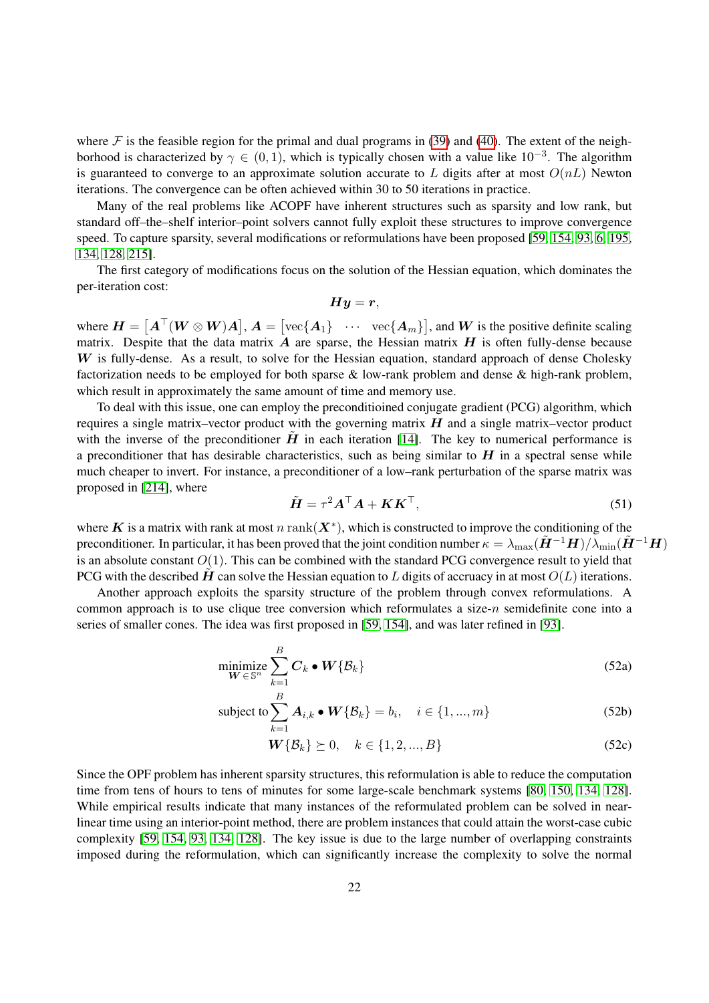where  $\mathcal F$  is the feasible region for the primal and dual programs in [\(39\)](#page-17-0) and [\(40\)](#page-17-1). The extent of the neighborhood is characterized by  $\gamma \in (0,1)$ , which is typically chosen with a value like  $10^{-3}$ . The algorithm is guaranteed to converge to an approximate solution accurate to L digits after at most  $O(nL)$  Newton iterations. The convergence can be often achieved within 30 to 50 iterations in practice.

Many of the real problems like ACOPF have inherent structures such as sparsity and low rank, but standard off–the–shelf interior–point solvers cannot fully exploit these structures to improve convergence speed. To capture sparsity, several modifications or reformulations have been proposed [\[59,](#page-26-23) [154,](#page-29-25) [93,](#page-27-26) [6,](#page-24-16) [195,](#page-30-29) [134,](#page-28-14) [128,](#page-28-3) [215\]](#page-31-20).

The first category of modifications focus on the solution of the Hessian equation, which dominates the per-iteration cost:

 $Hy = r$ ,

where  $\mathbf{H} = [\mathbf{A}^\top (\mathbf{W} \otimes \mathbf{W}) \mathbf{A}]$ ,  $\mathbf{A} = [\text{vec}\{\mathbf{A}_1\} \cdots \text{vec}\{\mathbf{A}_m\}]$ , and  $\mathbf{W}$  is the positive definite scaling matrix. Despite that the data matrix  $\vec{A}$  are sparse, the Hessian matrix  $\vec{H}$  is often fully-dense because  $W$  is fully-dense. As a result, to solve for the Hessian equation, standard approach of dense Cholesky factorization needs to be employed for both sparse  $\&$  low-rank problem and dense  $\&$  high-rank problem, which result in approximately the same amount of time and memory use.

To deal with this issue, one can employ the preconditioined conjugate gradient (PCG) algorithm, which requires a single matrix–vector product with the governing matrix  $H$  and a single matrix–vector product with the inverse of the preconditioner  $\hat{H}$  in each iteration [\[14\]](#page-24-23). The key to numerical performance is a preconditioner that has desirable characteristics, such as being similar to  $H$  in a spectral sense while much cheaper to invert. For instance, a preconditioner of a low–rank perturbation of the sparse matrix was proposed in [\[214\]](#page-31-21), where

<span id="page-21-0"></span>
$$
\tilde{H} = \tau^2 A^\top A + K K^\top,\tag{51}
$$

where K is a matrix with rank at most n rank $(X^*)$ , which is constructed to improve the conditioning of the preconditioner. In particular, it has been proved that the joint condition number  $\kappa = \lambda_{\max}(\tilde{\bm{H}}^{-1}\bm{H})/\lambda_{\min}(\tilde{\bm{H}}^{-1}\bm{H})$ is an absolute constant  $O(1)$ . This can be combined with the standard PCG convergence result to yield that PCG with the described H can solve the Hessian equation to L digits of accruacy in at most  $O(L)$  iterations.

Another approach exploits the sparsity structure of the problem through convex reformulations. A common approach is to use clique tree conversion which reformulates a size- $n$  semidefinite cone into a series of smaller cones. The idea was first proposed in [\[59,](#page-26-23) [154\]](#page-29-25), and was later refined in [\[93\]](#page-27-26).

$$
\underset{\boldsymbol{W}\in\mathbb{S}^n}{\text{minimize}} \sum_{k=1}^{B} \boldsymbol{C}_k \bullet \boldsymbol{W}\{\mathcal{B}_k\} \tag{52a}
$$

subject to 
$$
\sum_{k=1}^{B} \mathbf{A}_{i,k} \bullet \mathbf{W} \{ \mathcal{B}_k \} = b_i, \quad i \in \{1, ..., m\}
$$
 (52b)

$$
\mathbf{W}\{\mathcal{B}_k\} \succeq 0, \quad k \in \{1, 2, ..., B\} \tag{52c}
$$

Since the OPF problem has inherent sparsity structures, this reformulation is able to reduce the computation time from tens of hours to tens of minutes for some large-scale benchmark systems [\[80,](#page-26-9) [150,](#page-29-10) [134,](#page-28-14) [128\]](#page-28-3). While empirical results indicate that many instances of the reformulated problem can be solved in nearlinear time using an interior-point method, there are problem instances that could attain the worst-case cubic complexity [\[59,](#page-26-23) [154,](#page-29-25) [93,](#page-27-26) [134,](#page-28-14) [128\]](#page-28-3). The key issue is due to the large number of overlapping constraints imposed during the reformulation, which can significantly increase the complexity to solve the normal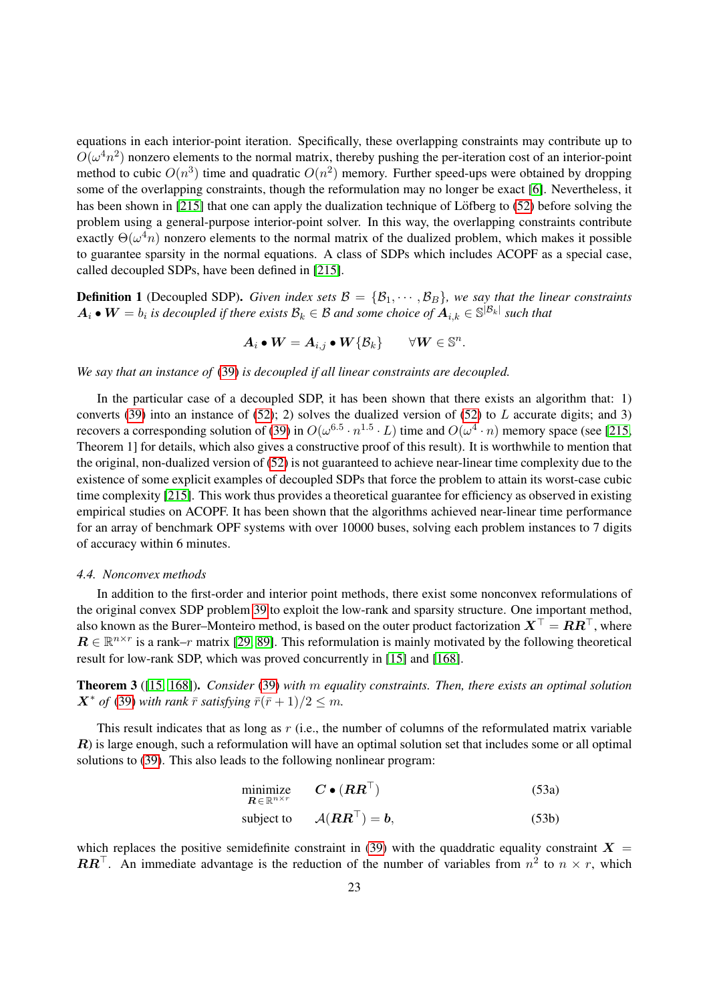equations in each interior-point iteration. Specifically, these overlapping constraints may contribute up to  $O(\omega^4 n^2)$  nonzero elements to the normal matrix, thereby pushing the per-iteration cost of an interior-point method to cubic  $O(n^3)$  time and quadratic  $O(n^2)$  memory. Further speed-ups were obtained by dropping some of the overlapping constraints, though the reformulation may no longer be exact [\[6\]](#page-24-16). Nevertheless, it has been shown in [\[215\]](#page-31-20) that one can apply the dualization technique of Löfberg to  $(52)$  before solving the problem using a general-purpose interior-point solver. In this way, the overlapping constraints contribute exactly  $\Theta(\omega^4 n)$  nonzero elements to the normal matrix of the dualized problem, which makes it possible to guarantee sparsity in the normal equations. A class of SDPs which includes ACOPF as a special case, called decoupled SDPs, have been defined in [\[215\]](#page-31-20).

**Definition 1** (Decoupled SDP). *Given index sets*  $\mathcal{B} = \{B_1, \dots, B_B\}$ *, we say that the linear constraints*  $A_i\bullet W=b_i$  is decoupled if there exists  $\mathcal{B}_k\in\mathcal{B}$  and some choice of  $A_{i,k}\in\mathbb{S}^{|\mathcal{B}_k|}$  such that

$$
A_i \bullet W = A_{i,j} \bullet W\{\mathcal{B}_k\} \qquad \forall W \in \mathbb{S}^n.
$$

*We say that an instance of* [\(39\)](#page-17-0) *is decoupled if all linear constraints are decoupled.*

In the particular case of a decoupled SDP, it has been shown that there exists an algorithm that: 1) converts [\(39\)](#page-17-0) into an instance of [\(52\)](#page-21-0); 2) solves the dualized version of (52) to L accurate digits; and 3) recovers a corresponding solution of [\(39\)](#page-17-0) in  $O(\omega^{6.5} \cdot n^{1.5} \cdot L)$  time and  $O(\omega^4 \cdot n)$  memory space (see [\[215,](#page-31-20) Theorem 1] for details, which also gives a constructive proof of this result). It is worthwhile to mention that the original, non-dualized version of [\(52\)](#page-21-0) is not guaranteed to achieve near-linear time complexity due to the existence of some explicit examples of decoupled SDPs that force the problem to attain its worst-case cubic time complexity [\[215\]](#page-31-20). This work thus provides a theoretical guarantee for efficiency as observed in existing empirical studies on ACOPF. It has been shown that the algorithms achieved near-linear time performance for an array of benchmark OPF systems with over 10000 buses, solving each problem instances to 7 digits of accuracy within 6 minutes.

#### *4.4. Nonconvex methods*

In addition to the first-order and interior point methods, there exist some nonconvex reformulations of the original convex SDP problem [39](#page-17-0) to exploit the low-rank and sparsity structure. One important method, also known as the Burer–Monteiro method, is based on the outer product factorization  $X^{\top} = RR^{\top}$ , where  $\mathbf{R} \in \mathbb{R}^{n \times r}$  is a rank–r matrix [\[29,](#page-25-26) [89\]](#page-27-27). This reformulation is mainly motivated by the following theoretical result for low-rank SDP, which was proved concurrently in [\[15\]](#page-24-24) and [\[168\]](#page-29-26).

Theorem 3 ([\[15,](#page-24-24) [168\]](#page-29-26)). *Consider* [\(39\)](#page-17-0) *with* m *equality constraints. Then, there exists an optimal solution*  $\mathbf{X}^*$  of [\(39\)](#page-17-0) with rank  $\bar{r}$  satisfying  $\bar{r}(\bar{r}+1)/2 \leq m$ .

This result indicates that as long as  $r$  (i.e., the number of columns of the reformulated matrix variable  $R$ ) is large enough, such a reformulation will have an optimal solution set that includes some or all optimal solutions to [\(39\)](#page-17-0). This also leads to the following nonlinear program:

$$
\begin{array}{ll}\n\text{minimize} & \mathbf{C} \bullet (\mathbf{R} \mathbf{R}^{\top}) \\
\text{subject to} & \mathcal{A}(\mathbf{R} \mathbf{R}^{\top}) = \mathbf{b},\n\end{array} \tag{53a}
$$
\n
$$
\text{(53b)}
$$

which replaces the positive semidefinite constraint in [\(39\)](#page-17-0) with the quaddratic equality constraint  $X =$  $\boldsymbol{R}\boldsymbol{R}^{\top}$ . An immediate advantage is the reduction of the number of variables from  $n^2$  to  $n \times r$ , which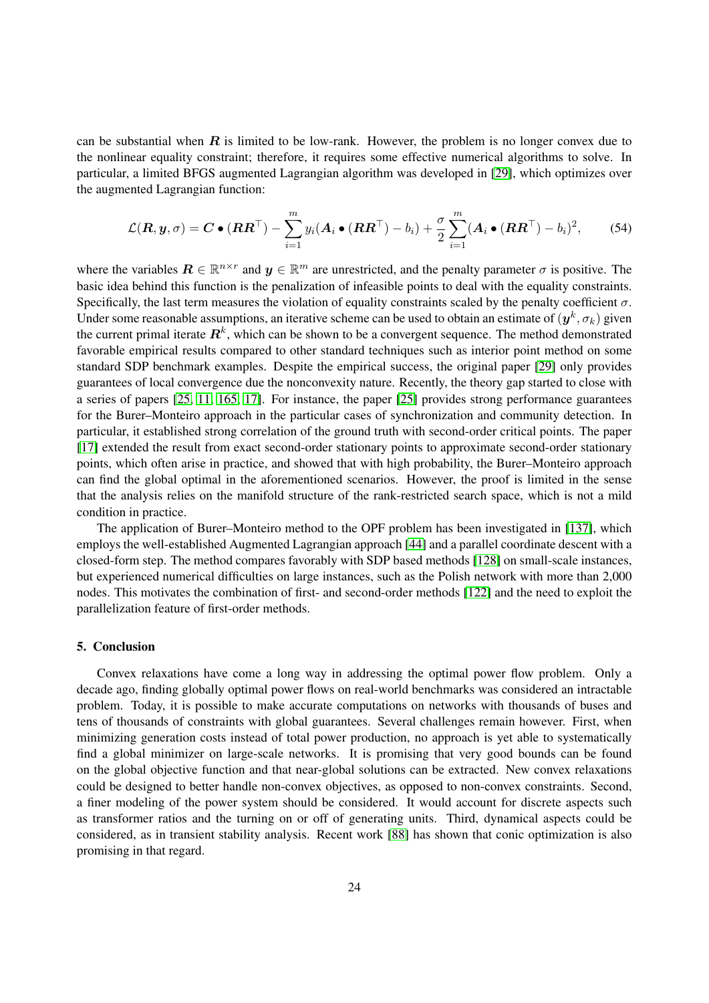can be substantial when  $\bf{R}$  is limited to be low-rank. However, the problem is no longer convex due to the nonlinear equality constraint; therefore, it requires some effective numerical algorithms to solve. In particular, a limited BFGS augmented Lagrangian algorithm was developed in [\[29\]](#page-25-26), which optimizes over the augmented Lagrangian function:

$$
\mathcal{L}(\boldsymbol{R}, \boldsymbol{y}, \sigma) = \boldsymbol{C} \bullet (\boldsymbol{R} \boldsymbol{R}^{\top}) - \sum_{i=1}^{m} y_i (\boldsymbol{A}_i \bullet (\boldsymbol{R} \boldsymbol{R}^{\top}) - b_i) + \frac{\sigma}{2} \sum_{i=1}^{m} (\boldsymbol{A}_i \bullet (\boldsymbol{R} \boldsymbol{R}^{\top}) - b_i)^2, \qquad (54)
$$

where the variables  $\mathbf{R} \in \mathbb{R}^{n \times r}$  and  $\mathbf{y} \in \mathbb{R}^m$  are unrestricted, and the penalty parameter  $\sigma$  is positive. The basic idea behind this function is the penalization of infeasible points to deal with the equality constraints. Specifically, the last term measures the violation of equality constraints scaled by the penalty coefficient  $\sigma$ . Under some reasonable assumptions, an iterative scheme can be used to obtain an estimate of  $(\bm{y}^k, \sigma_k)$  given the current primal iterate  $\mathbf{R}^k$ , which can be shown to be a convergent sequence. The method demonstrated favorable empirical results compared to other standard techniques such as interior point method on some standard SDP benchmark examples. Despite the empirical success, the original paper [\[29\]](#page-25-26) only provides guarantees of local convergence due the nonconvexity nature. Recently, the theory gap started to close with a series of papers [\[25,](#page-24-25) [11,](#page-24-26) [165,](#page-29-27) [17\]](#page-24-27). For instance, the paper [\[25\]](#page-24-25) provides strong performance guarantees for the Burer–Monteiro approach in the particular cases of synchronization and community detection. In particular, it established strong correlation of the ground truth with second-order critical points. The paper [\[17\]](#page-24-27) extended the result from exact second-order stationary points to approximate second-order stationary points, which often arise in practice, and showed that with high probability, the Burer–Monteiro approach can find the global optimal in the aforementioned scenarios. However, the proof is limited in the sense that the analysis relies on the manifold structure of the rank-restricted search space, which is not a mild condition in practice.

The application of Burer–Monteiro method to the OPF problem has been investigated in [\[137\]](#page-28-27), which employs the well-established Augmented Lagrangian approach [\[44\]](#page-25-27) and a parallel coordinate descent with a closed-form step. The method compares favorably with SDP based methods [\[128\]](#page-28-3) on small-scale instances, but experienced numerical difficulties on large instances, such as the Polish network with more than 2,000 nodes. This motivates the combination of first- and second-order methods [\[122\]](#page-28-28) and the need to exploit the parallelization feature of first-order methods.

# 5. Conclusion

Convex relaxations have come a long way in addressing the optimal power flow problem. Only a decade ago, finding globally optimal power flows on real-world benchmarks was considered an intractable problem. Today, it is possible to make accurate computations on networks with thousands of buses and tens of thousands of constraints with global guarantees. Several challenges remain however. First, when minimizing generation costs instead of total power production, no approach is yet able to systematically find a global minimizer on large-scale networks. It is promising that very good bounds can be found on the global objective function and that near-global solutions can be extracted. New convex relaxations could be designed to better handle non-convex objectives, as opposed to non-convex constraints. Second, a finer modeling of the power system should be considered. It would account for discrete aspects such as transformer ratios and the turning on or off of generating units. Third, dynamical aspects could be considered, as in transient stability analysis. Recent work [\[88\]](#page-27-28) has shown that conic optimization is also promising in that regard.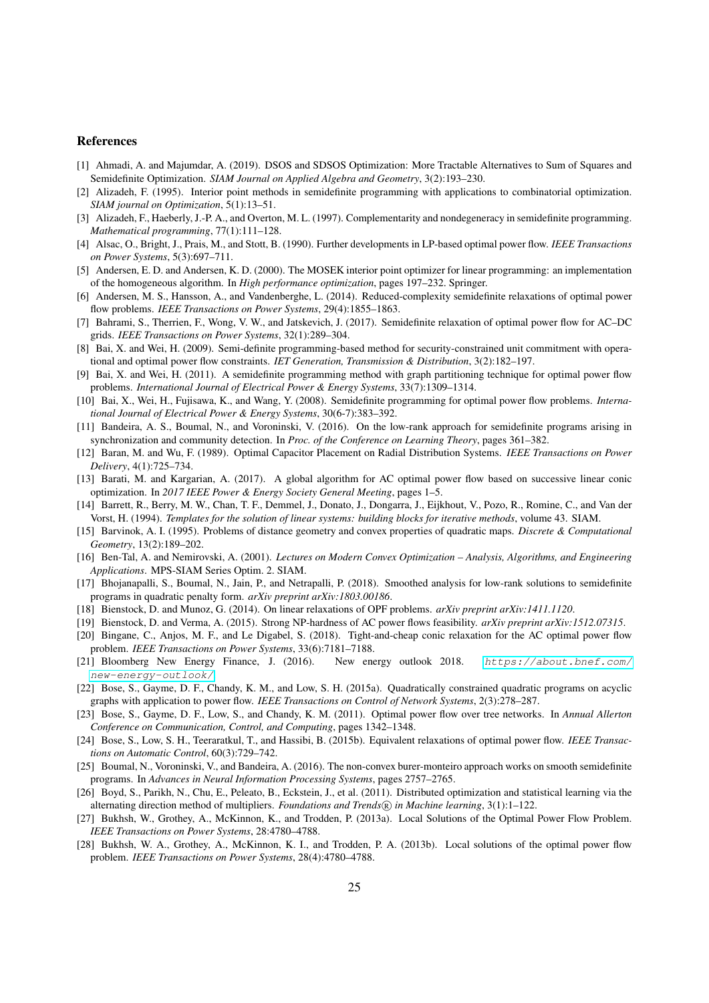## References

- <span id="page-24-19"></span>[1] Ahmadi, A. and Majumdar, A. (2019). DSOS and SDSOS Optimization: More Tractable Alternatives to Sum of Squares and Semidefinite Optimization. *SIAM Journal on Applied Algebra and Geometry*, 3(2):193–230.
- <span id="page-24-22"></span>[2] Alizadeh, F. (1995). Interior point methods in semidefinite programming with applications to combinatorial optimization. *SIAM journal on Optimization*, 5(1):13–51.
- <span id="page-24-20"></span>[3] Alizadeh, F., Haeberly, J.-P. A., and Overton, M. L. (1997). Complementarity and nondegeneracy in semidefinite programming. *Mathematical programming*, 77(1):111–128.
- <span id="page-24-6"></span>[4] Alsac, O., Bright, J., Prais, M., and Stott, B. (1990). Further developments in LP-based optimal power flow. *IEEE Transactions on Power Systems*, 5(3):697–711.
- <span id="page-24-0"></span>[5] Andersen, E. D. and Andersen, K. D. (2000). The MOSEK interior point optimizer for linear programming: an implementation of the homogeneous algorithm. In *High performance optimization*, pages 197–232. Springer.
- <span id="page-24-16"></span>[6] Andersen, M. S., Hansson, A., and Vandenberghe, L. (2014). Reduced-complexity semidefinite relaxations of optimal power flow problems. *IEEE Transactions on Power Systems*, 29(4):1855–1863.
- <span id="page-24-5"></span>[7] Bahrami, S., Therrien, F., Wong, V. W., and Jatskevich, J. (2017). Semidefinite relaxation of optimal power flow for AC–DC grids. *IEEE Transactions on Power Systems*, 32(1):289–304.
- <span id="page-24-4"></span>[8] Bai, X. and Wei, H. (2009). Semi-definite programming-based method for security-constrained unit commitment with operational and optimal power flow constraints. *IET Generation, Transmission & Distribution*, 3(2):182–197.
- <span id="page-24-14"></span>[9] Bai, X. and Wei, H. (2011). A semidefinite programming method with graph partitioning technique for optimal power flow problems. *International Journal of Electrical Power & Energy Systems*, 33(7):1309–1314.
- <span id="page-24-11"></span>[10] Bai, X., Wei, H., Fujisawa, K., and Wang, Y. (2008). Semidefinite programming for optimal power flow problems. *International Journal of Electrical Power & Energy Systems*, 30(6-7):383–392.
- <span id="page-24-26"></span>[11] Bandeira, A. S., Boumal, N., and Voroninski, V. (2016). On the low-rank approach for semidefinite programs arising in synchronization and community detection. In *Proc. of the Conference on Learning Theory*, pages 361–382.
- <span id="page-24-2"></span>[12] Baran, M. and Wu, F. (1989). Optimal Capacitor Placement on Radial Distribution Systems. *IEEE Transactions on Power Delivery*, 4(1):725–734.
- <span id="page-24-17"></span>[13] Barati, M. and Kargarian, A. (2017). A global algorithm for AC optimal power flow based on successive linear conic optimization. In *2017 IEEE Power & Energy Society General Meeting*, pages 1–5.
- <span id="page-24-23"></span>[14] Barrett, R., Berry, M. W., Chan, T. F., Demmel, J., Donato, J., Dongarra, J., Eijkhout, V., Pozo, R., Romine, C., and Van der Vorst, H. (1994). *Templates for the solution of linear systems: building blocks for iterative methods*, volume 43. SIAM.
- <span id="page-24-24"></span>[15] Barvinok, A. I. (1995). Problems of distance geometry and convex properties of quadratic maps. *Discrete & Computational Geometry*, 13(2):189–202.
- <span id="page-24-1"></span>[16] Ben-Tal, A. and Nemirovski, A. (2001). *Lectures on Modern Convex Optimization – Analysis, Algorithms, and Engineering Applications*. MPS-SIAM Series Optim. 2. SIAM.
- <span id="page-24-27"></span>[17] Bhojanapalli, S., Boumal, N., Jain, P., and Netrapalli, P. (2018). Smoothed analysis for low-rank solutions to semidefinite programs in quadratic penalty form. *arXiv preprint arXiv:1803.00186*.
- <span id="page-24-8"></span>[18] Bienstock, D. and Munoz, G. (2014). On linear relaxations of OPF problems. *arXiv preprint arXiv:1411.1120*.
- <span id="page-24-3"></span>[19] Bienstock, D. and Verma, A. (2015). Strong NP-hardness of AC power flows feasibility. *arXiv preprint arXiv:1512.07315*.
- <span id="page-24-9"></span>[20] Bingane, C., Anjos, M. F., and Le Digabel, S. (2018). Tight-and-cheap conic relaxation for the AC optimal power flow problem. *IEEE Transactions on Power Systems*, 33(6):7181–7188.
- <span id="page-24-10"></span>[21] Bloomberg New Energy Finance, J. (2016). New energy outlook 2018. [https://about.bnef.com/](https://about.bnef.com/new-energy-outlook/) [new-energy-outlook/](https://about.bnef.com/new-energy-outlook/).
- <span id="page-24-13"></span>[22] Bose, S., Gayme, D. F., Chandy, K. M., and Low, S. H. (2015a). Quadratically constrained quadratic programs on acyclic graphs with application to power flow. *IEEE Transactions on Control of Network Systems*, 2(3):278–287.
- <span id="page-24-18"></span>[23] Bose, S., Gayme, D. F., Low, S., and Chandy, K. M. (2011). Optimal power flow over tree networks. In *Annual Allerton Conference on Communication, Control, and Computing*, pages 1342–1348.
- <span id="page-24-15"></span>[24] Bose, S., Low, S. H., Teeraratkul, T., and Hassibi, B. (2015b). Equivalent relaxations of optimal power flow. *IEEE Transactions on Automatic Control*, 60(3):729–742.
- <span id="page-24-25"></span>[25] Boumal, N., Voroninski, V., and Bandeira, A. (2016). The non-convex burer-monteiro approach works on smooth semidefinite programs. In *Advances in Neural Information Processing Systems*, pages 2757–2765.
- <span id="page-24-21"></span>[26] Boyd, S., Parikh, N., Chu, E., Peleato, B., Eckstein, J., et al. (2011). Distributed optimization and statistical learning via the alternating direction method of multipliers. *Foundations and Trends* <sup>R</sup> *in Machine learning*, 3(1):1–122.
- <span id="page-24-7"></span>[27] Bukhsh, W., Grothey, A., McKinnon, K., and Trodden, P. (2013a). Local Solutions of the Optimal Power Flow Problem. *IEEE Transactions on Power Systems*, 28:4780–4788.
- <span id="page-24-12"></span>[28] Bukhsh, W. A., Grothey, A., McKinnon, K. I., and Trodden, P. A. (2013b). Local solutions of the optimal power flow problem. *IEEE Transactions on Power Systems*, 28(4):4780–4788.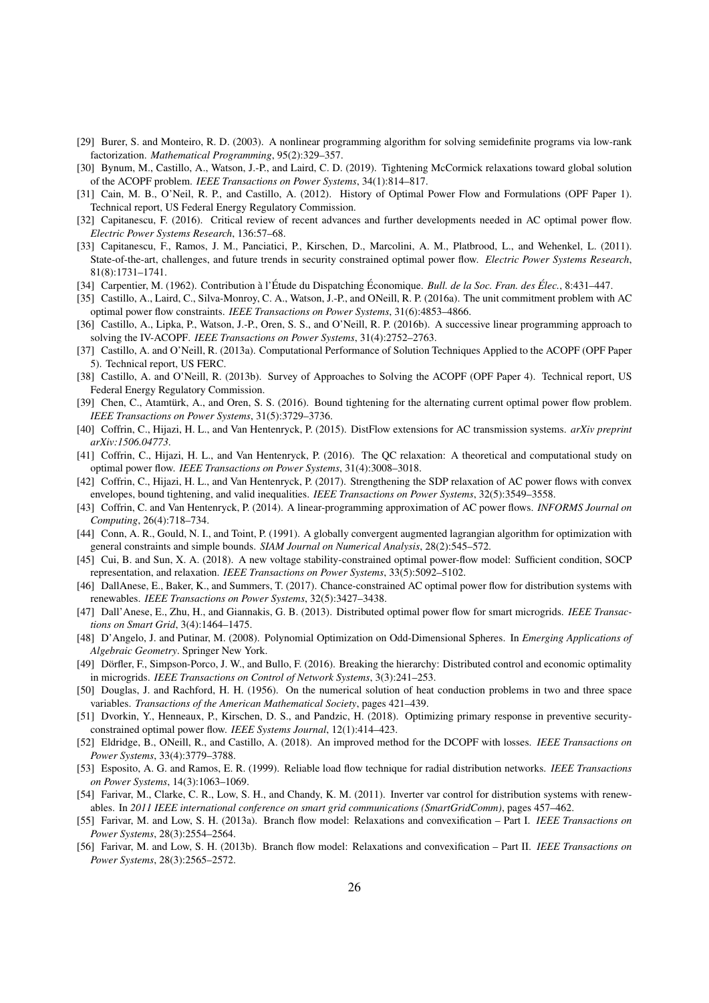- <span id="page-25-26"></span>[29] Burer, S. and Monteiro, R. D. (2003). A nonlinear programming algorithm for solving semidefinite programs via low-rank factorization. *Mathematical Programming*, 95(2):329–357.
- <span id="page-25-16"></span>[30] Bynum, M., Castillo, A., Watson, J.-P., and Laird, C. D. (2019). Tightening McCormick relaxations toward global solution of the ACOPF problem. *IEEE Transactions on Power Systems*, 34(1):814–817.
- <span id="page-25-2"></span>[31] Cain, M. B., O'Neil, R. P., and Castillo, A. (2012). History of Optimal Power Flow and Formulations (OPF Paper 1). Technical report, US Federal Energy Regulatory Commission.
- <span id="page-25-3"></span>[32] Capitanescu, F. (2016). Critical review of recent advances and further developments needed in AC optimal power flow. *Electric Power Systems Research*, 136:57–68.
- <span id="page-25-4"></span>[33] Capitanescu, F., Ramos, J. M., Panciatici, P., Kirschen, D., Marcolini, A. M., Platbrood, L., and Wehenkel, L. (2011). State-of-the-art, challenges, and future trends in security constrained optimal power flow. *Electric Power Systems Research*, 81(8):1731–1741.
- <span id="page-25-1"></span>[34] Carpentier, M. (1962). Contribution à l'Étude du Dispatching Économique. *Bull. de la Soc. Fran. des Élec.*, 8:431–447.
- <span id="page-25-10"></span>[35] Castillo, A., Laird, C., Silva-Monroy, C. A., Watson, J.-P., and ONeill, R. P. (2016a). The unit commitment problem with AC optimal power flow constraints. *IEEE Transactions on Power Systems*, 31(6):4853–4866.
- <span id="page-25-12"></span>[36] Castillo, A., Lipka, P., Watson, J.-P., Oren, S. S., and O'Neill, R. P. (2016b). A successive linear programming approach to solving the IV-ACOPF. *IEEE Transactions on Power Systems*, 31(4):2752–2763.
- <span id="page-25-14"></span>[37] Castillo, A. and O'Neill, R. (2013a). Computational Performance of Solution Techniques Applied to the ACOPF (OPF Paper 5). Technical report, US FERC.
- <span id="page-25-18"></span>[38] Castillo, A. and O'Neill, R. (2013b). Survey of Approaches to Solving the ACOPF (OPF Paper 4). Technical report, US Federal Energy Regulatory Commission.
- <span id="page-25-23"></span>[39] Chen, C., Atamtürk, A., and Oren, S. S. (2016). Bound tightening for the alternating current optimal power flow problem. *IEEE Transactions on Power Systems*, 31(5):3729–3736.
- <span id="page-25-15"></span>[40] Coffrin, C., Hijazi, H. L., and Van Hentenryck, P. (2015). DistFlow extensions for AC transmission systems. *arXiv preprint arXiv:1506.04773*.
- <span id="page-25-17"></span>[41] Coffrin, C., Hijazi, H. L., and Van Hentenryck, P. (2016). The QC relaxation: A theoretical and computational study on optimal power flow. *IEEE Transactions on Power Systems*, 31(4):3008–3018.
- <span id="page-25-22"></span>[42] Coffrin, C., Hijazi, H. L., and Van Hentenryck, P. (2017). Strengthening the SDP relaxation of AC power flows with convex envelopes, bound tightening, and valid inequalities. *IEEE Transactions on Power Systems*, 32(5):3549–3558.
- <span id="page-25-11"></span>[43] Coffrin, C. and Van Hentenryck, P. (2014). A linear-programming approximation of AC power flows. *INFORMS Journal on Computing*, 26(4):718–734.
- <span id="page-25-27"></span>[44] Conn, A. R., Gould, N. I., and Toint, P. (1991). A globally convergent augmented lagrangian algorithm for optimization with general constraints and simple bounds. *SIAM Journal on Numerical Analysis*, 28(2):545–572.
- <span id="page-25-9"></span>[45] Cui, B. and Sun, X. A. (2018). A new voltage stability-constrained optimal power-flow model: Sufficient condition, SOCP representation, and relaxation. *IEEE Transactions on Power Systems*, 33(5):5092–5102.
- <span id="page-25-8"></span>[46] DallAnese, E., Baker, K., and Summers, T. (2017). Chance-constrained AC optimal power flow for distribution systems with renewables. *IEEE Transactions on Power Systems*, 32(5):3427–3438.
- <span id="page-25-7"></span>[47] Dall'Anese, E., Zhu, H., and Giannakis, G. B. (2013). Distributed optimal power flow for smart microgrids. *IEEE Transactions on Smart Grid*, 3(4):1464–1475.
- <span id="page-25-25"></span>[48] D'Angelo, J. and Putinar, M. (2008). Polynomial Optimization on Odd-Dimensional Spheres. In *Emerging Applications of Algebraic Geometry*. Springer New York.
- <span id="page-25-6"></span>[49] Dörfler, F., Simpson-Porco, J. W., and Bullo, F. (2016). Breaking the hierarchy: Distributed control and economic optimality in microgrids. *IEEE Transactions on Control of Network Systems*, 3(3):241–253.
- <span id="page-25-0"></span>[50] Douglas, J. and Rachford, H. H. (1956). On the numerical solution of heat conduction problems in two and three space variables. *Transactions of the American Mathematical Society*, pages 421–439.
- <span id="page-25-5"></span>[51] Dvorkin, Y., Henneaux, P., Kirschen, D. S., and Pandzic, H. (2018). Optimizing primary response in preventive securityconstrained optimal power flow. *IEEE Systems Journal*, 12(1):414–423.
- <span id="page-25-13"></span>[52] Eldridge, B., ONeill, R., and Castillo, A. (2018). An improved method for the DCOPF with losses. *IEEE Transactions on Power Systems*, 33(4):3779–3788.
- <span id="page-25-24"></span>[53] Esposito, A. G. and Ramos, E. R. (1999). Reliable load flow technique for radial distribution networks. *IEEE Transactions on Power Systems*, 14(3):1063–1069.
- <span id="page-25-19"></span>[54] Farivar, M., Clarke, C. R., Low, S. H., and Chandy, K. M. (2011). Inverter var control for distribution systems with renewables. In *2011 IEEE international conference on smart grid communications (SmartGridComm)*, pages 457–462.
- <span id="page-25-20"></span>[55] Farivar, M. and Low, S. H. (2013a). Branch flow model: Relaxations and convexification – Part I. *IEEE Transactions on Power Systems*, 28(3):2554–2564.
- <span id="page-25-21"></span>[56] Farivar, M. and Low, S. H. (2013b). Branch flow model: Relaxations and convexification – Part II. *IEEE Transactions on Power Systems*, 28(3):2565–2572.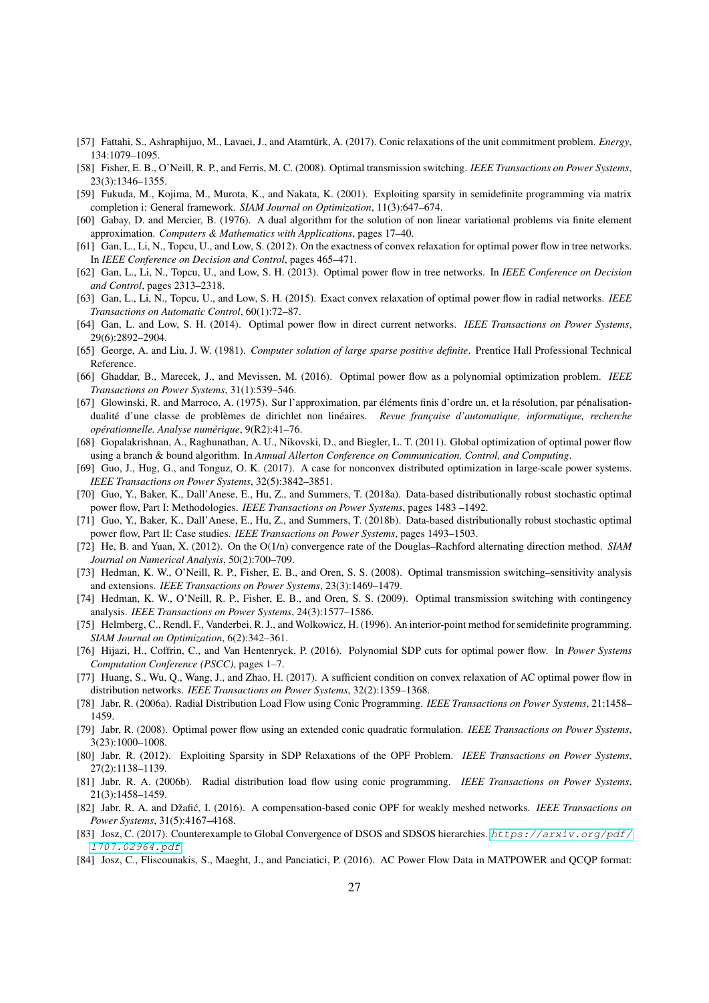- <span id="page-26-2"></span>[57] Fattahi, S., Ashraphijuo, M., Lavaei, J., and Atamtürk, A. (2017). Conic relaxations of the unit commitment problem. *Energy*, 134:1079–1095.
- <span id="page-26-4"></span>[58] Fisher, E. B., O'Neill, R. P., and Ferris, M. C. (2008). Optimal transmission switching. *IEEE Transactions on Power Systems*, 23(3):1346–1355.
- <span id="page-26-23"></span>[59] Fukuda, M., Kojima, M., Murota, K., and Nakata, K. (2001). Exploiting sparsity in semidefinite programming via matrix completion i: General framework. *SIAM Journal on Optimization*, 11(3):647–674.
- <span id="page-26-21"></span>[60] Gabay, D. and Mercier, B. (1976). A dual algorithm for the solution of non linear variational problems via finite element approximation. *Computers & Mathematics with Applications*, pages 17–40.
- <span id="page-26-17"></span>[61] Gan, L., Li, N., Topcu, U., and Low, S. (2012). On the exactness of convex relaxation for optimal power flow in tree networks. In *IEEE Conference on Decision and Control*, pages 465–471.
- <span id="page-26-18"></span>[62] Gan, L., Li, N., Topcu, U., and Low, S. H. (2013). Optimal power flow in tree networks. In *IEEE Conference on Decision and Control*, pages 2313–2318.
- <span id="page-26-7"></span>[63] Gan, L., Li, N., Topcu, U., and Low, S. H. (2015). Exact convex relaxation of optimal power flow in radial networks. *IEEE Transactions on Automatic Control*, 60(1):72–87.
- <span id="page-26-11"></span>[64] Gan, L. and Low, S. H. (2014). Optimal power flow in direct current networks. *IEEE Transactions on Power Systems*, 29(6):2892–2904.
- <span id="page-26-26"></span>[65] George, A. and Liu, J. W. (1981). *Computer solution of large sparse positive definite*. Prentice Hall Professional Technical Reference.
- <span id="page-26-8"></span>[66] Ghaddar, B., Marecek, J., and Mevissen, M. (2016). Optimal power flow as a polynomial optimization problem. *IEEE Transactions on Power Systems*, 31(1):539–546.
- <span id="page-26-22"></span>[67] Glowinski, R. and Marroco, A. (1975). Sur l'approximation, par éléments finis d'ordre un, et la résolution, par pénalisationdualité d'une classe de problèmes de dirichlet non linéaires. Revue française d'automatique, informatique, recherche *operationnelle. Analyse num ´ erique ´* , 9(R2):41–76.
- <span id="page-26-13"></span>[68] Gopalakrishnan, A., Raghunathan, A. U., Nikovski, D., and Biegler, L. T. (2011). Global optimization of optimal power flow using a branch & bound algorithm. In *Annual Allerton Conference on Communication, Control, and Computing*.
- <span id="page-26-14"></span>[69] Guo, J., Hug, G., and Tonguz, O. K. (2017). A case for nonconvex distributed optimization in large-scale power systems. *IEEE Transactions on Power Systems*, 32(5):3842–3851.
- <span id="page-26-0"></span>[70] Guo, Y., Baker, K., Dall'Anese, E., Hu, Z., and Summers, T. (2018a). Data-based distributionally robust stochastic optimal power flow, Part I: Methodologies. *IEEE Transactions on Power Systems*, pages 1483 –1492.
- <span id="page-26-1"></span>[71] Guo, Y., Baker, K., Dall'Anese, E., Hu, Z., and Summers, T. (2018b). Data-based distributionally robust stochastic optimal power flow, Part II: Case studies. *IEEE Transactions on Power Systems*, pages 1493–1503.
- <span id="page-26-25"></span>[72] He, B. and Yuan, X. (2012). On the O(1/n) convergence rate of the Douglas–Rachford alternating direction method. *SIAM Journal on Numerical Analysis*, 50(2):700–709.
- <span id="page-26-5"></span>[73] Hedman, K. W., O'Neill, R. P., Fisher, E. B., and Oren, S. S. (2008). Optimal transmission switching–sensitivity analysis and extensions. *IEEE Transactions on Power Systems*, 23(3):1469–1479.
- <span id="page-26-3"></span>[74] Hedman, K. W., O'Neill, R. P., Fisher, E. B., and Oren, S. S. (2009). Optimal transmission switching with contingency analysis. *IEEE Transactions on Power Systems*, 24(3):1577–1586.
- <span id="page-26-27"></span>[75] Helmberg, C., Rendl, F., Vanderbei, R. J., and Wolkowicz, H. (1996). An interior-point method for semidefinite programming. *SIAM Journal on Optimization*, 6(2):342–361.
- <span id="page-26-19"></span>[76] Hijazi, H., Coffrin, C., and Van Hentenryck, P. (2016). Polynomial SDP cuts for optimal power flow. In *Power Systems Computation Conference (PSCC)*, pages 1–7.
- <span id="page-26-12"></span>[77] Huang, S., Wu, Q., Wang, J., and Zhao, H. (2017). A sufficient condition on convex relaxation of AC optimal power flow in distribution networks. *IEEE Transactions on Power Systems*, 32(2):1359–1368.
- <span id="page-26-6"></span>[78] Jabr, R. (2006a). Radial Distribution Load Flow using Conic Programming. *IEEE Transactions on Power Systems*, 21:1458– 1459.
- <span id="page-26-15"></span>[79] Jabr, R. (2008). Optimal power flow using an extended conic quadratic formulation. *IEEE Transactions on Power Systems*, 3(23):1000–1008.
- <span id="page-26-9"></span>[80] Jabr, R. (2012). Exploiting Sparsity in SDP Relaxations of the OPF Problem. *IEEE Transactions on Power Systems*, 27(2):1138–1139.
- <span id="page-26-16"></span>[81] Jabr, R. A. (2006b). Radial distribution load flow using conic programming. *IEEE Transactions on Power Systems*, 21(3):1458–1459.
- <span id="page-26-10"></span>[82] Jabr, R. A. and Džafić, I. (2016). A compensation-based conic OPF for weakly meshed networks. *IEEE Transactions on Power Systems*, 31(5):4167–4168.
- <span id="page-26-20"></span>[83] Josz, C. (2017). Counterexample to Global Convergence of DSOS and SDSOS hierarchies. [https://arxiv.org/pdf/](https://arxiv.org/pdf/1707.02964.pdf) [1707.02964.pdf](https://arxiv.org/pdf/1707.02964.pdf).
- <span id="page-26-24"></span>[84] Josz, C., Fliscounakis, S., Maeght, J., and Panciatici, P. (2016). AC Power Flow Data in MATPOWER and QCQP format: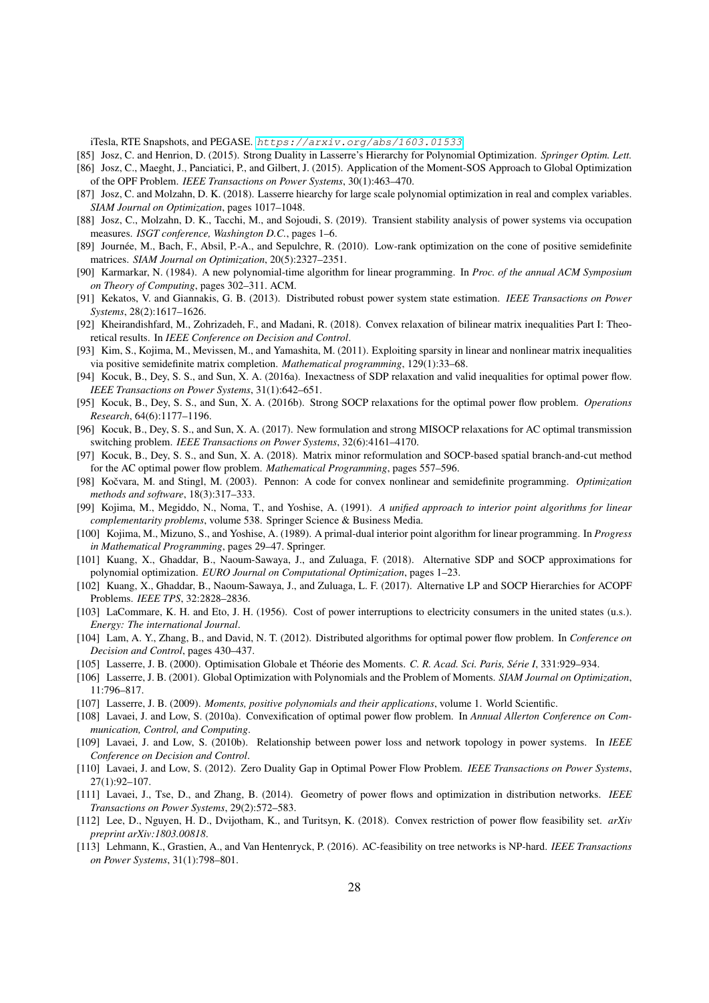iTesla, RTE Snapshots, and PEGASE. <https://arxiv.org/abs/1603.01533>.

<span id="page-27-20"></span><span id="page-27-10"></span>[85] Josz, C. and Henrion, D. (2015). Strong Duality in Lasserre's Hierarchy for Polynomial Optimization. *Springer Optim. Lett.* [86] Josz, C., Maeght, J., Panciatici, P., and Gilbert, J. (2015). Application of the Moment-SOS Approach to Global Optimization of the OPF Problem. *IEEE Transactions on Power Systems*, 30(1):463–470.

- <span id="page-27-21"></span>[87] Josz, C. and Molzahn, D. K. (2018). Lasserre hiearchy for large scale polynomial optimization in real and complex variables. *SIAM Journal on Optimization*, pages 1017–1048.
- <span id="page-27-28"></span>[88] Josz, C., Molzahn, D. K., Tacchi, M., and Sojoudi, S. (2019). Transient stability analysis of power systems via occupation measures. *ISGT conference, Washington D.C.*, pages 1–6.
- <span id="page-27-27"></span>[89] Journée, M., Bach, F., Absil, P.-A., and Sepulchre, R. (2010). Low-rank optimization on the cone of positive semidefinite matrices. *SIAM Journal on Optimization*, 20(5):2327–2351.
- <span id="page-27-2"></span>[90] Karmarkar, N. (1984). A new polynomial-time algorithm for linear programming. In *Proc. of the annual ACM Symposium on Theory of Computing*, pages 302–311. ACM.
- <span id="page-27-13"></span>[91] Kekatos, V. and Giannakis, G. B. (2013). Distributed robust power system state estimation. *IEEE Transactions on Power Systems*, 28(2):1617–1626.
- <span id="page-27-19"></span>[92] Kheirandishfard, M., Zohrizadeh, F., and Madani, R. (2018). Convex relaxation of bilinear matrix inequalities Part I: Theoretical results. In *IEEE Conference on Decision and Control*.
- <span id="page-27-26"></span>[93] Kim, S., Kojima, M., Mevissen, M., and Yamashita, M. (2011). Exploiting sparsity in linear and nonlinear matrix inequalities via positive semidefinite matrix completion. *Mathematical programming*, 129(1):33–68.
- <span id="page-27-9"></span>[94] Kocuk, B., Dey, S. S., and Sun, X. A. (2016a). Inexactness of SDP relaxation and valid inequalities for optimal power flow. *IEEE Transactions on Power Systems*, 31(1):642–651.
- <span id="page-27-11"></span>[95] Kocuk, B., Dey, S. S., and Sun, X. A. (2016b). Strong SOCP relaxations for the optimal power flow problem. *Operations Research*, 64(6):1177–1196.
- <span id="page-27-12"></span>[96] Kocuk, B., Dey, S. S., and Sun, X. A. (2017). New formulation and strong MISOCP relaxations for AC optimal transmission switching problem. *IEEE Transactions on Power Systems*, 32(6):4161–4170.
- <span id="page-27-14"></span>[97] Kocuk, B., Dey, S. S., and Sun, X. A. (2018). Matrix minor reformulation and SOCP-based spatial branch-and-cut method for the AC optimal power flow problem. *Mathematical Programming*, pages 557–596.
- <span id="page-27-23"></span>[98] Kočvara, M. and Stingl, M. (2003). Pennon: A code for convex nonlinear and semidefinite programming. *Optimization methods and software*, 18(3):317–333.
- <span id="page-27-25"></span>[99] Kojima, M., Megiddo, N., Noma, T., and Yoshise, A. (1991). *A unified approach to interior point algorithms for linear complementarity problems*, volume 538. Springer Science & Business Media.
- <span id="page-27-24"></span>[100] Kojima, M., Mizuno, S., and Yoshise, A. (1989). A primal-dual interior point algorithm for linear programming. In *Progress in Mathematical Programming*, pages 29–47. Springer.
- <span id="page-27-22"></span>[101] Kuang, X., Ghaddar, B., Naoum-Sawaya, J., and Zuluaga, F. (2018). Alternative SDP and SOCP approximations for polynomial optimization. *EURO Journal on Computational Optimization*, pages 1–23.
- <span id="page-27-8"></span>[102] Kuang, X., Ghaddar, B., Naoum-Sawaya, J., and Zuluaga, L. F. (2017). Alternative LP and SOCP Hierarchies for ACOPF Problems. *IEEE TPS*, 32:2828–2836.
- <span id="page-27-6"></span>[103] LaCommare, K. H. and Eto, J. H. (1956). Cost of power interruptions to electricity consumers in the united states (u.s.). *Energy: The international Journal*.
- <span id="page-27-5"></span>[104] Lam, A. Y., Zhang, B., and David, N. T. (2012). Distributed algorithms for optimal power flow problem. In *Conference on Decision and Control*, pages 430–437.
- <span id="page-27-0"></span>[105] Lasserre, J. B. (2000). Optimisation Globale et Theorie des Moments. ´ *C. R. Acad. Sci. Paris, Serie I ´* , 331:929–934.
- <span id="page-27-1"></span>[106] Lasserre, J. B. (2001). Global Optimization with Polynomials and the Problem of Moments. *SIAM Journal on Optimization*, 11:796–817.
- <span id="page-27-18"></span>[107] Lasserre, J. B. (2009). *Moments, positive polynomials and their applications*, volume 1. World Scientific.
- <span id="page-27-15"></span>[108] Lavaei, J. and Low, S. (2010a). Convexification of optimal power flow problem. In *Annual Allerton Conference on Communication, Control, and Computing*.
- <span id="page-27-16"></span>[109] Lavaei, J. and Low, S. (2010b). Relationship between power loss and network topology in power systems. In *IEEE Conference on Decision and Control*.
- <span id="page-27-3"></span>[110] Lavaei, J. and Low, S. (2012). Zero Duality Gap in Optimal Power Flow Problem. *IEEE Transactions on Power Systems*, 27(1):92–107.
- <span id="page-27-17"></span>[111] Lavaei, J., Tse, D., and Zhang, B. (2014). Geometry of power flows and optimization in distribution networks. *IEEE Transactions on Power Systems*, 29(2):572–583.
- <span id="page-27-7"></span>[112] Lee, D., Nguyen, H. D., Dvijotham, K., and Turitsyn, K. (2018). Convex restriction of power flow feasibility set. *arXiv preprint arXiv:1803.00818*.
- <span id="page-27-4"></span>[113] Lehmann, K., Grastien, A., and Van Hentenryck, P. (2016). AC-feasibility on tree networks is NP-hard. *IEEE Transactions on Power Systems*, 31(1):798–801.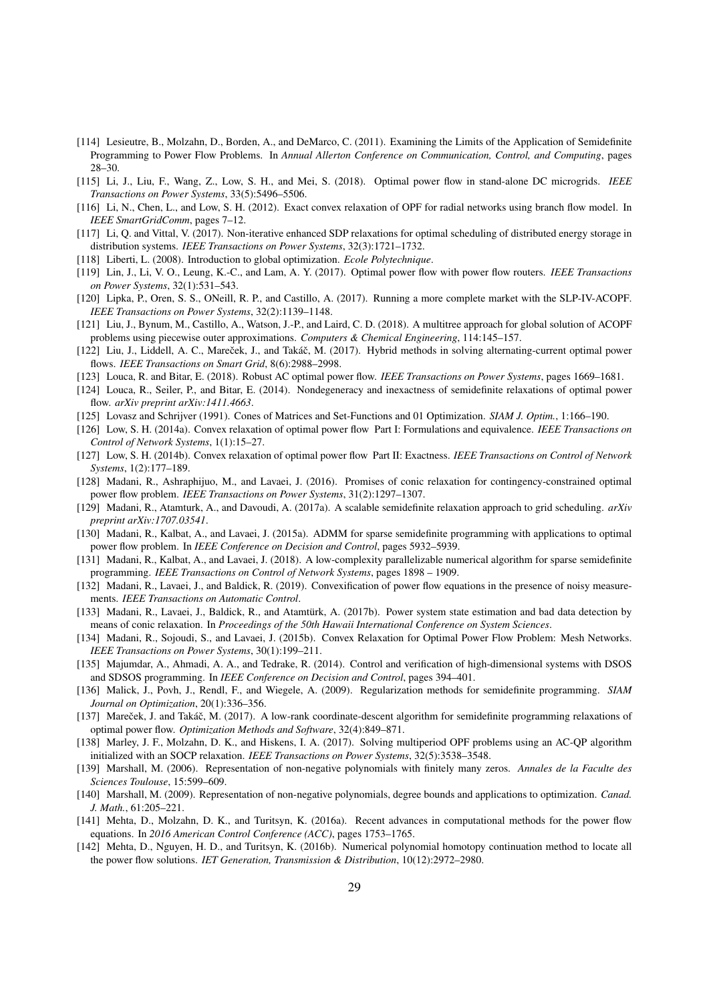- <span id="page-28-12"></span>[114] Lesieutre, B., Molzahn, D., Borden, A., and DeMarco, C. (2011). Examining the Limits of the Application of Semidefinite Programming to Power Flow Problems. In *Annual Allerton Conference on Communication, Control, and Computing*, pages 28–30.
- <span id="page-28-16"></span>[115] Li, J., Liu, F., Wang, Z., Low, S. H., and Mei, S. (2018). Optimal power flow in stand-alone DC microgrids. *IEEE Transactions on Power Systems*, 33(5):5496–5506.
- <span id="page-28-20"></span>[116] Li, N., Chen, L., and Low, S. H. (2012). Exact convex relaxation of OPF for radial networks using branch flow model. In *IEEE SmartGridComm*, pages 7–12.
- <span id="page-28-6"></span>[117] Li, Q. and Vittal, V. (2017). Non-iterative enhanced SDP relaxations for optimal scheduling of distributed energy storage in distribution systems. *IEEE Transactions on Power Systems*, 32(3):1721–1732.
- <span id="page-28-19"></span>[118] Liberti, L. (2008). Introduction to global optimization. *Ecole Polytechnique*.
- <span id="page-28-9"></span>[119] Lin, J., Li, V. O., Leung, K.-C., and Lam, A. Y. (2017). Optimal power flow with power flow routers. *IEEE Transactions on Power Systems*, 32(1):531–543.
- <span id="page-28-8"></span>[120] Lipka, P., Oren, S. S., ONeill, R. P., and Castillo, A. (2017). Running a more complete market with the SLP-IV-ACOPF. *IEEE Transactions on Power Systems*, 32(2):1139–1148.
- <span id="page-28-15"></span>[121] Liu, J., Bynum, M., Castillo, A., Watson, J.-P., and Laird, C. D. (2018). A multitree approach for global solution of ACOPF problems using piecewise outer approximations. *Computers & Chemical Engineering*, 114:145–157.
- <span id="page-28-28"></span>[122] Liu, J., Liddell, A. C., Mareček, J., and Takáč, M. (2017). Hybrid methods in solving alternating-current optimal power flows. *IEEE Transactions on Smart Grid*, 8(6):2988–2998.
- <span id="page-28-4"></span>[123] Louca, R. and Bitar, E. (2018). Robust AC optimal power flow. *IEEE Transactions on Power Systems*, pages 1669–1681.
- <span id="page-28-13"></span>[124] Louca, R., Seiler, P., and Bitar, E. (2014). Nondegeneracy and inexactness of semidefinite relaxations of optimal power flow. *arXiv preprint arXiv:1411.4663*.
- <span id="page-28-0"></span>[125] Lovasz and Schrijver (1991). Cones of Matrices and Set-Functions and 01 Optimization. *SIAM J. Optim.*, 1:166–190.
- <span id="page-28-1"></span>[126] Low, S. H. (2014a). Convex relaxation of optimal power flow Part I: Formulations and equivalence. *IEEE Transactions on Control of Network Systems*, 1(1):15–27.
- <span id="page-28-2"></span>[127] Low, S. H. (2014b). Convex relaxation of optimal power flow Part II: Exactness. *IEEE Transactions on Control of Network Systems*, 1(2):177–189.
- <span id="page-28-3"></span>[128] Madani, R., Ashraphijuo, M., and Lavaei, J. (2016). Promises of conic relaxation for contingency-constrained optimal power flow problem. *IEEE Transactions on Power Systems*, 31(2):1297–1307.
- <span id="page-28-7"></span>[129] Madani, R., Atamturk, A., and Davoudi, A. (2017a). A scalable semidefinite relaxation approach to grid scheduling. *arXiv preprint arXiv:1707.03541*.
- <span id="page-28-26"></span>[130] Madani, R., Kalbat, A., and Lavaei, J. (2015a). ADMM for sparse semidefinite programming with applications to optimal power flow problem. In *IEEE Conference on Decision and Control*, pages 5932–5939.
- <span id="page-28-25"></span>[131] Madani, R., Kalbat, A., and Lavaei, J. (2018). A low-complexity parallelizable numerical algorithm for sparse semidefinite programming. *IEEE Transactions on Control of Network Systems*, pages 1898 – 1909.
- <span id="page-28-17"></span>[132] Madani, R., Lavaei, J., and Baldick, R. (2019). Convexification of power flow equations in the presence of noisy measurements. *IEEE Transactions on Automatic Control*.
- <span id="page-28-18"></span>[133] Madani, R., Lavaei, J., Baldick, R., and Atamtürk, A. (2017b). Power system state estimation and bad data detection by means of conic relaxation. In *Proceedings of the 50th Hawaii International Conference on System Sciences*.
- <span id="page-28-14"></span>[134] Madani, R., Sojoudi, S., and Lavaei, J. (2015b). Convex Relaxation for Optimal Power Flow Problem: Mesh Networks. *IEEE Transactions on Power Systems*, 30(1):199–211.
- <span id="page-28-23"></span>[135] Majumdar, A., Ahmadi, A. A., and Tedrake, R. (2014). Control and verification of high-dimensional systems with DSOS and SDSOS programming. In *IEEE Conference on Decision and Control*, pages 394–401.
- <span id="page-28-24"></span>[136] Malick, J., Povh, J., Rendl, F., and Wiegele, A. (2009). Regularization methods for semidefinite programming. *SIAM Journal on Optimization*, 20(1):336–356.
- <span id="page-28-27"></span>[137] Mareček, J. and Takáč, M. (2017). A low-rank coordinate-descent algorithm for semidefinite programming relaxations of optimal power flow. *Optimization Methods and Software*, 32(4):849–871.
- <span id="page-28-5"></span>[138] Marley, J. F., Molzahn, D. K., and Hiskens, I. A. (2017). Solving multiperiod OPF problems using an AC-QP algorithm initialized with an SOCP relaxation. *IEEE Transactions on Power Systems*, 32(5):3538–3548.
- <span id="page-28-21"></span>[139] Marshall, M. (2006). Representation of non-negative polynomials with finitely many zeros. *Annales de la Faculte des Sciences Toulouse*, 15:599–609.
- <span id="page-28-22"></span>[140] Marshall, M. (2009). Representation of non-negative polynomials, degree bounds and applications to optimization. *Canad. J. Math.*, 61:205–221.
- <span id="page-28-10"></span>[141] Mehta, D., Molzahn, D. K., and Turitsyn, K. (2016a). Recent advances in computational methods for the power flow equations. In *2016 American Control Conference (ACC)*, pages 1753–1765.
- <span id="page-28-11"></span>[142] Mehta, D., Nguyen, H. D., and Turitsyn, K. (2016b). Numerical polynomial homotopy continuation method to locate all the power flow solutions. *IET Generation, Transmission & Distribution*, 10(12):2972–2980.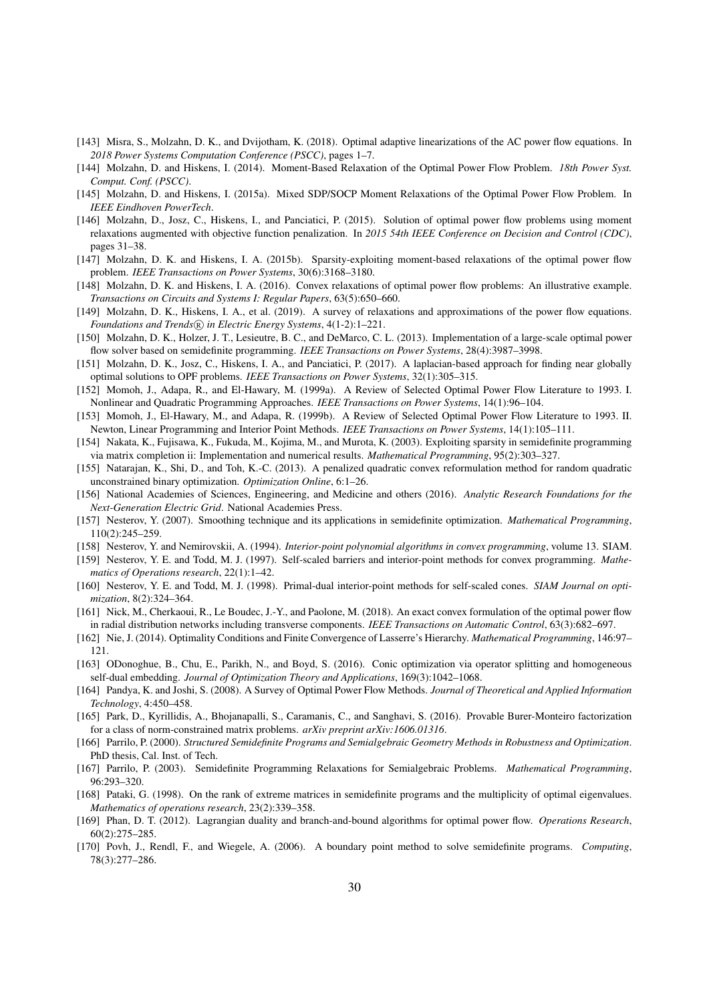- <span id="page-29-6"></span>[143] Misra, S., Molzahn, D. K., and Dvijotham, K. (2018). Optimal adaptive linearizations of the AC power flow equations. In *2018 Power Systems Computation Conference (PSCC)*, pages 1–7.
- <span id="page-29-18"></span>[144] Molzahn, D. and Hiskens, I. (2014). Moment-Based Relaxation of the Optimal Power Flow Problem. *18th Power Syst. Comput. Conf. (PSCC)*.
- <span id="page-29-19"></span>[145] Molzahn, D. and Hiskens, I. (2015a). Mixed SDP/SOCP Moment Relaxations of the Optimal Power Flow Problem. In *IEEE Eindhoven PowerTech*.
- <span id="page-29-14"></span>[146] Molzahn, D., Josz, C., Hiskens, I., and Panciatici, P. (2015). Solution of optimal power flow problems using moment relaxations augmented with objective function penalization. In *2015 54th IEEE Conference on Decision and Control (CDC)*, pages 31–38.
- <span id="page-29-15"></span>[147] Molzahn, D. K. and Hiskens, I. A. (2015b). Sparsity-exploiting moment-based relaxations of the optimal power flow problem. *IEEE Transactions on Power Systems*, 30(6):3168–3180.
- <span id="page-29-9"></span>[148] Molzahn, D. K. and Hiskens, I. A. (2016). Convex relaxations of optimal power flow problems: An illustrative example. *Transactions on Circuits and Systems I: Regular Papers*, 63(5):650–660.
- <span id="page-29-7"></span>[149] Molzahn, D. K., Hiskens, I. A., et al. (2019). A survey of relaxations and approximations of the power flow equations. *Foundations and Trends*  $\widehat{R}$  *in Electric Energy Systems, 4(1-2):1–221.*
- <span id="page-29-10"></span>[150] Molzahn, D. K., Holzer, J. T., Lesieutre, B. C., and DeMarco, C. L. (2013). Implementation of a large-scale optimal power flow solver based on semidefinite programming. *IEEE Transactions on Power Systems*, 28(4):3987–3998.
- <span id="page-29-16"></span>[151] Molzahn, D. K., Josz, C., Hiskens, I. A., and Panciatici, P. (2017). A laplacian-based approach for finding near globally optimal solutions to OPF problems. *IEEE Transactions on Power Systems*, 32(1):305–315.
- <span id="page-29-4"></span>[152] Momoh, J., Adapa, R., and El-Hawary, M. (1999a). A Review of Selected Optimal Power Flow Literature to 1993. I. Nonlinear and Quadratic Programming Approaches. *IEEE Transactions on Power Systems*, 14(1):96–104.
- <span id="page-29-5"></span>[153] Momoh, J., El-Hawary, M., and Adapa, R. (1999b). A Review of Selected Optimal Power Flow Literature to 1993. II. Newton, Linear Programming and Interior Point Methods. *IEEE Transactions on Power Systems*, 14(1):105–111.
- <span id="page-29-25"></span>[154] Nakata, K., Fujisawa, K., Fukuda, M., Kojima, M., and Murota, K. (2003). Exploiting sparsity in semidefinite programming via matrix completion ii: Implementation and numerical results. *Mathematical Programming*, 95(2):303–327.
- <span id="page-29-13"></span>[155] Natarajan, K., Shi, D., and Toh, K.-C. (2013). A penalized quadratic convex reformulation method for random quadratic unconstrained binary optimization. *Optimization Online*, 6:1–26.
- <span id="page-29-8"></span>[156] National Academies of Sciences, Engineering, and Medicine and others (2016). *Analytic Research Foundations for the Next-Generation Electric Grid*. National Academies Press.
- <span id="page-29-22"></span>[157] Nesterov, Y. (2007). Smoothing technique and its applications in semidefinite optimization. *Mathematical Programming*, 110(2):245–259.
- <span id="page-29-2"></span>[158] Nesterov, Y. and Nemirovskii, A. (1994). *Interior-point polynomial algorithms in convex programming*, volume 13. SIAM.
- <span id="page-29-23"></span>[159] Nesterov, Y. E. and Todd, M. J. (1997). Self-scaled barriers and interior-point methods for convex programming. *Mathematics of Operations research*, 22(1):1–42.
- <span id="page-29-24"></span>[160] Nesterov, Y. E. and Todd, M. J. (1998). Primal-dual interior-point methods for self-scaled cones. *SIAM Journal on optimization*, 8(2):324–364.
- <span id="page-29-11"></span>[161] Nick, M., Cherkaoui, R., Le Boudec, J.-Y., and Paolone, M. (2018). An exact convex formulation of the optimal power flow in radial distribution networks including transverse components. *IEEE Transactions on Automatic Control*, 63(3):682–697.
- <span id="page-29-17"></span>[162] Nie, J. (2014). Optimality Conditions and Finite Convergence of Lasserre's Hierarchy. *Mathematical Programming*, 146:97– 121.
- <span id="page-29-20"></span>[163] ODonoghue, B., Chu, E., Parikh, N., and Boyd, S. (2016). Conic optimization via operator splitting and homogeneous self-dual embedding. *Journal of Optimization Theory and Applications*, 169(3):1042–1068.
- <span id="page-29-3"></span>[164] Pandya, K. and Joshi, S. (2008). A Survey of Optimal Power Flow Methods. *Journal of Theoretical and Applied Information Technology*, 4:450–458.
- <span id="page-29-27"></span>[165] Park, D., Kyrillidis, A., Bhojanapalli, S., Caramanis, C., and Sanghavi, S. (2016). Provable Burer-Monteiro factorization for a class of norm-constrained matrix problems. *arXiv preprint arXiv:1606.01316*.
- <span id="page-29-0"></span>[166] Parrilo, P. (2000). *Structured Semidefinite Programs and Semialgebraic Geometry Methods in Robustness and Optimization*. PhD thesis, Cal. Inst. of Tech.
- <span id="page-29-1"></span>[167] Parrilo, P. (2003). Semidefinite Programming Relaxations for Semialgebraic Problems. *Mathematical Programming*, 96:293–320.
- <span id="page-29-26"></span>[168] Pataki, G. (1998). On the rank of extreme matrices in semidefinite programs and the multiplicity of optimal eigenvalues. *Mathematics of operations research*, 23(2):339–358.
- <span id="page-29-12"></span>[169] Phan, D. T. (2012). Lagrangian duality and branch-and-bound algorithms for optimal power flow. *Operations Research*, 60(2):275–285.
- <span id="page-29-21"></span>[170] Povh, J., Rendl, F., and Wiegele, A. (2006). A boundary point method to solve semidefinite programs. *Computing*, 78(3):277–286.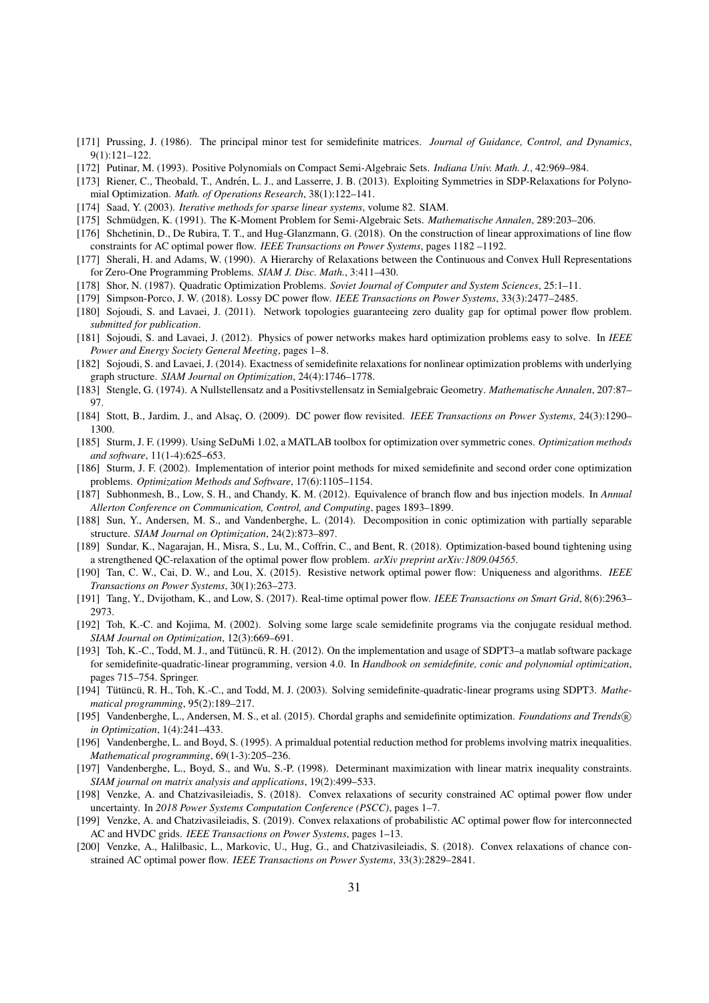- <span id="page-30-16"></span>[171] Prussing, J. (1986). The principal minor test for semidefinite matrices. *Journal of Guidance, Control, and Dynamics*, 9(1):121–122.
- <span id="page-30-18"></span>[172] Putinar, M. (1993). Positive Polynomials on Compact Semi-Algebraic Sets. *Indiana Univ. Math. J.*, 42:969–984.
- <span id="page-30-21"></span>[173] Riener, C., Theobald, T., Andrén, L. J., and Lasserre, J. B. (2013). Exploiting Symmetries in SDP-Relaxations for Polynomial Optimization. *Math. of Operations Research*, 38(1):122–141.
- <span id="page-30-23"></span>[174] Saad, Y. (2003). *Iterative methods for sparse linear systems*, volume 82. SIAM.
- <span id="page-30-19"></span>[175] Schmüdgen, K. (1991). The K-Moment Problem for Semi-Algebraic Sets. *Mathematische Annalen*, 289:203–206.
- <span id="page-30-9"></span>[176] Shchetinin, D., De Rubira, T. T., and Hug-Glanzmann, G. (2018). On the construction of linear approximations of line flow constraints for AC optimal power flow. *IEEE Transactions on Power Systems*, pages 1182 –1192.
- <span id="page-30-1"></span>[177] Sherali, H. and Adams, W. (1990). A Hierarchy of Relaxations between the Continuous and Convex Hull Representations for Zero-One Programming Problems. *SIAM J. Disc. Math.*, 3:411–430.
- <span id="page-30-0"></span>[178] Shor, N. (1987). Quadratic Optimization Problems. *Soviet Journal of Computer and System Sciences*, 25:1–11.
- <span id="page-30-8"></span>[179] Simpson-Porco, J. W. (2018). Lossy DC power flow. *IEEE Transactions on Power Systems*, 33(3):2477–2485.
- <span id="page-30-13"></span>[180] Sojoudi, S. and Lavaei, J. (2011). Network topologies guaranteeing zero duality gap for optimal power flow problem. *submitted for publication*.
- <span id="page-30-15"></span>[181] Sojoudi, S. and Lavaei, J. (2012). Physics of power networks makes hard optimization problems easy to solve. In *IEEE Power and Energy Society General Meeting*, pages 1–8.
- <span id="page-30-12"></span>[182] Sojoudi, S. and Lavaei, J. (2014). Exactness of semidefinite relaxations for nonlinear optimization problems with underlying graph structure. *SIAM Journal on Optimization*, 24(4):1746–1778.
- <span id="page-30-20"></span>[183] Stengle, G. (1974). A Nullstellensatz and a Positivstellensatz in Semialgebraic Geometry. *Mathematische Annalen*, 207:87– 97.
- <span id="page-30-10"></span>[184] Stott, B., Jardim, J., and Alsac¸, O. (2009). DC power flow revisited. *IEEE Transactions on Power Systems*, 24(3):1290– 1300.
- <span id="page-30-2"></span>[185] Sturm, J. F. (1999). Using SeDuMi 1.02, a MATLAB toolbox for optimization over symmetric cones. *Optimization methods and software*, 11(1-4):625–653.
- <span id="page-30-27"></span>[186] Sturm, J. F. (2002). Implementation of interior point methods for mixed semidefinite and second order cone optimization problems. *Optimization Methods and Software*, 17(6):1105–1154.
- <span id="page-30-17"></span>[187] Subhonmesh, B., Low, S. H., and Chandy, K. M. (2012). Equivalence of branch flow and bus injection models. In *Annual Allerton Conference on Communication, Control, and Computing*, pages 1893–1899.
- <span id="page-30-22"></span>[188] Sun, Y., Andersen, M. S., and Vandenberghe, L. (2014). Decomposition in conic optimization with partially separable structure. *SIAM Journal on Optimization*, 24(2):873–897.
- <span id="page-30-11"></span>[189] Sundar, K., Nagarajan, H., Misra, S., Lu, M., Coffrin, C., and Bent, R. (2018). Optimization-based bound tightening using a strengthened QC-relaxation of the optimal power flow problem. *arXiv preprint arXiv:1809.04565*.
- <span id="page-30-14"></span>[190] Tan, C. W., Cai, D. W., and Lou, X. (2015). Resistive network optimal power flow: Uniqueness and algorithms. *IEEE Transactions on Power Systems*, 30(1):263–273.
- <span id="page-30-7"></span>[191] Tang, Y., Dvijotham, K., and Low, S. (2017). Real-time optimal power flow. *IEEE Transactions on Smart Grid*, 8(6):2963– 2973.
- <span id="page-30-24"></span>[192] Toh, K.-C. and Kojima, M. (2002). Solving some large scale semidefinite programs via the conjugate residual method. *SIAM Journal on Optimization*, 12(3):669–691.
- <span id="page-30-3"></span>[193] Toh, K.-C., Todd, M. J., and Tütüncü, R. H. (2012). On the implementation and usage of SDPT3–a matlab software package for semidefinite-quadratic-linear programming, version 4.0. In *Handbook on semidefinite, conic and polynomial optimization*, pages 715–754. Springer.
- <span id="page-30-26"></span>[194] Tütüncü, R. H., Toh, K.-C., and Todd, M. J. (2003). Solving semidefinite-quadratic-linear programs using SDPT3. Mathe*matical programming*, 95(2):189–217.
- <span id="page-30-29"></span>[195] Vandenberghe, L., Andersen, M. S., et al. (2015). Chordal graphs and semidefinite optimization. *Foundations and Trends* <sup>R</sup> *in Optimization*, 1(4):241–433.
- <span id="page-30-25"></span>[196] Vandenberghe, L. and Boyd, S. (1995). A primaldual potential reduction method for problems involving matrix inequalities. *Mathematical programming*, 69(1-3):205–236.
- <span id="page-30-28"></span>[197] Vandenberghe, L., Boyd, S., and Wu, S.-P. (1998). Determinant maximization with linear matrix inequality constraints. *SIAM journal on matrix analysis and applications*, 19(2):499–533.
- <span id="page-30-5"></span>[198] Venzke, A. and Chatzivasileiadis, S. (2018). Convex relaxations of security constrained AC optimal power flow under uncertainty. In *2018 Power Systems Computation Conference (PSCC)*, pages 1–7.
- <span id="page-30-6"></span>[199] Venzke, A. and Chatzivasileiadis, S. (2019). Convex relaxations of probabilistic AC optimal power flow for interconnected AC and HVDC grids. *IEEE Transactions on Power Systems*, pages 1–13.
- <span id="page-30-4"></span>[200] Venzke, A., Halilbasic, L., Markovic, U., Hug, G., and Chatzivasileiadis, S. (2018). Convex relaxations of chance constrained AC optimal power flow. *IEEE Transactions on Power Systems*, 33(3):2829–2841.